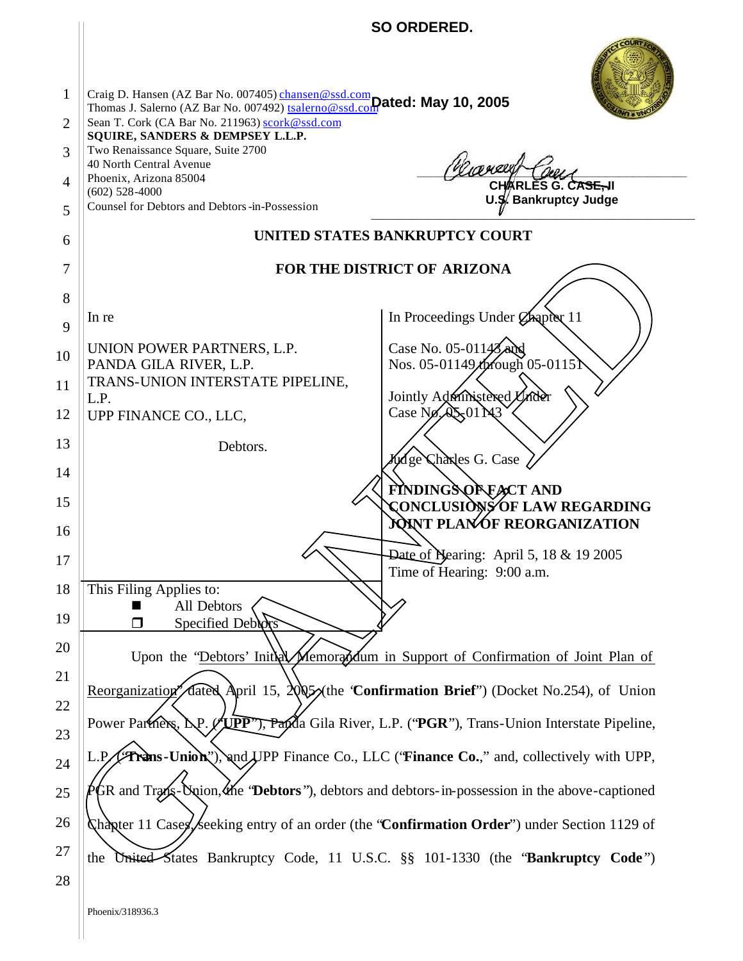|                                               |                                                                                                                                                                                                                                                                                                                                                                                         | SO ORDERED.                                                                                          |  |
|-----------------------------------------------|-----------------------------------------------------------------------------------------------------------------------------------------------------------------------------------------------------------------------------------------------------------------------------------------------------------------------------------------------------------------------------------------|------------------------------------------------------------------------------------------------------|--|
| $\mathbf{1}$<br>2<br>3<br>$\overline{4}$<br>5 | Craig D. Hansen (AZ Bar No. 007405) chansen@ssd.com<br>Thomas J. Salerno (AZ Bar No. 007492) tsalerno@ssd.com ated: May 10, 2005<br>Sean T. Cork (CA Bar No. 211963) scork@ssd.com<br>SQUIRE, SANDERS & DEMPSEY L.L.P.<br>Two Renaissance Square, Suite 2700<br>40 North Central Avenue<br>Phoenix, Arizona 85004<br>$(602)$ 528-4000<br>Counsel for Debtors and Debtors -in-Possession | mager<br>CHARLES G. CASE-II<br>U.S. Bankruptcy Judge                                                 |  |
| 6                                             |                                                                                                                                                                                                                                                                                                                                                                                         | UNITED STATES BANKRUPTCY COURT                                                                       |  |
| 7                                             |                                                                                                                                                                                                                                                                                                                                                                                         | FOR THE DISTRICT OF ARIZONA                                                                          |  |
| 8                                             |                                                                                                                                                                                                                                                                                                                                                                                         |                                                                                                      |  |
| 9                                             | In re                                                                                                                                                                                                                                                                                                                                                                                   | In Proceedings Under Chapter 11                                                                      |  |
| 10                                            | UNION POWER PARTNERS, L.P.                                                                                                                                                                                                                                                                                                                                                              | Case No. 05-01143 and                                                                                |  |
| 11                                            | PANDA GILA RIVER, L.P.<br>TRANS-UNION INTERSTATE PIPELINE,                                                                                                                                                                                                                                                                                                                              | Nos. 05-01149/hrough Q5-0115                                                                         |  |
| 12                                            | L.P.<br>UPP FINANCE CO., LLC,                                                                                                                                                                                                                                                                                                                                                           | Jointly Administered Under<br>Case No. 01 N3                                                         |  |
| 13                                            | Debtors.                                                                                                                                                                                                                                                                                                                                                                                |                                                                                                      |  |
| 14                                            |                                                                                                                                                                                                                                                                                                                                                                                         | Widge Changes G. Case                                                                                |  |
| 15                                            |                                                                                                                                                                                                                                                                                                                                                                                         | FINDINGS OF EACT AND<br>CONCLUSIONS OF LAW REGARDING                                                 |  |
| 16                                            |                                                                                                                                                                                                                                                                                                                                                                                         | <b>JOINT PLANOF REORGANIZATION</b>                                                                   |  |
| 17                                            |                                                                                                                                                                                                                                                                                                                                                                                         | <b>Date of Nearing: April 5, 18 &amp; 19 2005</b><br>Time of Hearing: 9:00 a.m.                      |  |
| 18                                            | This Filing Applies to:<br>All Debtors                                                                                                                                                                                                                                                                                                                                                  |                                                                                                      |  |
| 19                                            | Specified Debtors<br>$\Box$                                                                                                                                                                                                                                                                                                                                                             |                                                                                                      |  |
| 20                                            |                                                                                                                                                                                                                                                                                                                                                                                         | Upon the "Debtors' Initial Memorandum in Support of Confirmation of Joint Plan of                    |  |
| 21                                            | Reorganization and April 15, $2005$ the 'Confirmation Brief") (Docket No.254), of Union                                                                                                                                                                                                                                                                                                 |                                                                                                      |  |
| 22                                            | Power Partners, LP.                                                                                                                                                                                                                                                                                                                                                                     | " <b>TPP"), Papi</b> da Gila River, L.P. ("PGR"), Trans-Union Interstate Pipeline,                   |  |
| 23                                            |                                                                                                                                                                                                                                                                                                                                                                                         |                                                                                                      |  |
| 24                                            | L.P.                                                                                                                                                                                                                                                                                                                                                                                    | <b>Frans-Union</b> "), and UPP Finance Co., LLC (' <b>Finance Co.</b> ," and, collectively with UPP, |  |
| 25                                            | $PQR$ and Kans-Union, the 'Debtors''), debtors and debtors-in-possession in the above-captioned                                                                                                                                                                                                                                                                                         |                                                                                                      |  |
| 26                                            | Chapter 11 Cases, Seeking entry of an order (the "Confirmation Order") under Section 1129 of                                                                                                                                                                                                                                                                                            |                                                                                                      |  |
| 27                                            | the                                                                                                                                                                                                                                                                                                                                                                                     | United States Bankruptcy Code, 11 U.S.C. §§ 101-1330 (the 'Bankruptcy Code")                         |  |
| 28                                            |                                                                                                                                                                                                                                                                                                                                                                                         |                                                                                                      |  |
|                                               | Phoenix/318936.3                                                                                                                                                                                                                                                                                                                                                                        |                                                                                                      |  |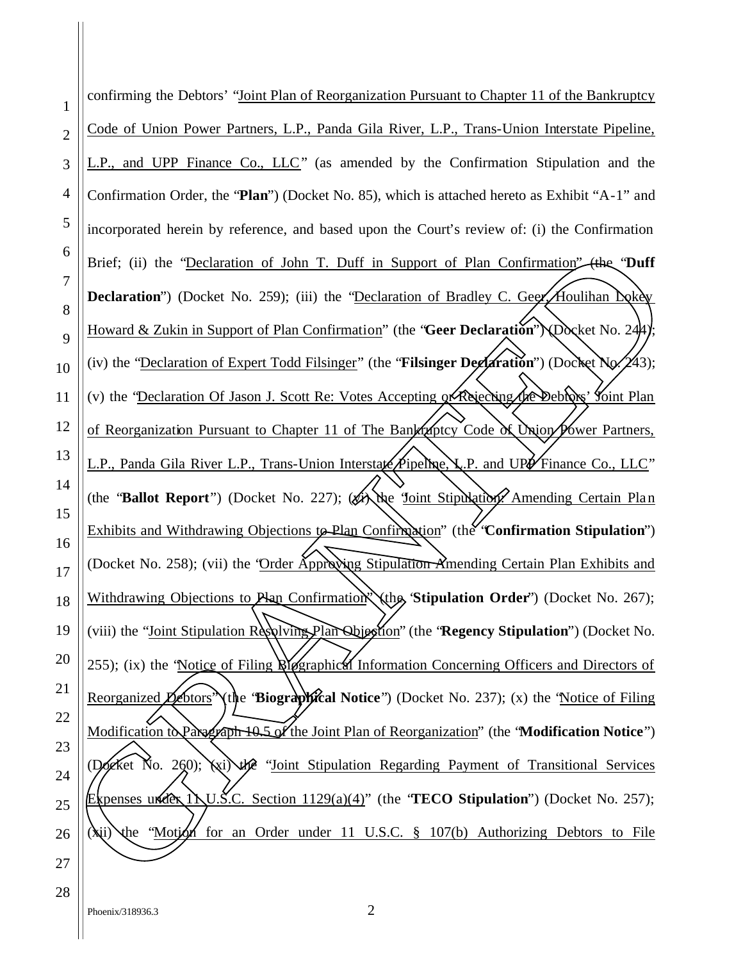1 2 3 4 5 6 7 8 9 10 11 12 13 14 15 16 17 18 19 20 21 22 23 24 25 26 27 28 confirming the Debtors' "Joint Plan of Reorganization Pursuant to Chapter 11 of the Bankruptcy Code of Union Power Partners, L.P., Panda Gila River, L.P., Trans-Union Interstate Pipeline, L.P., and UPP Finance Co., LLC" (as amended by the Confirmation Stipulation and the Confirmation Order, the "**Plan**") (Docket No. 85), which is attached hereto as Exhibit "A-1" and incorporated herein by reference, and based upon the Court's review of: (i) the Confirmation Brief; (ii) the "Declaration of John T. Duff in Support of Plan Confirmation" (the "Duff" **Declaration**") (Docket No. 259); (iii) the "Declaration of Bradley C. Geer, Houlihan Lokey Howard & Zukin in Support of Plan Confirmation" (the "**Geer Declaration**") (Docket No. 244); (iv) the "Declaration of Expert Todd Filsinger" (the "**Filsinger Declaration**") (Docket No. 243); (v) the "Declaration Of Jason J. Scott Re: Votes Accepting of Rejecting the Debtors' Yoint Plan of Reorganization Pursuant to Chapter 11 of The Bankruptcy Code of Union Power Partners, L.P., Panda Gila River L.P., Trans-Union Interstate Pipeline, L.P. and UPP Finance Co., LLC" (the "**Ballot Report**") (Docket No. 227); (Fix the 'Joint Stipulation? Amending Certain Plan Exhibits and Withdrawing Objections to Plan Confirmation" (the "**Confirmation Stipulation**") (Docket No. 258); (vii) the "Order Approving Stipulation Amending Certain Plan Exhibits and Withdrawing Objections to Rlan Confirmation<sup>\*</sup> (the 'Stipulation Order'') (Docket No. 267); (viii) the "Joint Stipulation Resolving Plan Objection" (the "Regency Stipulation") (Docket No. 255); (ix) the 'Notice of Filing  $\mathbb{N}$  ographical Information Concerning Officers and Directors of Reorganized *D* (the 'Biographical Notice') (Docket No. 237); (x) the 'Notice of Filing Modification to Paragraph 10.5 of the Joint Plan of Reorganization" (the "**Modification Notice**") (D6 $\alpha$ Ket No. 260);  $\chi$ i) the "Joint Stipulation Regarding Payment of Transitional Services Expenses under  $1$  NU.S.C. Section  $1129(a)(4)$ " (the **TECO Stipulation**") (Docket No. 257); Modification for Paragraph 10.5 of the Joint Plan of Reorganization" (the "Modification Notice")<br>
(Xii) the George Under UNUSC. Section 1129(a)(4)" (the "TECO Stipulation") (Docket No. 257);<br>
(Aii) the "Motion for an Order the "Declaration of John T. Duff in Support of Plan Confirmation" (the "Duff"<br>
on") (Docket No. 259); (iii) the "Declaration of Bradley C. Geografionitian Neky<br>
Zukin in Support of Plan Confirmation" (the "Geer Declaratio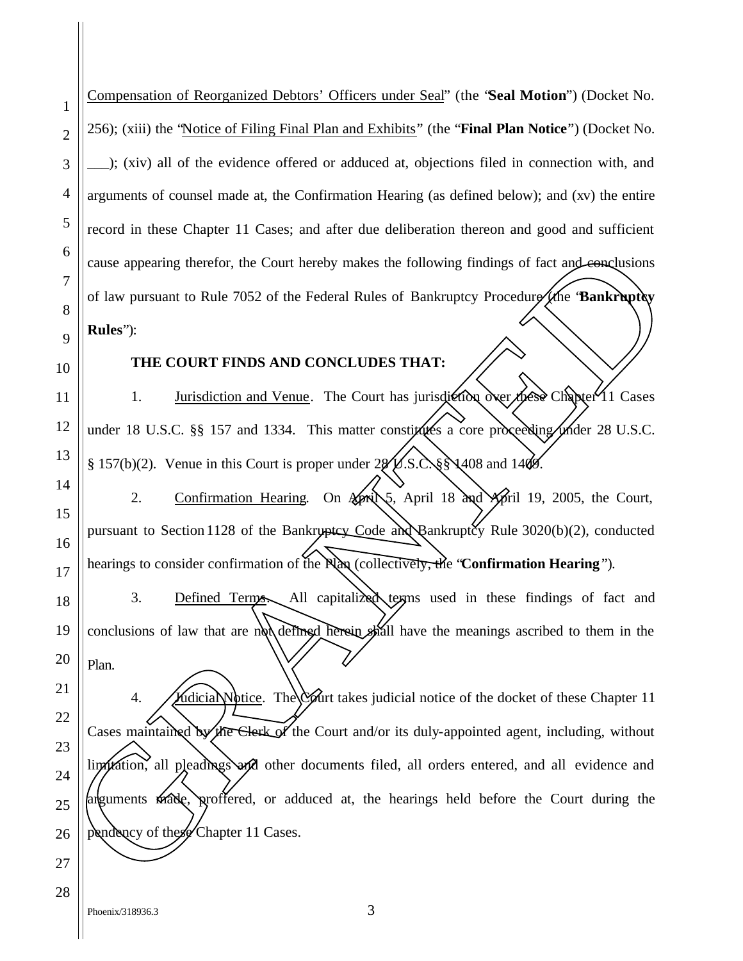Compensation of Reorganized Debtors' Officers under Seal" (the "**Seal Motion**") (Docket No. 256); (xiii) the "Notice of Filing Final Plan and Exhibits" (the "**Final Plan Notice**") (Docket No. \_\_\_); (xiv) all of the evidence offered or adduced at, objections filed in connection with, and arguments of counsel made at, the Confirmation Hearing (as defined below); and (xv) the entire record in these Chapter 11 Cases; and after due deliberation thereon and good and sufficient cause appearing therefor, the Court hereby makes the following findings of fact and conclusions of law pursuant to Rule 7052 of the Federal Rules of Bankruptcy Procedure (the "**Bankruptcy Rules**"):

#### **THE COURT FINDS AND CONCLUDES THAT:**

1. Jurisdiction and Venue. The Court has jurisdiction over these Chapter 11 Cases under 18 U.S.C. §§ 157 and 1334. This matter constitutes a core proceeding under 28 U.S.C. § 157(b)(2). Venue in this Court is proper under  $28\sqrt{15}$ .  $\&$ § 1408 and 1409.

2. Confirmation Hearing. On April 5, April 18 and April 19, 2005, the Court, pursuant to Section 1128 of the Bankruptcy Code and Bankruptcy Rule  $3020(b)(2)$ , conducted hearings to consider confirmation of the Plan (collectively, the "**Confirmation Hearing**").

3. Defined Terms. All capitalized terms used in these findings of fact and conclusions of law that are not defined herein shall have the meanings ascribed to them in the Plan.

4. **Judicial Notice.** The Court takes judicial notice of the docket of these Chapter 11 Cases maintained by the Clerk of the Court and/or its duly-appointed agent, including, without limitation, all pleadings and other documents filed, all orders entered, and all evidence and arguments made, proffered, or adduced at, the hearings held before the Court during the Exame appearing therefor, the Court hereby makes the following findings of fact and cancel<br>actions and the CHAPTER COURT FINDS AND CONCLUDES THAT:<br>
BRING THE COURT FINDS AND CONCLUDES THAT:<br>
THE COURT FINDS AND CONCLUDES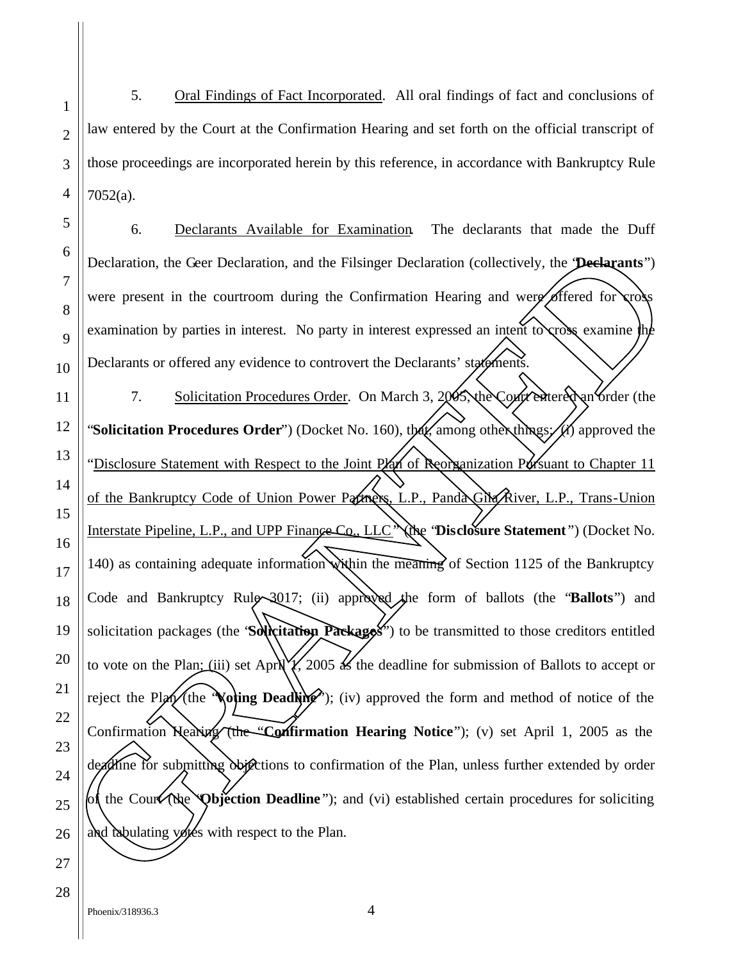5. Oral Findings of Fact Incorporated. All oral findings of fact and conclusions of law entered by the Court at the Confirmation Hearing and set forth on the official transcript of those proceedings are incorporated herein by this reference, in accordance with Bankruptcy Rule 7052(a).

6. Declarants Available for Examination. The declarants that made the Duff Declaration, the Geer Declaration, and the Filsinger Declaration (collectively, the "**Declarants**") were present in the courtroom during the Confirmation Hearing and were offered for cross examination by parties in interest. No party in interest expressed an intent to cross examine the Declarants or offered any evidence to controvert the Declarants' statements. 7. Solicitation Procedures Order. On March 3, 2005, the Court entered an order (the "**Solicitation Procedures Order**") (Docket No. 160), that, among other things: (i) approved the "Disclosure Statement with Respect to the Joint Plan of Reorganization Pursuant to Chapter 11 of the Bankruptcy Code of Union Power Partners, L.P., Panda Gila River, L.P., Trans-Union Interstate Pipeline, L.P., and UPP Finance Co., LLC" (the "**Disclosure Statement** ") (Docket No. 140) as containing adequate information within the meaning of Section 1125 of the Bankruptcy Code and Bankruptcy Rule 3017; (ii) approved the form of ballots (the "**Ballots**") and solicitation packages (the "**Solicitation Packages**") to be transmitted to those creditors entitled to vote on the Plan; (iii) set April  $\sqrt{2005}$  as the deadline for submission of Ballots to accept or reject the Plan (the **Voting Deadling**); (iv) approved the form and method of notice of the Confirmation Hearing (the "**Confirmation Hearing Notice**"); (v) set April 1, 2005 as the deadline for submitting objections to confirmation of the Plan, unless further extended by order of the Court (the "**Objection Deadline** "); and (vi) established certain procedures for soliciting **Experimentation, the Ceer Declaration, and the Fishinger Declaration (collectively, the <b>Declaration**)<br> **Experimentation** by partics in interest. No party in interest expressed an input respective for consequently<br> **Expe**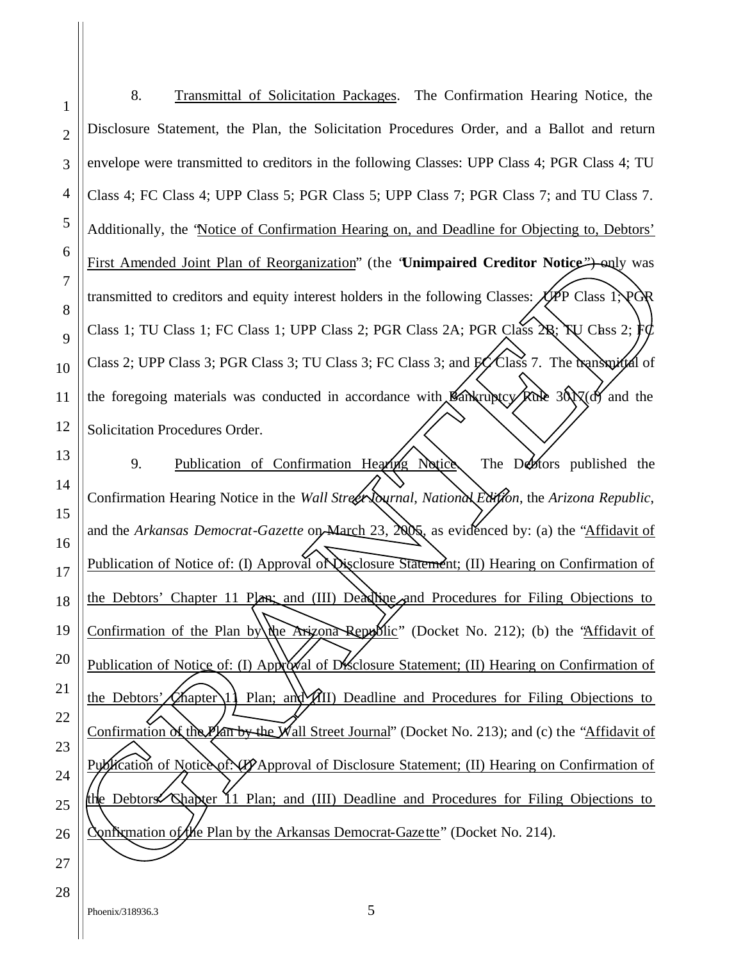8. Transmittal of Solicitation Packages. The Confirmation Hearing Notice, the Disclosure Statement, the Plan, the Solicitation Procedures Order, and a Ballot and return envelope were transmitted to creditors in the following Classes: UPP Class 4; PGR Class 4; TU Class 4; FC Class 4; UPP Class 5; PGR Class 5; UPP Class 7; PGR Class 7; and TU Class 7. Additionally, the "Notice of Confirmation Hearing on, and Deadline for Objecting to, Debtors' First Amended Joint Plan of Reorganization" (the 'Unimpaired Creditor Notice<sup>"</sup>) only was transmitted to creditors and equity interest holders in the following Classes:  $\cancel{\sqrt{p}}P$  Class 1; PGR Class 1; TU Class 1; FC Class 1; UPP Class 2; PGR Class 2A; PGR Class  $2B$ ;  $\forall$ V Class 2; FC Class 2; UPP Class 3; PGR Class 3; TU Class 3; FC Class 3; and  $\cancel{PQ}$  Class 7. The transmittal of the foregoing materials was conducted in accordance with  $\mathcal{B}$ ankruptcy  $\mathcal{R}$ ule 301 $\chi$ (d) and the Solicitation Procedures Order.

9. Publication of Confirmation Hearing Notice. The Debtors published the Confirmation Hearing Notice in the *Wall Street Journal*, *National Edition*, the *Arizona Republic*, and the *Arkansas Democrat-Gazette* on March 23, 2005, as evidenced by: (a) the "Affidavit of Publication of Notice of: (I) Approval of Disclosure Statement; (II) Hearing on Confirmation of the Debtors' Chapter 11 Plan; and (III) Deadline and Procedures for Filing Objections to Confirmation of the Plan by the Arizona Republic" (Docket No. 212); (b) the "Affidavit of Publication of Notice of: (I) Approval of Disclosure Statement; (II) Hearing on Confirmation of the Debtors' Chapter 1. Plan; and  $\chi$ III) Deadline and Procedures for Filing Objections to Confirmation of the Plan by the Wall Street Journal" (Docket No. 213); and (c) the "Affidavit of Publication of Notice of: (I) Approval of Disclosure Statement; (II) Hearing on Confirmation of the Debtors' Chapter 11 Plan; and (III) Deadline and Procedures for Filing Objections to Confirmation of the Plan by the Arkansas Democrat GR Confixmation of the Plan by the Arkansas Democrat-Gazette" (Docket No. 214). Plan of Reorganization" (the 'Unimpaired Creditor Notice''-only was<br>s and equity interest holders in the following Classes: (PPP Class 1; POR<br>FC Class 1; UPP Class 2; PGR Class 2A; PGR Class 2R; NU Class 1; POR<br>PGR Class 3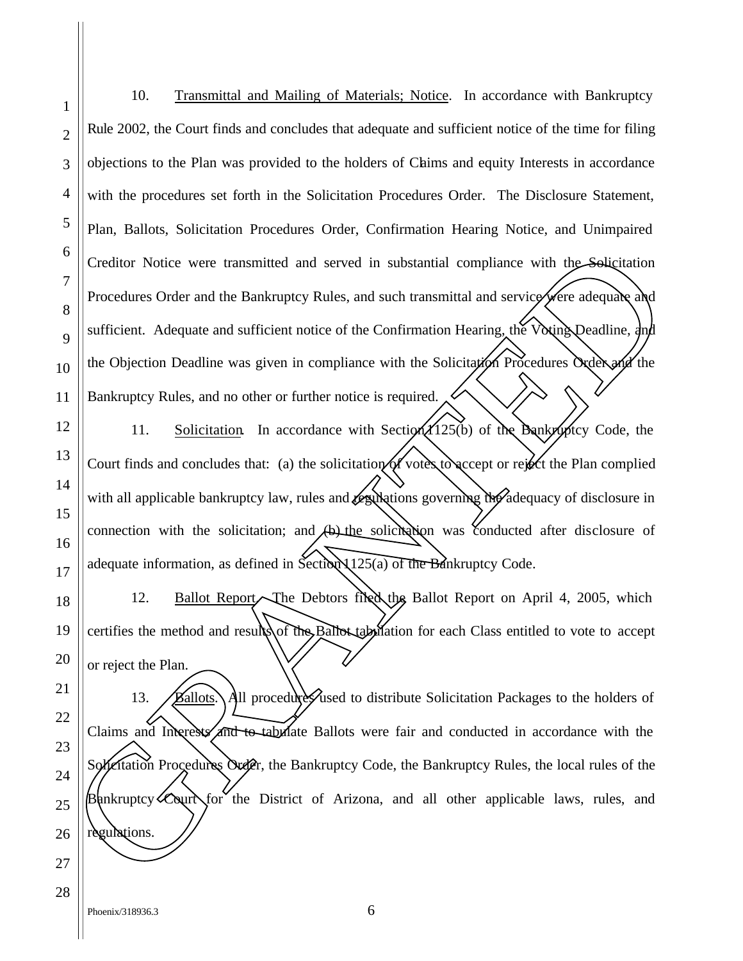10. Transmittal and Mailing of Materials; Notice. In accordance with Bankruptcy Rule 2002, the Court finds and concludes that adequate and sufficient notice of the time for filing objections to the Plan was provided to the holders of Claims and equity Interests in accordance with the procedures set forth in the Solicitation Procedures Order. The Disclosure Statement, Plan, Ballots, Solicitation Procedures Order, Confirmation Hearing Notice, and Unimpaired Creditor Notice were transmitted and served in substantial compliance with the Solicitation Procedures Order and the Bankruptcy Rules, and such transmittal and service were adequate and sufficient. Adequate and sufficient notice of the Confirmation Hearing, the Voting Deadline, and the Objection Deadline was given in compliance with the Solicitation Procedures Order and the Bankruptcy Rules, and no other or further notice is required.

11. Solicitation. In accordance with Section  $(125(b)$  of the Bankruptcy Code, the Court finds and concludes that: (a) the solicitation of votes to accept or reject the Plan complied with all applicable bankruptcy law, rules and *desultations* governing the adequacy of disclosure in connection with the solicitation; and  $(b)$  the solicitation was conducted after disclosure of adequate information, as defined in Section  $125(a)$  of the Bankruptcy Code.

12. Ballot Report. The Debtors filed the Ballot Report on April 4, 2005, which certifies the method and results of the Ballot tabulation for each Class entitled to vote to accept or reject the Plan.

13. **Ballots.** All procedure Sused to distribute Solicitation Packages to the holders of Claims, and Interests, and to tabulate Ballots were fair and conducted in accordance with the Solicitation Procedures Order, the Bankruptcy Code, the Bankruptcy Rules, the local rules of the  $B\$ ankruptcy Court for the District of Arizona, and all other applicable laws, rules, and Creditor Notice were transmitted and served in substantial compliance with the Solicitation recordences of the Bankruptcy Rules, and such transmitted and service adequade and sufficient. Adequate and sufficient rotice of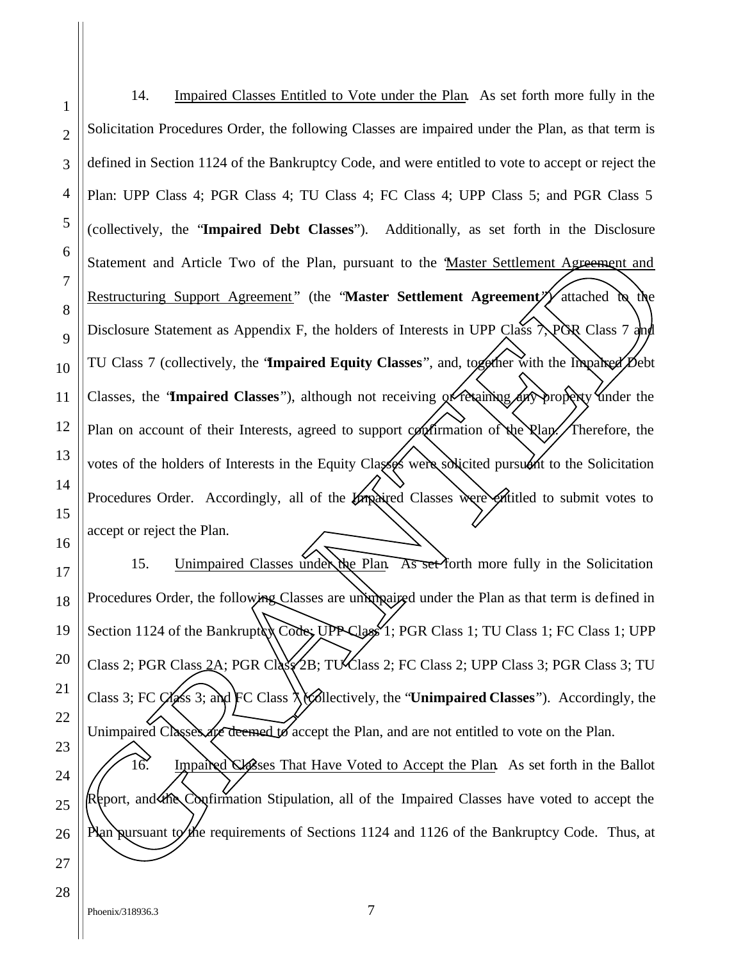14. Impaired Classes Entitled to Vote under the Plan. As set forth more fully in the Solicitation Procedures Order, the following Classes are impaired under the Plan, as that term is defined in Section 1124 of the Bankruptcy Code, and were entitled to vote to accept or reject the Plan: UPP Class 4; PGR Class 4; TU Class 4; FC Class 4; UPP Class 5; and PGR Class 5 (collectively, the "**Impaired Debt Classes**"). Additionally, as set forth in the Disclosure Statement and Article Two of the Plan, pursuant to the "Master Settlement Agreement and Restructuring Support Agreement" (the "**Master Settlement Agreement**) attached to the Disclosure Statement as Appendix F, the holders of Interests in UPP Class  $\lambda$ POR Class 7 and TU Class 7 (collectively, the "**Impaired Equity Classes**", and, together with the Impaired Debt Classes, the 'Impaired Classes''), although not receiving or retaining any property under the Plan on account of their Interests, agreed to support confirmation of the Plan. Therefore, the votes of the holders of Interests in the Equity Classes were solicited pursuant to the Solicitation Procedures Order. Accordingly, all of the *Impaired* Classes were entitled to submit votes to accept or reject the Plan. 15. Unimpaired Classes under the Plan. As set forth more fully in the Solicitation SIME THE RESERVANCE TO THE PLAN PURSUAL CONSIDERATION CONSIDERATION CONSIDER THE RESERVATION CONSIDER THE CONSIDERATION OF THE CONSIDERATION OF THE CONSIDERATION OF THE CONSIDERATION OF THE CONSIDERATION OF THE CONSIDERAT

Procedures Order, the following Classes are unimpained under the Plan as that term is defined in Section 1124 of the Bankruptcy Code: UPP Class<sup>1</sup>; PGR Class 1; TU Class 1; FC Class 1; UPP Class 2; PGR Class 2A; PGR Class  $\angle$ 2B; TU Class 2; FC Class 2; UPP Class 3; PGR Class 3; TU Class 3; FC Class 3; and FC Class 7 (collectively, the "**Unimpaired Classes**"). Accordingly, the Unimpaired Classes are deemed to accept the Plan, and are not entitled to vote on the Plan. 16. Ampaired Classes That Have Voted to Accept the Plan. As set forth in the Ballot Report, and the Confirmation Stipulation, all of the Impaired Classes have voted to accept the

1

2

3

4

5

6

7

8

9

10

11

12

13

14

15

16

17

18

19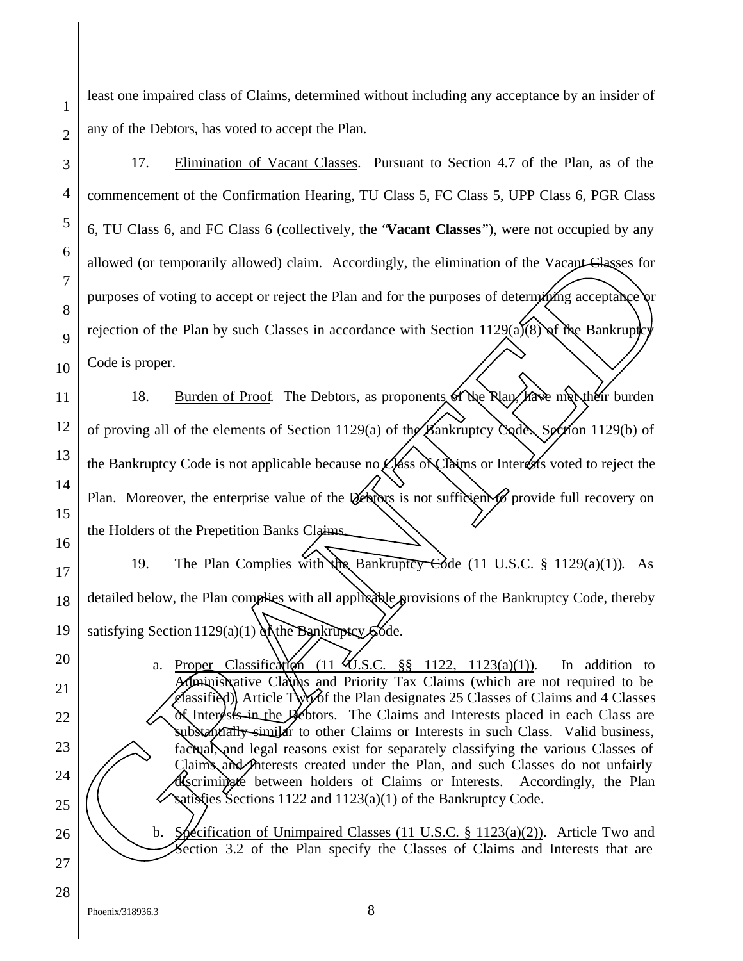least one impaired class of Claims, determined without including any acceptance by an insider of any of the Debtors, has voted to accept the Plan.

17. Elimination of Vacant Classes. Pursuant to Section 4.7 of the Plan, as of the commencement of the Confirmation Hearing, TU Class 5, FC Class 5, UPP Class 6, PGR Class 6, TU Class 6, and FC Class 6 (collectively, the "**Vacant Classes**"), were not occupied by any allowed (or temporarily allowed) claim. Accordingly, the elimination of the Vacant Classes for purposes of voting to accept or reject the Plan and for the purposes of determining acceptance or rejection of the Plan by such Classes in accordance with Section 1129(a)(8) of the Bankruptch Code is proper.

18. Burden of Proof. The Debtors, as proponents of the Rlan, have met their burden of proving all of the elements of Section 1129(a) of the Bankruptcy Code. Section 1129(b) of the Bankruptcy Code is not applicable because no  $\mathcal{L}$ lass of Claims or Interests voted to reject the Plan. Moreover, the enterprise value of the Vehicars is not sufficient to provide full recovery on the Holders of the Prepetition Banks Claims. The properties are controlled to the Range Change of the Cases of the Plan by such Classes in accordance with Section 1129(a) (New The Bankruptcy of the Plan by such Classes in accordance with Section 1129(a) (New The Ban

19. The Plan Complies with the Bankruptcy Code (11 U.S.C. § 1129(a)(1)). As detailed below, the Plan complies with all applicable provisions of the Bankruptcy Code, thereby satisfying Section  $1129(a)(1)$  of the Bankruptsy  $66de$ .

a. Proper Classification (11  $\mathcal{L}$ .S.C. §§ 1122, 1123(a)(1)). In addition to Administrative Claims and Priority Tax Claims (which are not required to be classified), Article Two of the Plan designates 25 Classes of Claims and 4 Classes of Interests in the Debtors. The Claims and Interests placed in each Class are substantially similar to other Claims or Interests in such Class. Valid business, factual, and legal reasons exist for separately classifying the various Classes of Claims and *Interests* created under the Plan, and such Classes do not unfairly discriminate between holders of Claims or Interests. Accordingly, the Plan satisfies Sections 1122 and 1123(a)(1) of the Bankruptcy Code. SubStantially similar to other Claims or Interests in such Class. Valid business, factual, and legal reasons exist for separately classifying the various Classes of Claims and Anterests created under the Plan, and such Cla

1

2

3

4

5

6

7

8

9

10

11

12

13

14

15

16

17

18

19

20

21

22

23

24

25

26

27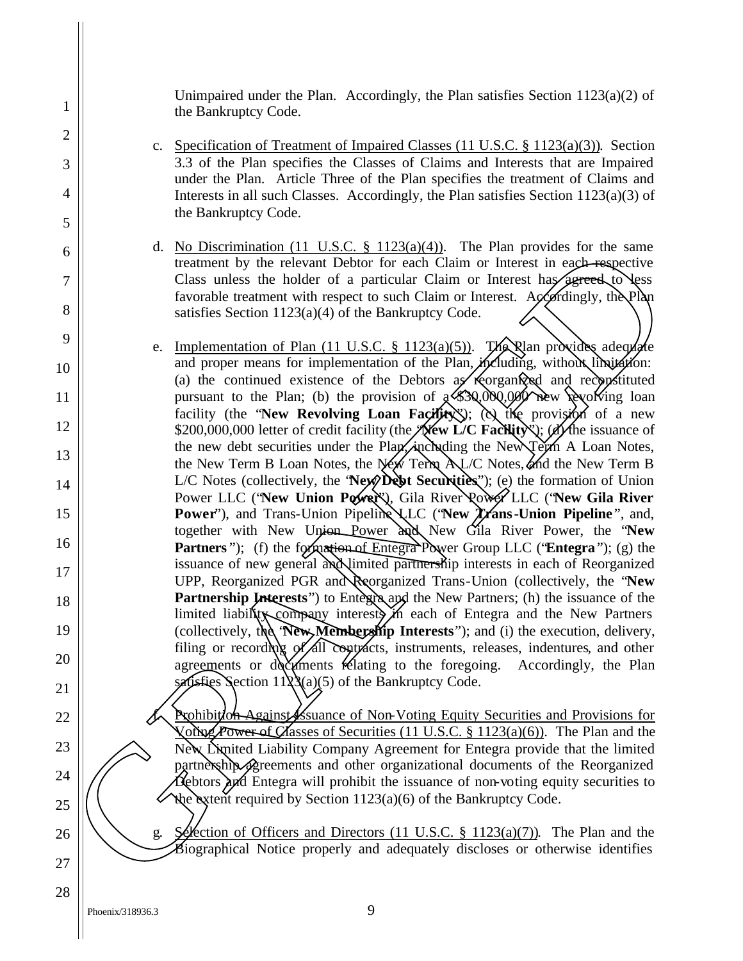Unimpaired under the Plan. Accordingly, the Plan satisfies Section  $1123(a)(2)$  of the Bankruptcy Code.

- c. Specification of Treatment of Impaired Classes (11 U.S.C. § 1123(a)(3)). Section 3.3 of the Plan specifies the Classes of Claims and Interests that are Impaired under the Plan. Article Three of the Plan specifies the treatment of Claims and Interests in all such Classes. Accordingly, the Plan satisfies Section 1123(a)(3) of the Bankruptcy Code.
- d. No Discrimination (11 U.S.C.  $\S$  1123(a)(4)). The Plan provides for the same treatment by the relevant Debtor for each Claim or Interest in each respective Class unless the holder of a particular Claim or Interest has agreed to less favorable treatment with respect to such Claim or Interest. Accordingly, the Plan satisfies Section 1123(a)(4) of the Bankruptcy Code.
- e. Implementation of Plan  $(11 \text{ U.S.C. } §\ 1123(a)(5))$ . The Nan provides adequate and proper means for implementation of the Plan, *including*, without limitation: (a) the continued existence of the Debtors  $a\mathbf{z}'$  recorganized and reconstituted pursuant to the Plan; (b) the provision of  $\mathcal{A}$ \$30,000,000 new revolving loan facility (the "New Revolving Loan Facility"); (c) the provision of a new \$200,000,000 letter of credit facility (the **New L/C Facility**); (d) the issuance of the new debt securities under the Plan, including the New Term A Loan Notes, the New Term B Loan Notes, the New Term  $A\cup C$  Notes, and the New Term B L/C Notes (collectively, the "**New Debt Securities**"); (e) the formation of Union Power LLC ('New Union Power<sup>X</sup>), Gila River Power LLC ('New Gila River **Power**"), and Trans-Union Pipeline LLC ('New Trans-Union Pipeline", and, together with New Union Power and New Gila River Power, the "**New Partners**"); (f) the formation of Entegra Power Group LLC ("**Entegra**"); (g) the issuance of new general and limited partnership interests in each of Reorganized UPP, Reorganized PGR and Reorganized Trans-Union (collectively, the "**New Partnership Interests**") to Entegra and the New Partners; (h) the issuance of the limited liability company interests in each of Entegra and the New Partners (collectively, the **New Membership Interests**"); and (i) the execution, delivery, filing or recording of all contracts, instruments, releases, indentures, and other agreements or documents relating to the foregoing. Accordingly, the Plan satisfies Section  $1123(a)(5)$  of the Bankruptcy Code. d. No Discrimination (11 U.S.C.: 8 112/30(4)). The Plan provides for the same<br>reality the relevant Debtor for each Claim or Interest in each-expective<br>Class unless the holder of a particular Gain or Interest has perceed,

**Prohibition Against Issuance of Non-Voting Equity Securities and Provisions for** Voting Power of Classes of Securities (11 U.S.C.  $\S$  1123(a)(6)). The Plan and the New Limited Liability Company Agreement for Entegra provide that the limited partnership agreements and other organizational documents of the Reorganized Debtors and Entegra will prohibit the issuance of non-voting equity securities to the extent required by Section  $1123(a)(6)$  of the Bankruptcy Code. France of Officers of Securities (11 U.S.C. § 1123(a)(6)). The Plan and the New Dimited Liability Company Agreement for Entegra provide that the limited partnership agreements and other organizational documents of the Reor

1

2

3

4

5

6

7

8

9

10

11

12

13

14

15

16

17

18

19

20

21

22

23

24

25

26

27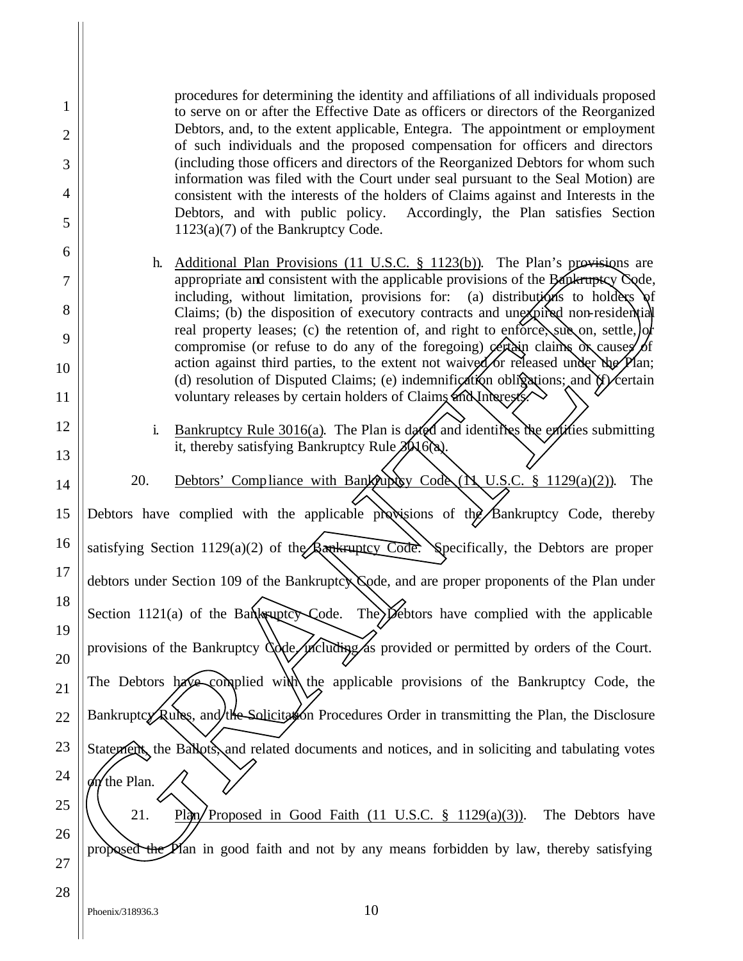procedures for determining the identity and affiliations of all individuals proposed to serve on or after the Effective Date as officers or directors of the Reorganized Debtors, and, to the extent applicable, Entegra. The appointment or employment of such individuals and the proposed compensation for officers and directors (including those officers and directors of the Reorganized Debtors for whom such information was filed with the Court under seal pursuant to the Seal Motion) are consistent with the interests of the holders of Claims against and Interests in the Debtors, and with public policy. Accordingly, the Plan satisfies Section 1123(a)(7) of the Bankruptcy Code.

- h. Additional Plan Provisions (11 U.S.C. § 1123(b)). The Plan's provisions are appropriate and consistent with the applicable provisions of the Bankruptcy Code, including, without limitation, provisions for: (a) distributions to holders of Claims; (b) the disposition of executory contracts and unexpired non-residential real property leases; (c) the retention of, and right to enforce, sug on, settle, or compromise (or refuse to do any of the foregoing)  $\rho$  extends claims  $\alpha$  causes of action against third parties, to the extent not waived or released under the  $\cancel{P}$ lan; (d) resolution of Disputed Claims; (e) indemnification obligations; and  $\frac{d}{dx}$  certain voluntary releases by certain holders of Claims and Interests.
- i. Bankruptcy Rule 3016(a). The Plan is dated and identifies the entities submitting it, thereby satisfying Bankruptcy Rule  $30\sqrt{6}$ .
- 20. Debtors' Compliance with Bankfuptcy Code  $(N, U.S.C. \S 1129(a)(2))$ . The Debtors have complied with the applicable provisions of the Bankruptcy Code, thereby satisfying Section 1129(a)(2) of the Bankruptcy Code. Specifically, the Debtors are proper debtors under Section 109 of the Bankruptcy Code, and are proper proponents of the Plan under Section 1121(a) of the Bankruptcy-Code. The  $\widetilde{P}$ ebtors have complied with the applicable provisions of the Bankruptcy Code, including as provided or permitted by orders of the Court. The Debtors have complied with the applicable provisions of the Bankruptcy Code, the Bankruptcy Rules, and the Solicitation Procedures Order in transmitting the Plan, the Disclosure Statement, the Ballots, and related documents and notices, and in soliciting and tabulating votes  $\oint$  the Plan. 21. Plan/Proposed in Good Faith (11 U.S.C.  $\S$  1129(a)(3)). The Debtors have **1.** Additional Plan Provisions (11 U.S.C. § 1123(b)). The Plan's provisions are appropriate and consistent with the applicable provisions for the Henricky Colec by Charmes is the plan in a means for the Henrick and the H
- 26 27 28

1

2

3

4

5

6

7

8

9

10

11

12

13

14

15

16

17

18

19

20

21

22

23

24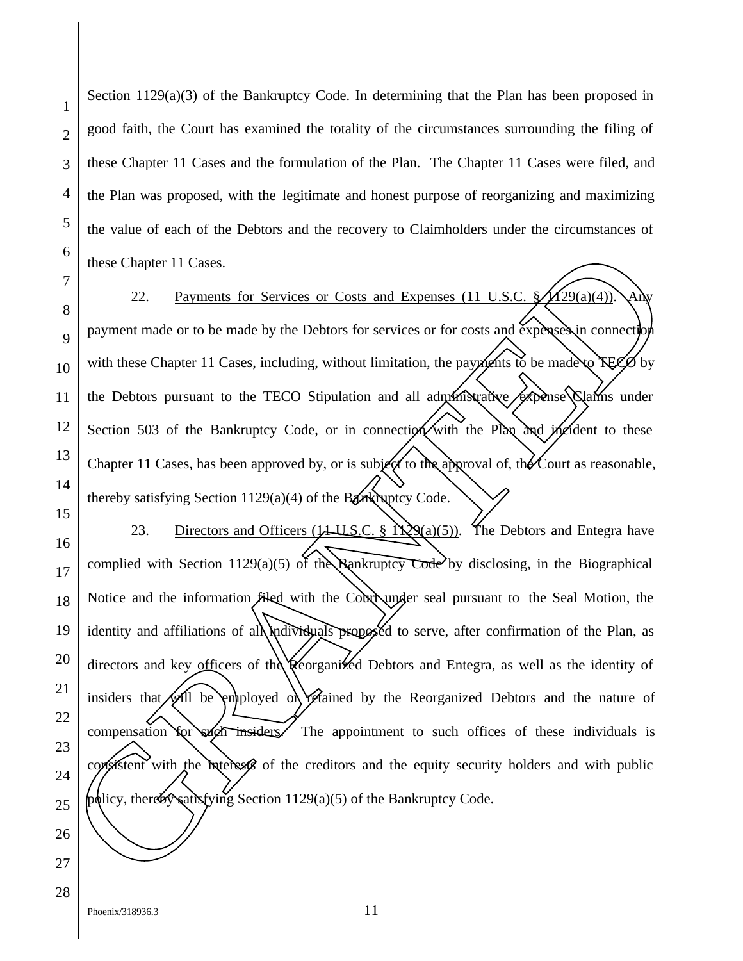1

2

3

Section  $1129(a)(3)$  of the Bankruptcy Code. In determining that the Plan has been proposed in good faith, the Court has examined the totality of the circumstances surrounding the filing of these Chapter 11 Cases and the formulation of the Plan. The Chapter 11 Cases were filed, and the Plan was proposed, with the legitimate and honest purpose of reorganizing and maximizing the value of each of the Debtors and the recovery to Claimholders under the circumstances of these Chapter 11 Cases.

22. Payments for Services or Costs and Expenses (11 U.S.C.  $\mathcal{A}$ 129(a)(4)). Any payment made or to be made by the Debtors for services or for costs and expenses in connection with these Chapter 11 Cases, including, without limitation, the payments to be made to TECO by the Debtors pursuant to the TECO Stipulation and all administrative expense Quality under Section 503 of the Bankruptcy Code, or in connection with the Plan and incident to these Chapter 11 Cases, has been approved by, or is subject to the approval of, the Court as reasonable, thereby satisfying Section  $1129(a)(4)$  of the Bankruptcy Code.

23. Directors and Officers (11 U.S.C. §  $\angle Q(a)(5)$ ). The Debtors and Entegra have complied with Section 1129(a)(5) of the Bankruptcy Code by disclosing, in the Biographical Notice and the information filed with the Court under seal pursuant to the Seal Motion, the identity and affiliations of all *individuals* proposed to serve, after confirmation of the Plan, as directors and key officers of the Reorganized Debtors and Entegra, as well as the identity of insiders that will be employed or retained by the Reorganized Debtors and the nature of compensation for such insiders. The appointment to such offices of these individuals is consistent with the interests of the creditors and the equity security holders and with public proper above Chapter 11 Cases.<br>
The approximation of the Debrois of Costs and Expenses (11 U.S.C.  $\sqrt{1290 \text{ A}}$  Value (2)<br>
19 payment made or to be made by the Debrois for services or for costs and expenses in connection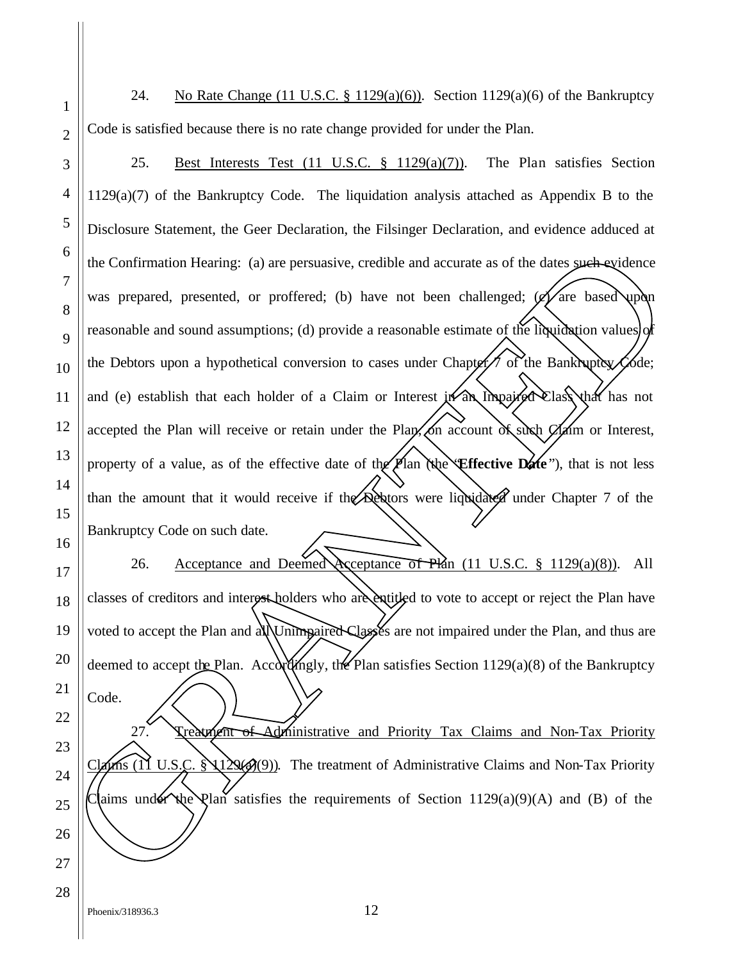24. No Rate Change (11 U.S.C. § 1129(a)(6)). Section 1129(a)(6) of the Bankruptcy Code is satisfied because there is no rate change provided for under the Plan.

25. Best Interests Test (11 U.S.C. § 1129(a)(7)). The Plan satisfies Section 1129(a)(7) of the Bankruptcy Code. The liquidation analysis attached as Appendix B to the Disclosure Statement, the Geer Declaration, the Filsinger Declaration, and evidence adduced at the Confirmation Hearing: (a) are persuasive, credible and accurate as of the dates such evidence was prepared, presented, or proffered; (b) have not been challenged;  $\mathscr{A}$  are based upon reasonable and sound assumptions; (d) provide a reasonable estimate of the liquidation values of the Debtors upon a hypothetical conversion to cases under Chapter  $\tau$  of the Bankruptcy Code; and (e) establish that each holder of a Claim or Interest  $\mathbf{a}$  in Imparted Class that has not accepted the Plan will receive or retain under the Plan, on account of such  $C$  am or Interest, property of a value, as of the effective date of the Plan (the **Effective Date**"), that is not less than the amount that it would receive if the Debtors were liquidated under Chapter 7 of the Bankruptcy Code on such date. But Confirmation Hearing: (a) are persuasive, credible and accurate as of the dates <u>youth ev</u>idence<br>
Represented, not profite ed. (b) have not been challenged: (a) for the reservation and a sumptions (d) provide a reason

26. Acceptance and Deemed Acceptance of Plan (11 U.S.C. § 1129(a)(8)). All classes of creditors and interest holders who are entitled to vote to accept or reject the Plan have voted to accept the Plan and all Unimpaired Classes are not impaired under the Plan, and thus are deemed to accept the Plan. Accordingly, the Plan satisfies Section  $1129(a)(8)$  of the Bankruptcy

Treatment of Administrative and Priority Tax Claims and Non-Tax Priority  $\lim_{\Delta t \to 0} (1)$  U.S.C.  $\lim_{\Delta t \to 0} (9)$ . The treatment of Administrative Claims and Non-Tax Priority

1

2

3

4

5

6

7

8

9

10

11

12

13

14

15

16

17

18

19

20

21

Code.

22

23

24

25

26

27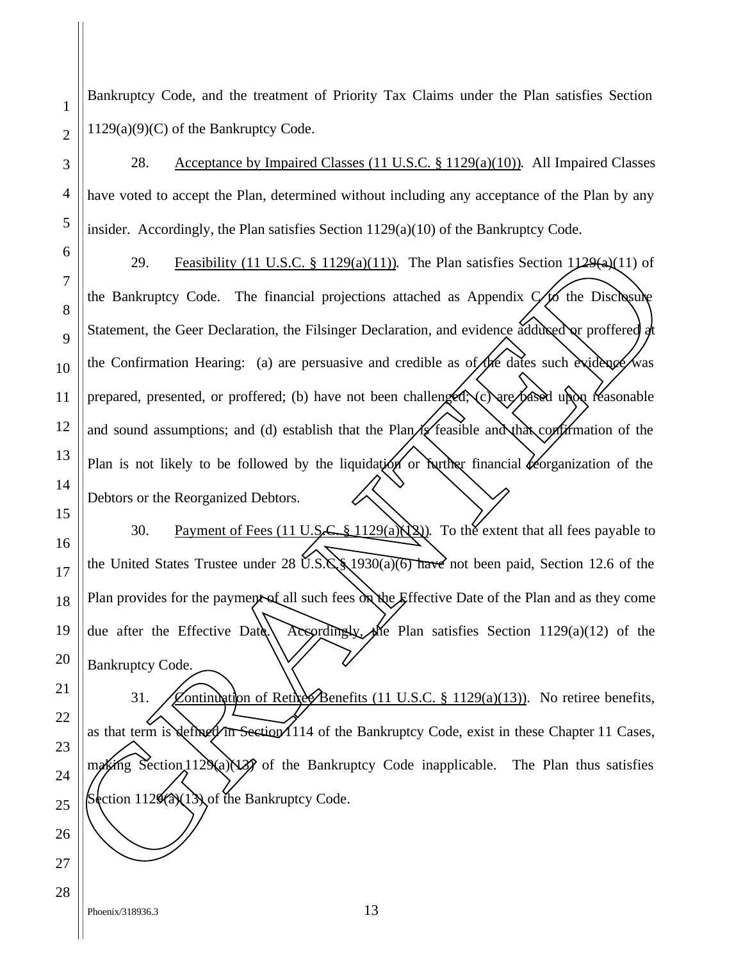Bankruptcy Code, and the treatment of Priority Tax Claims under the Plan satisfies Section  $1129(a)(9)(C)$  of the Bankruptcy Code.

28. Acceptance by Impaired Classes (11 U.S.C. § 1129(a)(10)). All Impaired Classes have voted to accept the Plan, determined without including any acceptance of the Plan by any insider. Accordingly, the Plan satisfies Section  $1129(a)(10)$  of the Bankruptcy Code.

29. Feasibility (11 U.S.C.  $\S$  1129(a)(11)). The Plan satisfies Section 1129(a)(11) of the Bankruptcy Code. The financial projections attached as Appendix  $\mathcal{C}/\mathcal{C}$  the Disclosure Statement, the Geer Declaration, the Filsinger Declaration, and evidence adduced or proffered at the Confirmation Hearing: (a) are persuasive and credible as  $of$  the dates such evidence was prepared, presented, or proffered; (b) have not been challenged; (c) are based upon reasonable and sound assumptions; and (d) establish that the Plan  $\mathcal{U}$  feasible and that confirmation of the Plan is not likely to be followed by the liquidation or further financial *for exerganization* of the Debtors or the Reorganized Debtors. 29. Feasibility (11 U.S.C. 8 1129(a)(11)). The Plan satisfies Section 1129(a)(11) of<br>
8 the Bankruptcy Code. The financial projections attached as Appendix (6 the Discharage<br>
9 Statement, the Geer Declaration, the Filsing

30. Payment of Fees (11 U.S.C. § 1129(a) $\chi$ 2). To the extent that all fees payable to the United States Trustee under 28  $U.S.S.S.$  1930(a)(6) have not been paid, Section 12.6 of the Plan provides for the payment of all such fees  $\partial x$  the Effective Date of the Plan and as they come due after the Effective Date. Acsordingly, the Plan satisfies Section 1129(a)(12) of the Bankruptcy Code.

31. Continuation of Retire Benefits (11 U.S.C. § 1129(a)(13)). No retiree benefits, as that term is defined in Section 1114 of the Bankruptcy Code, exist in these Chapter 11 Cases, making Section 1129(a)(13) of the Bankruptcy Code inapplicable. The Plan thus satisfies

Phoenix/318936.3 13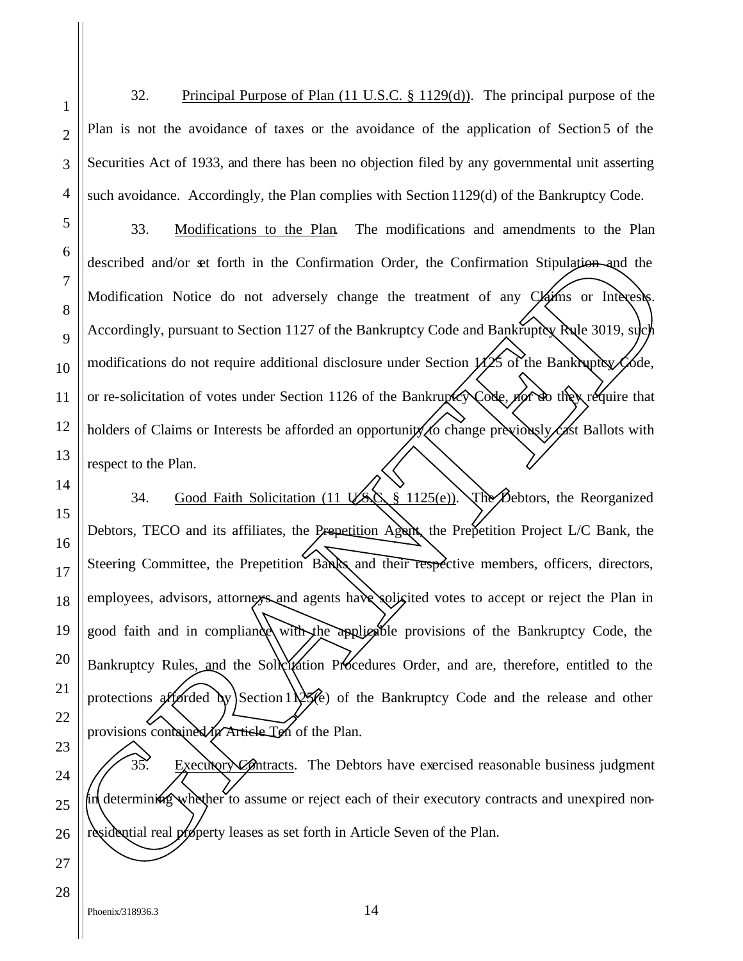1 2 3 4 5 6 7 8 32. Principal Purpose of Plan (11 U.S.C. § 1129(d)). The principal purpose of the Plan is not the avoidance of taxes or the avoidance of the application of Section5 of the Securities Act of 1933, and there has been no objection filed by any governmental unit asserting such avoidance. Accordingly, the Plan complies with Section 1129(d) of the Bankruptcy Code. 33. Modifications to the Plan. The modifications and amendments to the Plan described and/or set forth in the Confirmation Order, the Confirmation Stipulation and the Modification Notice do not adversely change the treatment of any Claims or Interests.

Accordingly, pursuant to Section 1127 of the Bankruptcy Code and Bankruptcy Rule 3019, such modifications do not require additional disclosure under Section  $\mathcal{W}$ 25 of the Bankruptcy Code, or re-solicitation of votes under Section 1126 of the Bankruptcy Code, nor do they require that holders of Claims or Interests be afforded an opportunity to change previously cast Ballots with respect to the Plan.

14 15 16 34. Good Faith Solicitation (11  $\overrightarrow{V}$ SS § 1125(e)). The Debtors, the Reorganized Debtors, TECO and its affiliates, the Prepetition Agent, the Prepetition Project L/C Bank, the Steering Committee, the Prepetition Banks and their respective members, officers, directors, employees, advisors, attorneys and agents have soligited votes to accept or reject the Plan in good faith and in compliance with the applicable provisions of the Bankruptcy Code, the Bankruptcy Rules, and the Solicitation Procedures Order, and are, therefore, entitled to the protections afforded by Section 1125 $\ell$ e) of the Bankruptcy Code and the release and other provisions contained in Article Ten of the Plan. residential and/or set forth in the Confirmation Order, the Confirmation Stipulation and the Modification Notice do not adversely change the teatment of any  $\chi_{\text{min}}$  Modification Notice do not adversely change the teatm

35. Æxecutory Contracts. The Debtors have exercised reasonable business judgment in determining whether to assume or reject each of their executory contracts and unexpired non-

9

10

11

12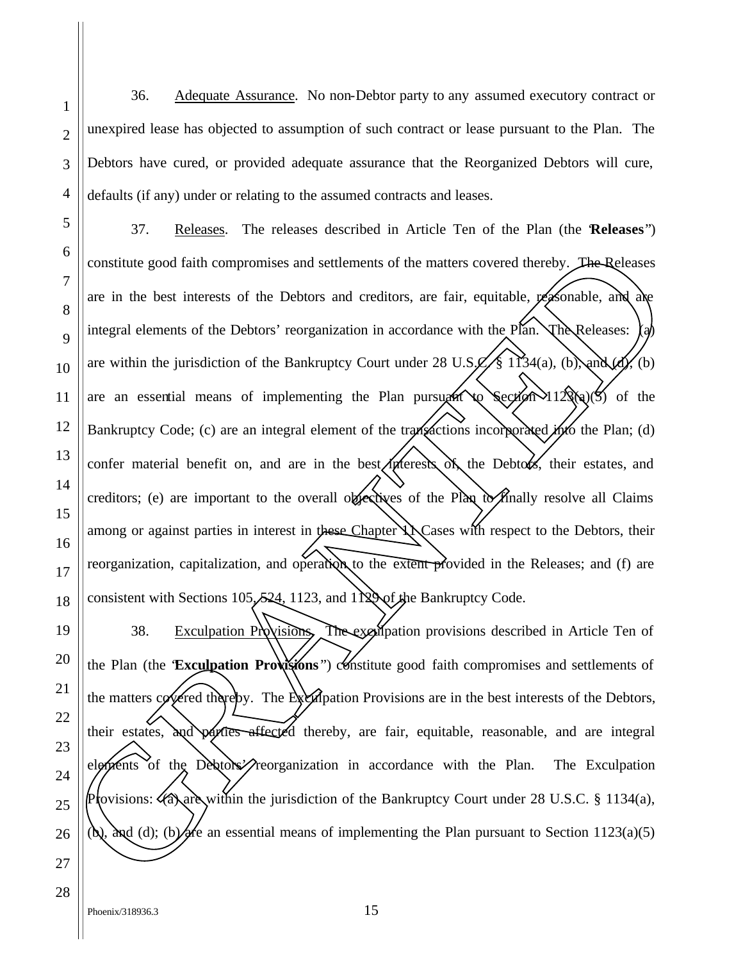36. Adequate Assurance. No non-Debtor party to any assumed executory contract or unexpired lease has objected to assumption of such contract or lease pursuant to the Plan. The Debtors have cured, or provided adequate assurance that the Reorganized Debtors will cure, defaults (if any) under or relating to the assumed contracts and leases.

37. Releases. The releases described in Article Ten of the Plan (the "**Releases**") constitute good faith compromises and settlements of the matters covered thereby. The Releases are in the best interests of the Debtors and creditors, are fair, equitable, reasonable, and are integral elements of the Debtors' reorganization in accordance with the Plan. The Releases: are within the jurisdiction of the Bankruptcy Court under 28 U.S.C. § 1134(a), (b), and (d), (b) are an essential means of implementing the Plan pursuant to Section  $123(a)(5)$  of the Bankruptcy Code; (c) are an integral element of the transactions incorporated into the Plan; (d) confer material benefit on, and are in the best interests of the Debtors, their estates, and creditors; (e) are important to the overall objectives of the Plan to finally resolve all Claims among or against parties in interest in these Chapter XX Cases with respect to the Debtors, their reorganization, capitalization, and operation to the extent provided in the Releases; and (f) are consistent with Sections 105, 524, 1123, and 1129 of the Bankruptcy Code. The consistent period of the matter is and settlements of the matters covered thereby. The Releases are air the best interests of the Debtors and creditors, are fair, equitable, exploration and a<br>
B interal elements of th

38. Exculpation Provisions, The exculpation provisions described in Article Ten of the Plan (the **Exculpation Provisions**") constitute good faith compromises and settlements of the matters covered thereby. The Exculpation Provisions are in the best interests of the Debtors, their estates, and parties affected thereby, are fair, equitable, reasonable, and are integral elements of the Debtors' reorganization in accordance with the Plan. The Exculpation Provisions: (a) are within the jurisdiction of the Bankruptcy Court under 28 U.S.C. § 1134(a),

1

2

3

4

5

6

7

8

9

10

11

12

13

14

15

16

17

18

19

20

21

22

23

24

25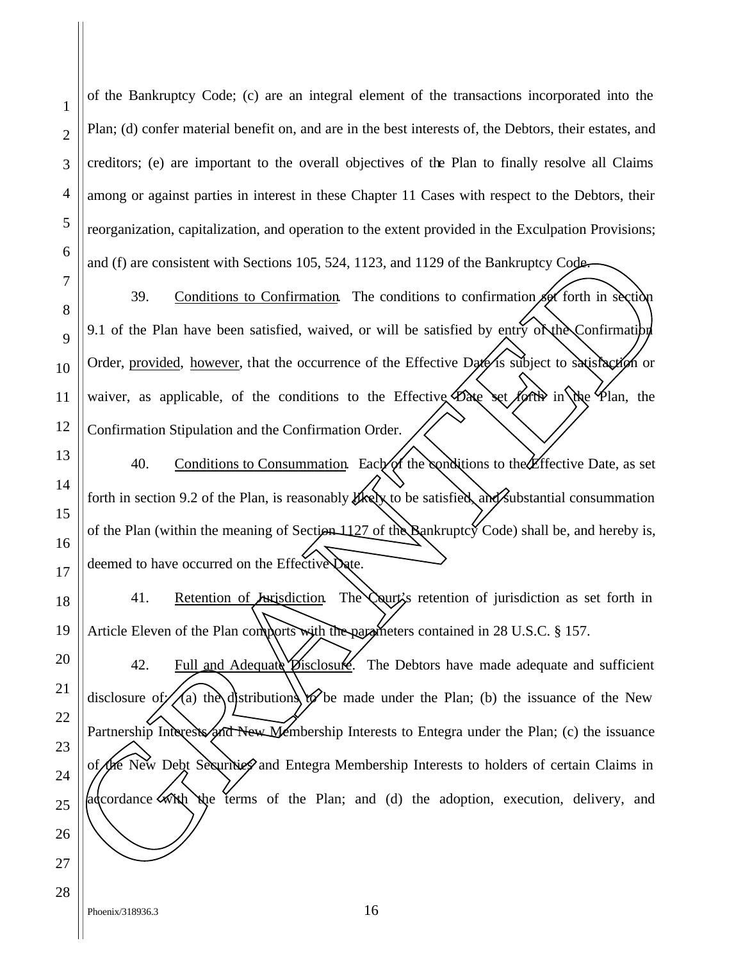of the Bankruptcy Code; (c) are an integral element of the transactions incorporated into the Plan; (d) confer material benefit on, and are in the best interests of, the Debtors, their estates, and creditors; (e) are important to the overall objectives of the Plan to finally resolve all Claims among or against parties in interest in these Chapter 11 Cases with respect to the Debtors, their reorganization, capitalization, and operation to the extent provided in the Exculpation Provisions; and (f) are consistent with Sections 105, 524, 1123, and 1129 of the Bankruptcy Code.

39. Conditions to Confirmation. The conditions to confirmation set forth in section 9.1 of the Plan have been satisfied, waived, or will be satisfied by entry  $\delta \chi$ the Confirmation Order, provided, however, that the occurrence of the Effective Date is subject to satisfaction or waiver, as applicable, of the conditions to the Effective  $\bigotimes$  set forth in the Plan, the Confirmation Stipulation and the Confirmation Order.

40. Conditions to Consummation. Each of the conditions to the Effective Date, as set forth in section 9.2 of the Plan, is reasonably  $\frac{d}{dx}$  to be satisfied, and substantial consummation of the Plan (within the meaning of Section 1127 of the Bankruptcy Code) shall be, and hereby is, deemed to have occurred on the Effective Date.

41. Retention of Jurisdiction. The Court's retention of jurisdiction as set forth in Article Eleven of the Plan comports with the parameters contained in 28 U.S.C. § 157.

42. Full and Adequate  $\mathcal{D}_1$  isclosure. The Debtors have made adequate and sufficient disclosure of  $\ell/(a)$  the distributions to be made under the Plan; (b) the issuance of the New Partnership Interests and New Membership Interests to Entegra under the Plan; (c) the issuance of the New Debt Securities and Entegra Membership Interests to holders of certain Claims in and (f) are consistent with Sections 105, 524, 1123, and 1129 of the Bankruptcy Code<br>
39. Conditions to Confirmation The conditions to confirmation of forth in excity<br>
89. J. of the Plan have been satisfied, waived, or wi

1

2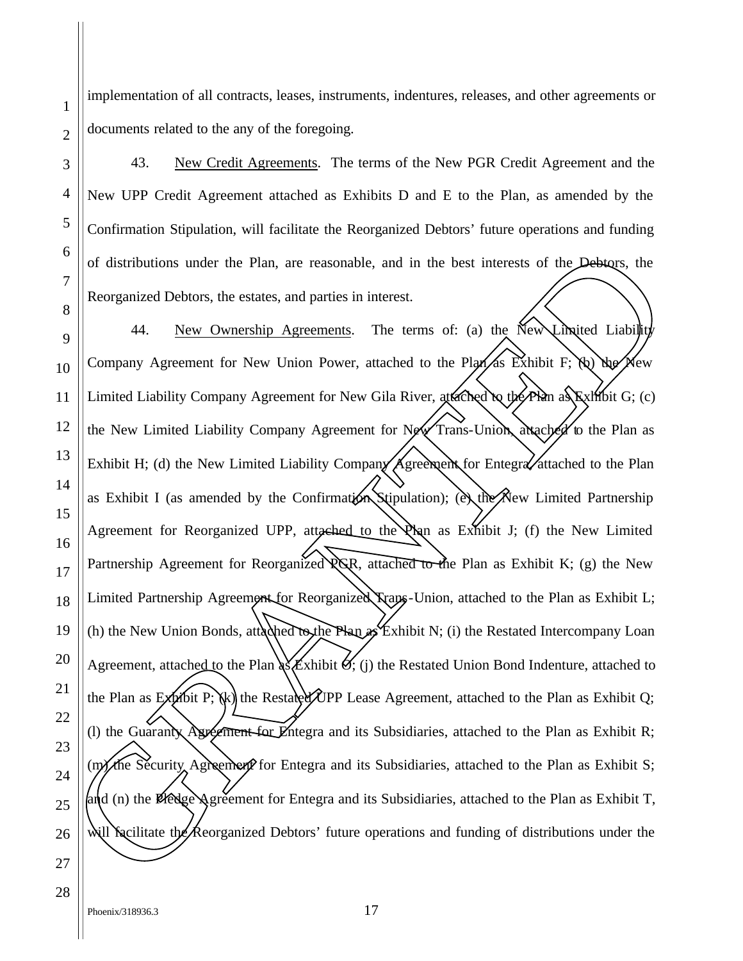implementation of all contracts, leases, instruments, indentures, releases, and other agreements or documents related to the any of the foregoing.

43. New Credit Agreements. The terms of the New PGR Credit Agreement and the New UPP Credit Agreement attached as Exhibits D and E to the Plan, as amended by the Confirmation Stipulation, will facilitate the Reorganized Debtors' future operations and funding of distributions under the Plan, are reasonable, and in the best interests of the Debtors, the Reorganized Debtors, the estates, and parties in interest.

44. New Ownership Agreements. The terms of: (a) the New Limited Liability Company Agreement for New Union Power, attached to the Plan as Exhibit F; (b) the New Limited Liability Company Agreement for New Gila River, attached to the Plan as Exhibit G; (c) the New Limited Liability Company Agreement for New Trans-Union, attached to the Plan as Exhibit H; (d) the New Limited Liability Company  $\bigwedge$  greement for Entegra $\bigvee$ attached to the Plan as Exhibit I (as amended by the Confirmation Stipulation); (ex the New Limited Partnership Agreement for Reorganized UPP, attached to the  $\lambda$  as Exhibit J; (f) the New Limited Partnership Agreement for Reorganized  $\chi$ GR, attached to the Plan as Exhibit K; (g) the New Limited Partnership Agreement for Reorganized Trans-Union, attached to the Plan as Exhibit L; (h) the New Union Bonds, attached to the Plan as Exhibit N; (i) the Restated Intercompany Loan Agreement, attached to the Plan  $\frac{\lambda}{\lambda}$  Exhibit  $\mathcal{A}$ ; (j) the Restated Union Bond Indenture, attached to the Plan as  $Ex$  which P; (k) the Restated UPP Lease Agreement, attached to the Plan as Exhibit Q; (I) the Guaranty Agreement for Entegra and its Subsidiaries, attached to the Plan as Exhibit R; (m) the Security Agreement for Entegra and its Subsidiaries, attached to the Plan as Exhibit S; and (n) the Pledge Agreement for Entegra and its Subsidiaries, attached to the Plan as Exhibit T, or distributions under the Plan, are reasonable, and in the best interests of the Debtors, the exponential Debtors, the estates, and parties in interest.<br>
Becognaized Debtors, the estates, and parties in interest.<br>
The te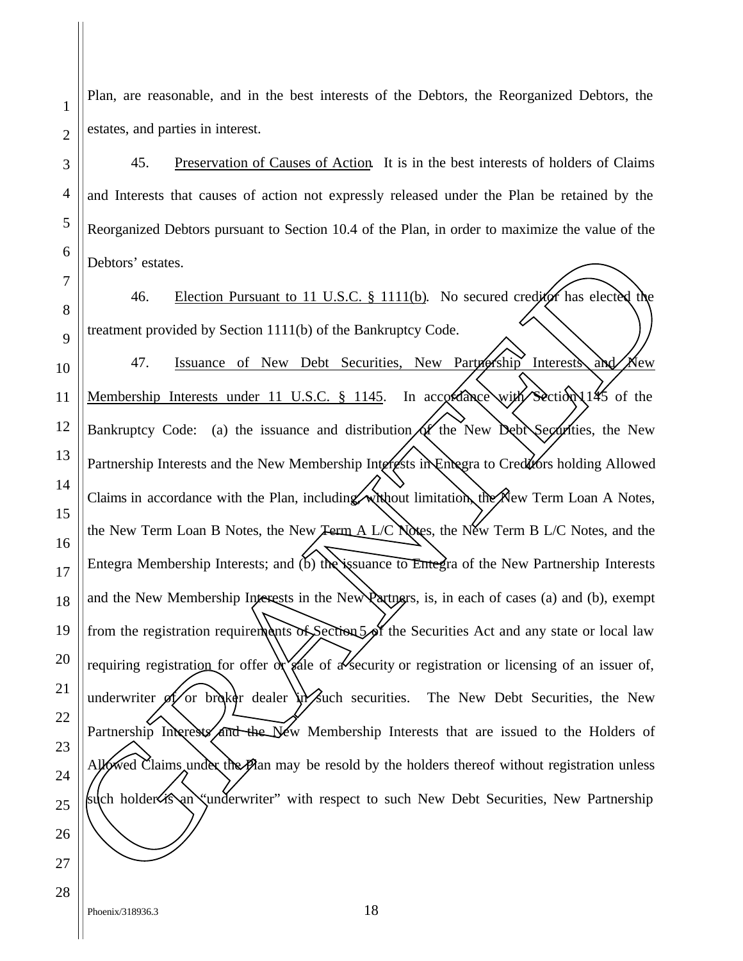Plan, are reasonable, and in the best interests of the Debtors, the Reorganized Debtors, the estates, and parties in interest.

45. Preservation of Causes of Action. It is in the best interests of holders of Claims and Interests that causes of action not expressly released under the Plan be retained by the Reorganized Debtors pursuant to Section 10.4 of the Plan, in order to maximize the value of the Debtors' estates.

46. Election Pursuant to 11 U.S.C. § 1111(b). No secured creditor has elected the treatment provided by Section 1111(b) of the Bankruptcy Code. 47. Issuance of New Debt Securities, New Partnership Interests and New Membership Interests under 11 U.S.C. § 1145. In accordance with Section 145 of the Bankruptcy Code: (a) the issuance and distribution  $\alpha$  the New Debt Securities, the New Partnership Interests and the New Membership Interests in Entegra to Creditors holding Allowed Claims in accordance with the Plan, including, without limitation, the New Term Loan A Notes, the New Term Loan B Notes, the New Term A L/C Notes, the New Term B L/C Notes, and the Entegra Membership Interests; and (b) the issuance to Entegra of the New Partnership Interests and the New Membership Interests in the New Partners, is, in each of cases (a) and (b), exempt from the registration requirements of Section 5 of the Securities Act and any state or local law requiring registration for offer  $\alpha$  sale of a security or registration or licensing of an issuer of, underwriter  $\oint$  or broker dealer in such securities. The New Debt Securities, the New Partnership Interests and the New Membership Interests that are issued to the Holders of Allowed Claims under the Plan may be resold by the holders thereof without registration unless Behors' estates.<br>
The Election Pursuant to 11 U.S.C. 8 1111(b). No secured credit thas electro the Electron provided by Section 1111(b) of the Bankruptcy Code.<br>
1 Membership Interests under 11 U.S.C. 8 1145. In accordance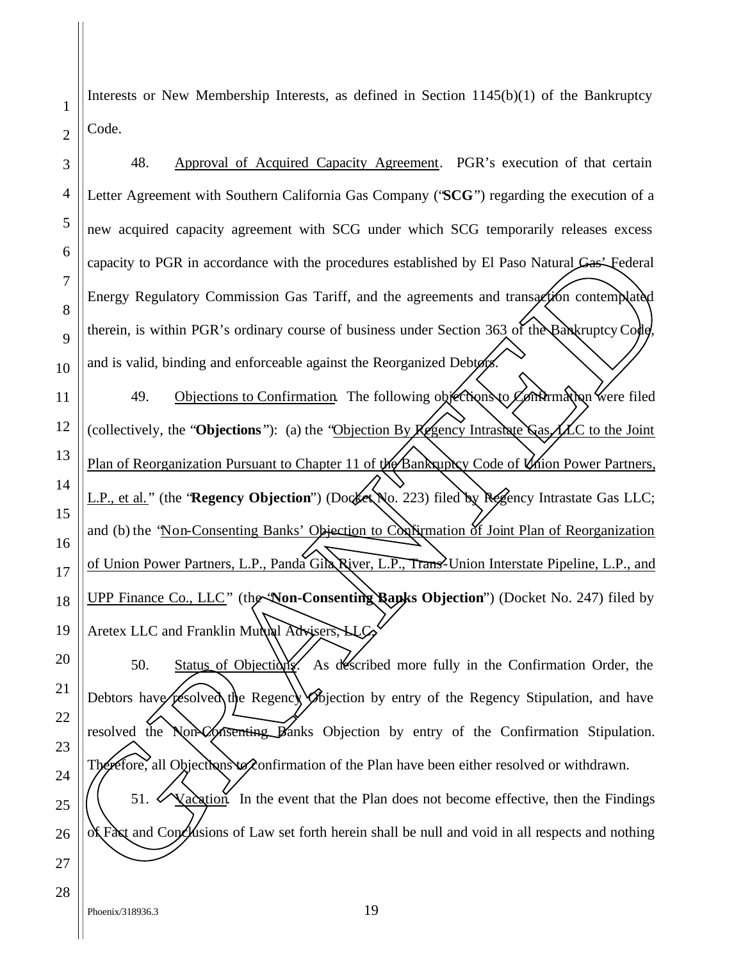Interests or New Membership Interests, as defined in Section 1145(b)(1) of the Bankruptcy Code.

3 4 5 6 7 8 9 10 11 12 13 14 15 16 17 18 19 20 21 48. Approval of Acquired Capacity Agreement. PGR's execution of that certain Letter Agreement with Southern California Gas Company ("**SCG**") regarding the execution of a new acquired capacity agreement with SCG under which SCG temporarily releases excess capacity to PGR in accordance with the procedures established by El Paso Natural Gas' Federal Energy Regulatory Commission Gas Tariff, and the agreements and transaction contemplated therein, is within PGR's ordinary course of business under Section 363 of the Bankruptcy Code, and is valid, binding and enforceable against the Reorganized Debtors. 49. Objections to Confirmation. The following objections to Confirmation were filed (collectively, the "**Objections** "): (a) the "Objection By Regency Intrastate Gas, LLC to the Joint Plan of Reorganization Pursuant to Chapter 11 of the Bankruptcy Code of Union Power Partners, L.P., et al." (the "**Regency Objection**") (Docket No. 223) filed by Regency Intrastate Gas LLC; and (b) the 'Non-Consenting Banks' Objection to Confirmation of Joint Plan of Reorganization of Union Power Partners, L.P., Panda Gila River, L.P., Trans-Union Interstate Pipeline, L.P., and UPP Finance Co., LLC" (the "**Non-Consenting Banks Objection**") (Docket No. 247) filed by Aretex LLC and Franklin Mutual Advisers, LLC 50. Status of Objections. As described more fully in the Confirmation Order, the Debtors have resolved the Regency Objection by entry of the Regency Stipulation, and have resolved the Non-Consenting Banks Objection by entry of the Confirmation Stipulation. 50. Status of Objection As described more fully in the Confirmation of the Regency Stips and Conclusions to Confirmation of the Plan have been either resolved in all represents to confirmation of the Plan have been either cordance with the procedures established by El Paso Natural Gas-Federal<br>
commission Gas Tariff, and the agreements and transaction contemplated<br>
is ordinary course of business under Section 363 of the Bankruptcy Code,<br>
and

Therefore, all *O*bjections to confirmation of the Plan have been either resolved or withdrawn.

51. Vacation. In the event that the Plan does not become effective, then the Findings  $\partial f$  Fast and Conclusions of Law set forth herein shall be null and void in all respects and nothing

1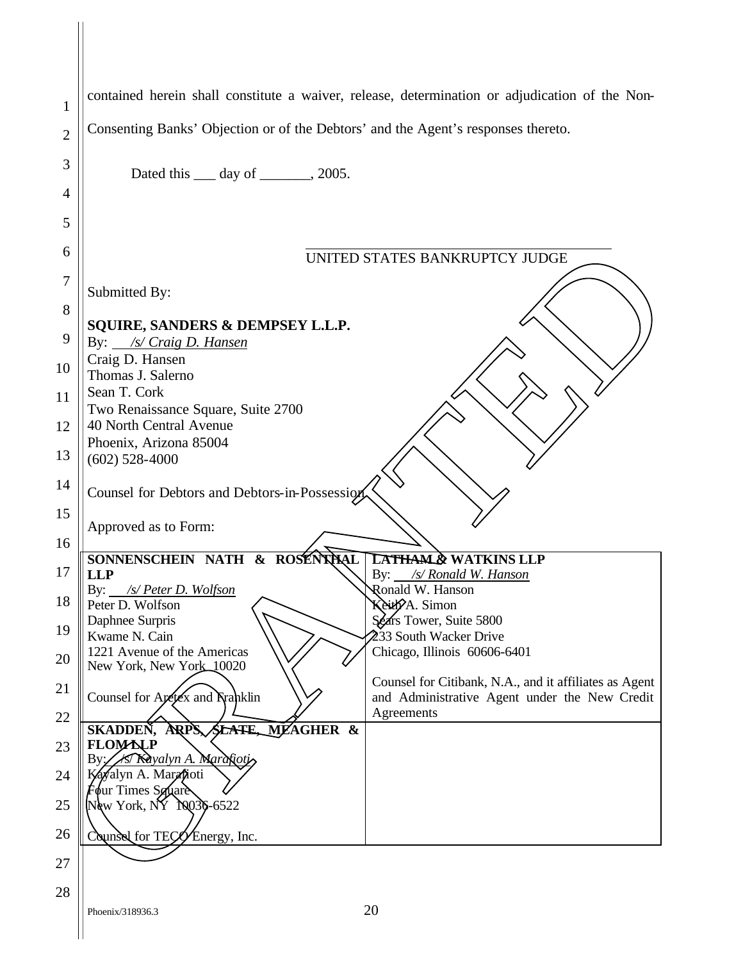| 1              | contained herein shall constitute a waiver, release, determination or adjudication of the Non-         |
|----------------|--------------------------------------------------------------------------------------------------------|
| $\overline{2}$ | Consenting Banks' Objection or of the Debtors' and the Agent's responses thereto.                      |
| 3              | Dated this $\_\_\_$ day of $\_\_\_\_$ , 2005.                                                          |
| 4              |                                                                                                        |
| 5              |                                                                                                        |
| 6              | UNITED STATES BANKRUPTCY JUDGE                                                                         |
| 7<br>8         | Submitted By:                                                                                          |
| 9              | SQUIRE, SANDERS & DEMPSEY L.L.P.<br>By: /s/ Craig D. Hansen                                            |
| 10             | Craig D. Hansen<br>Thomas J. Salerno                                                                   |
| 11             | Sean T. Cork                                                                                           |
| 12             | Two Renaissance Square, Suite 2700<br>40 North Central Avenue                                          |
| 13             | Phoenix, Arizona 85004<br>$(602)$ 528-4000                                                             |
| 14             | Counsel for Debtors and Debtors-in-Possession                                                          |
| 15             | Approved as to Form:                                                                                   |
| 16             | SONNENSCHEIN NATH<br>& ROSENTHAL<br>& WATKINS LLP                                                      |
| 17             | By: /s/ Ronald W. Hanson<br><b>LLP</b><br>Ronald W. Hanson<br>By:<br>/s/ Peter D. Wolfson              |
| 18             | Peter D. Wolfson<br>Keitle A. Simon<br>Daphnee Surpris<br>Sears Tower, Suite 5800                      |
| 19<br>20       | 233 South Wacker Drive<br>Kwame N. Cain<br>1221 Avenue of the Americas<br>Chicago, Illinois 60606-6401 |
| 21             | New York, New York 10020<br>Counsel for Citibank, N.A., and it affiliates as Agent                     |
| 22             | Counsel for Aretex and Franklin<br>and Administrative Agent under the New Credit<br>Agreements         |
| 23             | <b>SKADDEN.</b><br>ARPS<br>SLATE, MEAGHER &<br>FLOWLLP                                                 |
| 24             | 1st Kayalyn A. Marafioti,<br>Вy<br>Kayalyn A. Marafioti<br>Four Times Square                           |
| 25             | New York, NY 10030-6522                                                                                |
| 26             | Counse for TECO Energy, Inc.                                                                           |
| 27             |                                                                                                        |
| 28             | 20<br>Phoenix/318936.3                                                                                 |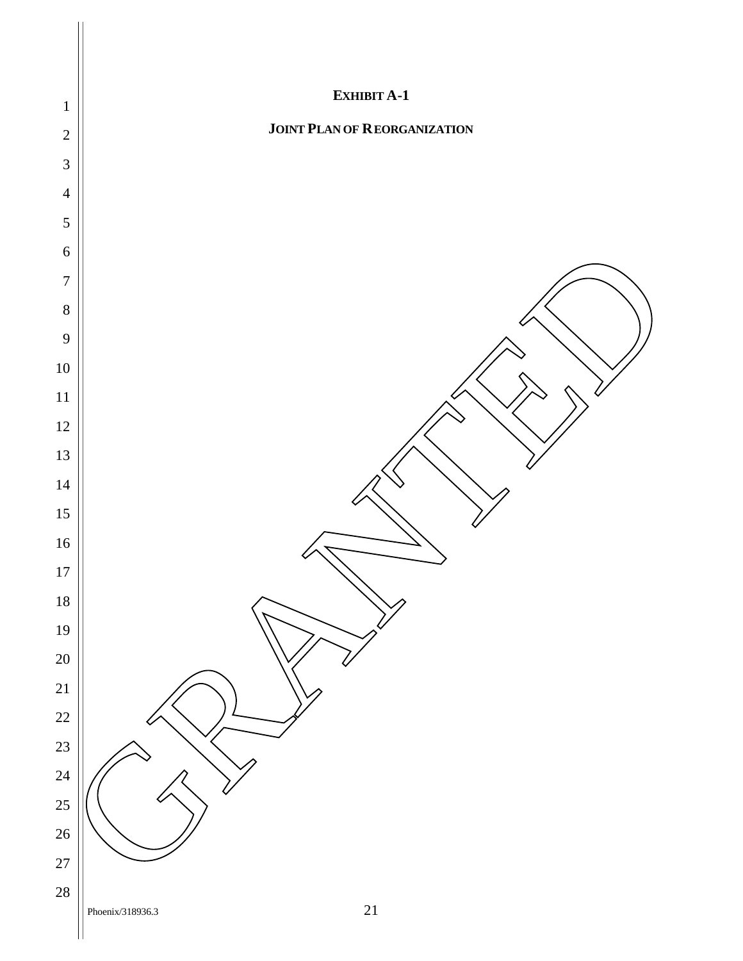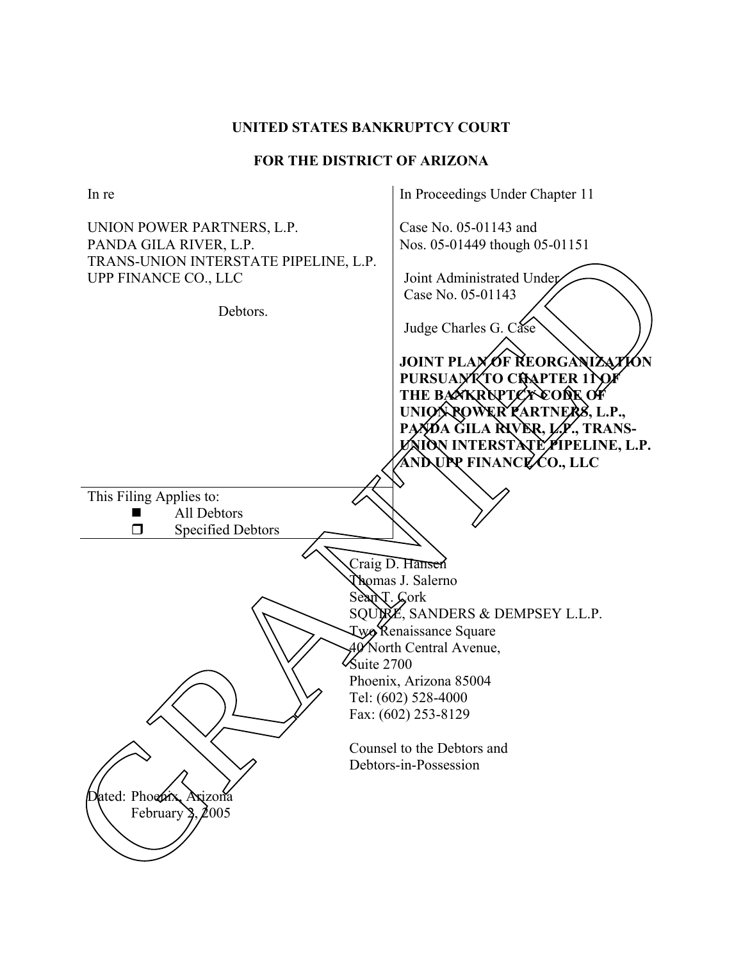### **UNITED STATES BANKRUPTCY COURT**

## **FOR THE DISTRICT OF ARIZONA**

In re UNION POWER PARTNERS, L.P. PANDA GILA RIVER, L.P. TRANS-UNION INTERSTATE PIPELINE, L.P. UPP FINANCE CO., LLC Debtors. In Proceedings Under Chapter 11 Case No. 05-01143 and Nos. 05-01449 though 05-01151 Joint Administrated Under Case No. 05-01143 Judge Charles G. Case **JOINT PLAX OF REORGANIZATION** PURSUA**NT TO CHARTER 11 OF THE BANKRUPTCY CODE OF UNION POWER PARTNERS, L.P.,**  PAYDA GILA **RIVER, L.P., TRANS-UON INTERSTATE PIPELINE, L.P. AND UPP FINANCE CO., LLC**  This Filing Applies to: **All Debtors**  $\Box$  Specified Debtors Craig D. Hansen Thomas J. Salerno Sean T. Cork SQUIRE, SANDERS & DEMPSEY L.L.P. Two Renaissance Square 40 North Central Avenue,  $\frac{1}{2}$ Suite 2700 Phoenix, Arizona 85004 Tel: (602) 528-4000 Fax: (602) 253-8129 Counsel to the Debtors and Debtors-in-Possession Dated: Phoenix, Axizona<br>February 2. 2005 FRANCE CO., LLC<br>
TRANS-LINION INTERSTATE PIPELINE, 1.P.<br>
UPP FINANCE CO., LLC<br>
Debtors.<br>
UPP FINANCE CO., LLC<br>
Debtors.<br>
THE BANKERY ATO CONSULTION<br>
THE BANKERY AND THE DEVELOPMENT COUNCIL PIPELING.<br>
THE BANKERY AND THE D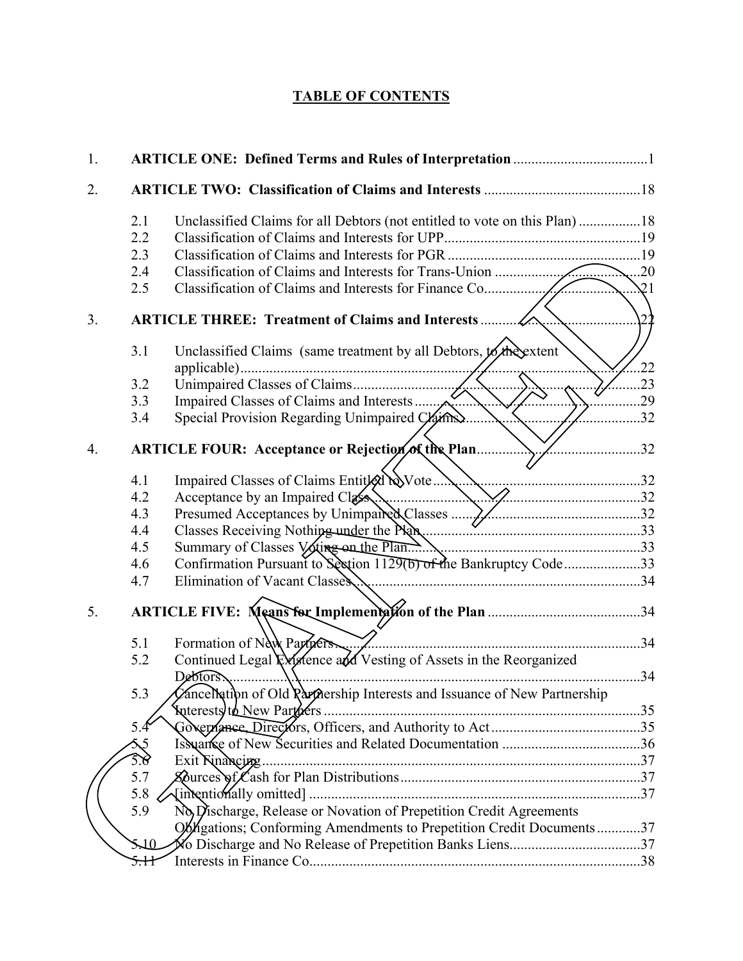# **TABLE OF CONTENTS**

| 1.             |                                                                                            |                     |
|----------------|--------------------------------------------------------------------------------------------|---------------------|
| 2.             |                                                                                            |                     |
|                | 2.1                                                                                        |                     |
|                | 2.2                                                                                        |                     |
|                | 2.3                                                                                        |                     |
|                | 2.4                                                                                        |                     |
|                | 2.5                                                                                        | $\mathcal{Q}1$<br>. |
| 3 <sub>1</sub> |                                                                                            |                     |
|                | Unclassified Claims (same treatment by all Debtors, to the extent<br>3.1                   | .22                 |
|                | 3.2                                                                                        | .23                 |
|                | 3.3                                                                                        | .29                 |
|                | Special Provision Regarding Unimpaired Claims.<br>3.4                                      | .32                 |
| 4.             | ARTICLE FOUR: Acceptance or Rejection of the Plan                                          | .32                 |
|                | 4.1                                                                                        |                     |
|                | 4.2<br>Acceptance by an Impaired Class                                                     |                     |
|                | 4.3                                                                                        |                     |
|                | 4.4                                                                                        |                     |
|                | 4.5                                                                                        |                     |
|                | 4.6                                                                                        |                     |
|                | Elimination of Vacant Classes Ammunical Classes 24<br>4.7                                  |                     |
| 5.             |                                                                                            |                     |
|                | Formation of New Partners.<br>5.1                                                          |                     |
|                | Continued Legal River early Vesting of Assets in the Reorganized<br>5.2                    |                     |
|                | Debtors                                                                                    |                     |
|                | CanceNation of Old Partnership Interests and Issuance of New Partnership<br>5.3            |                     |
|                | <b>Suterest to New Partners.</b>                                                           |                     |
|                | 5.4                                                                                        |                     |
|                | $\Im$                                                                                      |                     |
|                | Exit Rinancing<br>5.6                                                                      |                     |
|                | 5.7                                                                                        |                     |
|                | $5.8^{\circ}$<br>No Discharge, Release or Novation of Prepetition Credit Agreements<br>5.9 |                     |
|                |                                                                                            |                     |
|                | Oblegations; Conforming Amendments to Prepetition Credit Documents37                       |                     |
|                | Xo Discharge and No Release of Prepetition Banks Liens37<br>5.10                           |                     |
|                | <del>5.H</del>                                                                             |                     |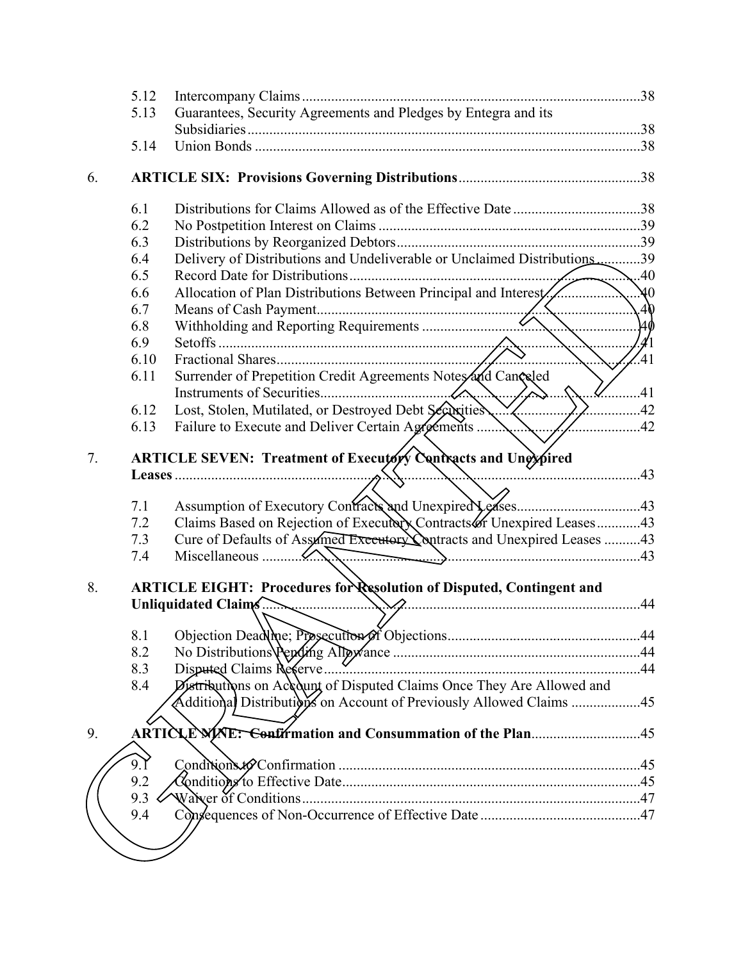| 5.12 |                                                                                      |                                                                                                                                                                                                                                                                                                                                                                                                                                                                                                                                                                                                                                                                                                                                                                                                                       |
|------|--------------------------------------------------------------------------------------|-----------------------------------------------------------------------------------------------------------------------------------------------------------------------------------------------------------------------------------------------------------------------------------------------------------------------------------------------------------------------------------------------------------------------------------------------------------------------------------------------------------------------------------------------------------------------------------------------------------------------------------------------------------------------------------------------------------------------------------------------------------------------------------------------------------------------|
| 5.13 |                                                                                      |                                                                                                                                                                                                                                                                                                                                                                                                                                                                                                                                                                                                                                                                                                                                                                                                                       |
|      |                                                                                      |                                                                                                                                                                                                                                                                                                                                                                                                                                                                                                                                                                                                                                                                                                                                                                                                                       |
| 5.14 |                                                                                      |                                                                                                                                                                                                                                                                                                                                                                                                                                                                                                                                                                                                                                                                                                                                                                                                                       |
|      |                                                                                      |                                                                                                                                                                                                                                                                                                                                                                                                                                                                                                                                                                                                                                                                                                                                                                                                                       |
| 6.1  |                                                                                      |                                                                                                                                                                                                                                                                                                                                                                                                                                                                                                                                                                                                                                                                                                                                                                                                                       |
| 6.2  |                                                                                      |                                                                                                                                                                                                                                                                                                                                                                                                                                                                                                                                                                                                                                                                                                                                                                                                                       |
| 6.3  |                                                                                      |                                                                                                                                                                                                                                                                                                                                                                                                                                                                                                                                                                                                                                                                                                                                                                                                                       |
| 6.4  |                                                                                      |                                                                                                                                                                                                                                                                                                                                                                                                                                                                                                                                                                                                                                                                                                                                                                                                                       |
| 6.5  |                                                                                      | .40                                                                                                                                                                                                                                                                                                                                                                                                                                                                                                                                                                                                                                                                                                                                                                                                                   |
| 6.6  |                                                                                      | $\lambda 0$                                                                                                                                                                                                                                                                                                                                                                                                                                                                                                                                                                                                                                                                                                                                                                                                           |
| 6.7  |                                                                                      | .40                                                                                                                                                                                                                                                                                                                                                                                                                                                                                                                                                                                                                                                                                                                                                                                                                   |
|      |                                                                                      | .4þ                                                                                                                                                                                                                                                                                                                                                                                                                                                                                                                                                                                                                                                                                                                                                                                                                   |
|      |                                                                                      | $\mathcal{A}1$                                                                                                                                                                                                                                                                                                                                                                                                                                                                                                                                                                                                                                                                                                                                                                                                        |
|      |                                                                                      | $\overline{.41}$                                                                                                                                                                                                                                                                                                                                                                                                                                                                                                                                                                                                                                                                                                                                                                                                      |
|      |                                                                                      |                                                                                                                                                                                                                                                                                                                                                                                                                                                                                                                                                                                                                                                                                                                                                                                                                       |
|      |                                                                                      |                                                                                                                                                                                                                                                                                                                                                                                                                                                                                                                                                                                                                                                                                                                                                                                                                       |
|      |                                                                                      | .42                                                                                                                                                                                                                                                                                                                                                                                                                                                                                                                                                                                                                                                                                                                                                                                                                   |
|      |                                                                                      | .42                                                                                                                                                                                                                                                                                                                                                                                                                                                                                                                                                                                                                                                                                                                                                                                                                   |
|      |                                                                                      |                                                                                                                                                                                                                                                                                                                                                                                                                                                                                                                                                                                                                                                                                                                                                                                                                       |
|      |                                                                                      |                                                                                                                                                                                                                                                                                                                                                                                                                                                                                                                                                                                                                                                                                                                                                                                                                       |
|      |                                                                                      |                                                                                                                                                                                                                                                                                                                                                                                                                                                                                                                                                                                                                                                                                                                                                                                                                       |
|      |                                                                                      |                                                                                                                                                                                                                                                                                                                                                                                                                                                                                                                                                                                                                                                                                                                                                                                                                       |
|      |                                                                                      |                                                                                                                                                                                                                                                                                                                                                                                                                                                                                                                                                                                                                                                                                                                                                                                                                       |
|      |                                                                                      |                                                                                                                                                                                                                                                                                                                                                                                                                                                                                                                                                                                                                                                                                                                                                                                                                       |
|      |                                                                                      | .44                                                                                                                                                                                                                                                                                                                                                                                                                                                                                                                                                                                                                                                                                                                                                                                                                   |
|      |                                                                                      |                                                                                                                                                                                                                                                                                                                                                                                                                                                                                                                                                                                                                                                                                                                                                                                                                       |
|      |                                                                                      |                                                                                                                                                                                                                                                                                                                                                                                                                                                                                                                                                                                                                                                                                                                                                                                                                       |
| 8.2  |                                                                                      |                                                                                                                                                                                                                                                                                                                                                                                                                                                                                                                                                                                                                                                                                                                                                                                                                       |
|      |                                                                                      |                                                                                                                                                                                                                                                                                                                                                                                                                                                                                                                                                                                                                                                                                                                                                                                                                       |
|      |                                                                                      |                                                                                                                                                                                                                                                                                                                                                                                                                                                                                                                                                                                                                                                                                                                                                                                                                       |
|      | Additional Distributions on Account of Previously Allowed Claims 45                  |                                                                                                                                                                                                                                                                                                                                                                                                                                                                                                                                                                                                                                                                                                                                                                                                                       |
|      |                                                                                      |                                                                                                                                                                                                                                                                                                                                                                                                                                                                                                                                                                                                                                                                                                                                                                                                                       |
| 9.1  |                                                                                      |                                                                                                                                                                                                                                                                                                                                                                                                                                                                                                                                                                                                                                                                                                                                                                                                                       |
|      |                                                                                      |                                                                                                                                                                                                                                                                                                                                                                                                                                                                                                                                                                                                                                                                                                                                                                                                                       |
|      |                                                                                      |                                                                                                                                                                                                                                                                                                                                                                                                                                                                                                                                                                                                                                                                                                                                                                                                                       |
| 9.2  |                                                                                      |                                                                                                                                                                                                                                                                                                                                                                                                                                                                                                                                                                                                                                                                                                                                                                                                                       |
| 9.3  |                                                                                      |                                                                                                                                                                                                                                                                                                                                                                                                                                                                                                                                                                                                                                                                                                                                                                                                                       |
| 9.4  |                                                                                      |                                                                                                                                                                                                                                                                                                                                                                                                                                                                                                                                                                                                                                                                                                                                                                                                                       |
|      | 6.8<br>6.9<br>6.10<br>6.11<br>6.12<br>6.13<br>7.1<br>7.2<br>7.3<br>7.4<br>8.3<br>8.4 | Guarantees, Security Agreements and Pledges by Entegra and its<br>Delivery of Distributions and Undeliverable or Unclaimed Distributions39<br>Allocation of Plan Distributions Between Principal and Interest<br>Surrender of Prepetition Credit Agreements Notes and Canceled<br>$\mathcal{U}$ 41<br>Lost, Stolen, Mutilated, or Destroyed Debt Securities<br>Failure to Execute and Deliver Certain Agreements<br>ARTICLE SEVEN: Treatment of Executory Contracts and Unexpired<br>Claims Based on Rejection of Executory Contracts of Unexpired Leases43<br>Cure of Defaults of Assamed Executory Contracts and Unexpired Leases 43<br><b>ARTICLE EIGHT: Procedures for Resolution of Disputed, Contingent and</b><br>Unliquidated Claims<br>Distributions on Account of Disputed Claims Once They Are Allowed and |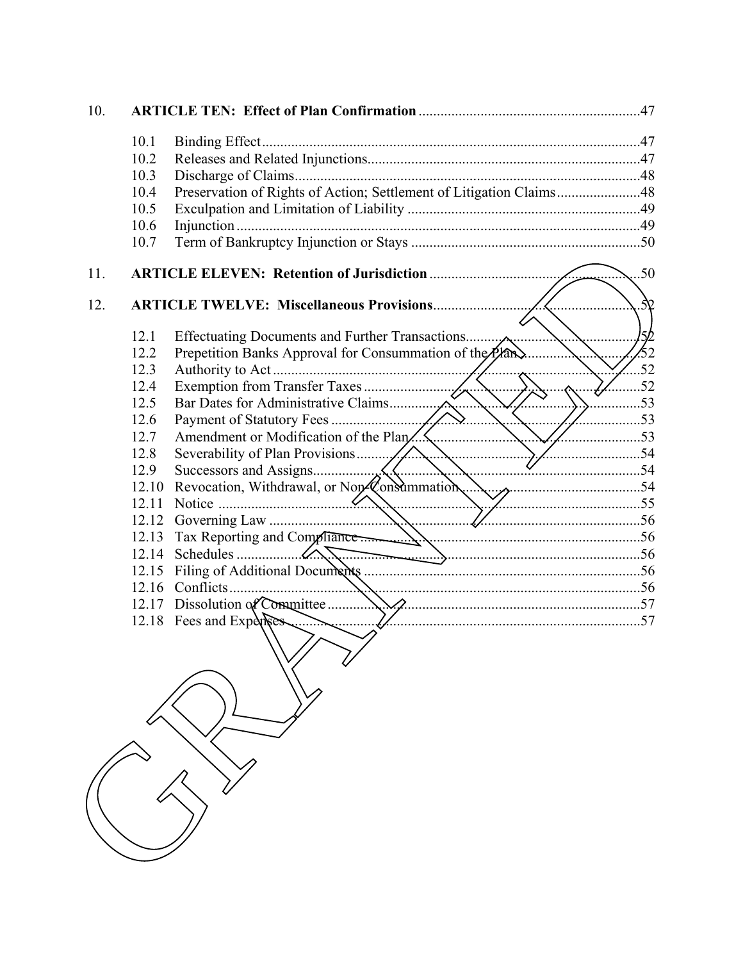| 10. |       |                                                                     |                |
|-----|-------|---------------------------------------------------------------------|----------------|
|     | 10.1  |                                                                     |                |
|     | 10.2  |                                                                     |                |
|     | 10.3  |                                                                     |                |
|     | 10.4  | Preservation of Rights of Action; Settlement of Litigation Claims48 |                |
|     | 10.5  |                                                                     |                |
|     | 10.6  |                                                                     |                |
|     | 10.7  |                                                                     |                |
| 11. |       | <b>ARTICLE ELEVEN: Retention of Jurisdiction </b>                   | .50            |
| 12. |       |                                                                     | $\mathcal{R}$  |
|     |       |                                                                     |                |
|     | 12.1  |                                                                     | $\frac{1}{52}$ |
|     | 12.2  | Prepetition Banks Approval for Consummation of the Plan             |                |
|     | 12.3  |                                                                     | .52            |
|     | 12.4  |                                                                     | $\dots 52$     |
|     | 12.5  |                                                                     | $\sim$ 53      |
|     | 12.6  | Amendment or Modification of the Plan                               |                |
|     | 12.7  | $\overline{53}$                                                     |                |
|     | 12.8  | $\sim$ 54                                                           |                |
|     | 12.9  | (. )                                                                |                |
|     | 12.10 |                                                                     |                |
|     |       |                                                                     |                |
|     |       |                                                                     |                |
|     | 12.13 |                                                                     |                |
|     | 12.14 |                                                                     |                |
|     |       | 12.15 Filing of Additional Documents                                |                |
|     |       |                                                                     |                |
|     |       | 12.18 Fees and Experience                                           |                |
|     |       |                                                                     |                |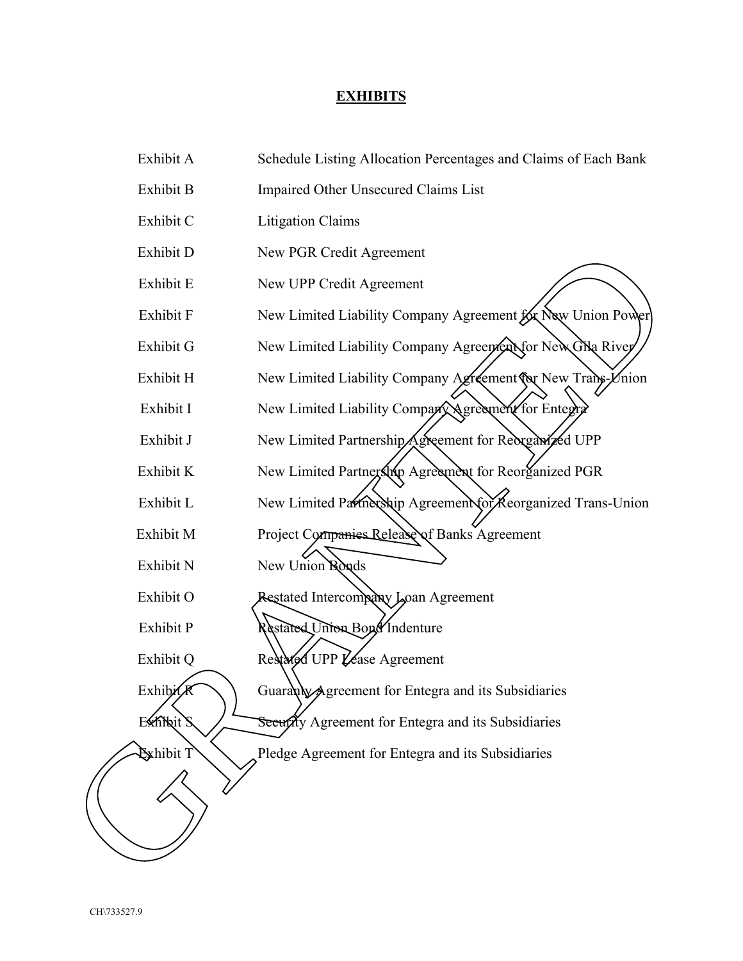# **EXHIBITS**

| Exhibit A         | Schedule Listing Allocation Percentages and Claims of Each Bank |
|-------------------|-----------------------------------------------------------------|
| Exhibit B         | Impaired Other Unsecured Claims List                            |
| Exhibit C         | <b>Litigation Claims</b>                                        |
| Exhibit D         | New PGR Credit Agreement                                        |
| Exhibit E         | New UPP Credit Agreement                                        |
| Exhibit F         | New Limited Liability Company Agreement for New Union Power     |
| Exhibit G         | New Limited Liability Company Agreement for New GNa River       |
| Exhibit H         | New Limited Liability Company Agreement for New Trans-Vnion     |
| Exhibit I         | New Limited Liability Company Agreement for Entegral            |
| Exhibit J         | New Limited Partnership Agreement for Reorganized UPP           |
| Exhibit K         | New Limited Partnership Agreement for Reorganized PGR           |
| Exhibit L         | New Limited Partnership Agreement for Keorganized Trans-Union   |
| Exhibit M         | Project Companies Release of Banks Agreement                    |
| Exhibit N         | New Union Ronds                                                 |
| Exhibit O         | Restated Intercompany Loan Agreement                            |
| Exhibit P         | Restated Union Bond Indenture                                   |
| Exhibit Q         | Restated UPP Lease Agreement                                    |
| <b>ExhibitR</b>   | Guaranty Agreement for Entegra and its Subsidiaries             |
| <b>Exhibit</b>    | Seeurchy Agreement for Entegra and its Subsidiaries             |
| <b>Ex</b> hibit T | Pledge Agreement for Entegra and its Subsidiaries               |
|                   |                                                                 |
|                   |                                                                 |
|                   |                                                                 |
|                   |                                                                 |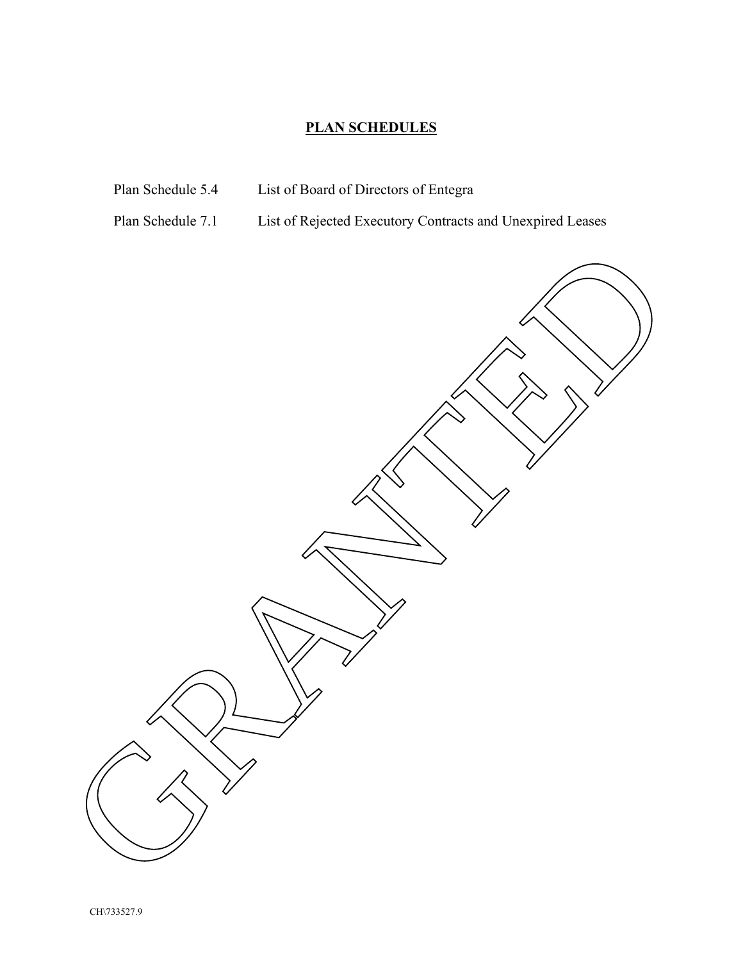# **PLAN SCHEDULES**

- 
- Plan Schedule 5.4 List of Board of Directors of Entegra
- Plan Schedule 7.1 List of Rejected Executory Contracts and Unexpired Leases

GRANTED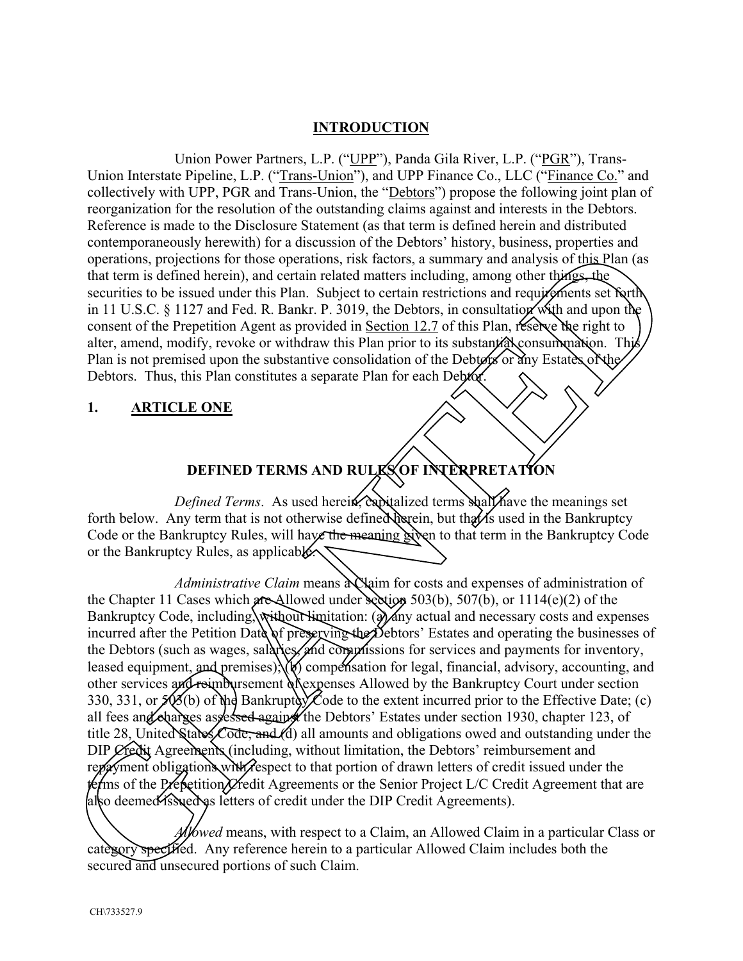## **INTRODUCTION**

Union Power Partners, L.P. ("UPP"), Panda Gila River, L.P. ("PGR"), Trans-Union Interstate Pipeline, L.P. ("Trans-Union"), and UPP Finance Co., LLC ("Finance Co." and collectively with UPP, PGR and Trans-Union, the "Debtors") propose the following joint plan of reorganization for the resolution of the outstanding claims against and interests in the Debtors. Reference is made to the Disclosure Statement (as that term is defined herein and distributed contemporaneously herewith) for a discussion of the Debtors' history, business, properties and operations, projections for those operations, risk factors, a summary and analysis of this Plan (as that term is defined herein), and certain related matters including, among other things, the securities to be issued under this Plan. Subject to certain restrictions and requirements set forth in 11 U.S.C. § 1127 and Fed. R. Bankr. P. 3019, the Debtors, in consultation with and upon the consent of the Prepetition Agent as provided in Section 12.7 of this Plan, reserve the right to alter, amend, modify, revoke or withdraw this Plan prior to its substantial consummation. The Plan is not premised upon the substantive consolidation of the Debtors or any Estates of the Debtors. Thus, this Plan constitutes a separate Plan for each Debtor.

#### **1. ARTICLE ONE**

# **DEFINED TERMS AND RULKS OF INTERPRETATION**

*Defined Terms*. As used herein, capitalized terms shall have the meanings set forth below. Any term that is not otherwise defined determines but that is used in the Bankruptcy Code or the Bankruptcy Rules, will have the meaning given to that term in the Bankruptcy Code or the Bankruptcy Rules, as applicable.

*Administrative Claim* means a Qaim for costs and expenses of administration of the Chapter 11 Cases which are Allowed under section 503(b), 507(b), or 1114(e)(2) of the Bankruptcy Code, including, without limitation: (a) any actual and necessary costs and expenses incurred after the Petition Date of preserving the Debtors' Estates and operating the businesses of the Debtors (such as wages, salarles, and comprissions for services and payments for inventory, leased equipment, and premises);  $W$  compensation for legal, financial, advisory, accounting, and other services and reimbursement of expenses Allowed by the Bankruptcy Court under section 330, 331, or  $\sharp$  (3(b) of the Bankruptcy Code to the extent incurred prior to the Effective Date; (c) all fees and charges assessed against the Debtors' Estates under section 1930, chapter 123, of title 28. United States Code; and (d) all amounts and obligations owed and outstanding under the DIP Credit Agreements (including, without limitation, the Debtors' reimbursement and repayment obligations with respect to that portion of drawn letters of credit issued under the ferms of the Prepetition Credit Agreements or the Senior Project L/C Credit Agreement that are also deemed issued as letters of credit under the DIP Credit Agreements). structure of the United Details of the Chapter 10 Case who we are the such that the Direct Code of the Superintes and the UNIS Controls and the UNIS Controls of the SUPER CLAIM and the UNIS CONTROL and the UNIS CONTROL an

*Allowed* means, with respect to a Claim, an Allowed Claim in a particular Class or category specified. Any reference herein to a particular Allowed Claim includes both the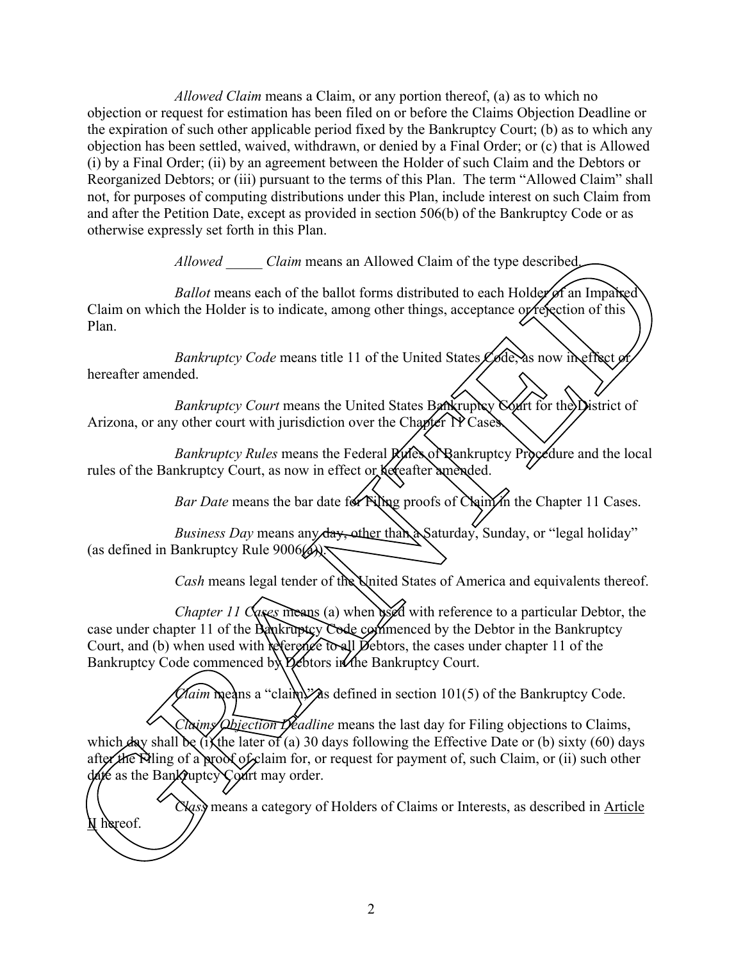*Allowed Claim* means a Claim, or any portion thereof, (a) as to which no objection or request for estimation has been filed on or before the Claims Objection Deadline or the expiration of such other applicable period fixed by the Bankruptcy Court; (b) as to which any objection has been settled, waived, withdrawn, or denied by a Final Order; or (c) that is Allowed (i) by a Final Order; (ii) by an agreement between the Holder of such Claim and the Debtors or Reorganized Debtors; or (iii) pursuant to the terms of this Plan. The term "Allowed Claim" shall not, for purposes of computing distributions under this Plan, include interest on such Claim from and after the Petition Date, except as provided in section 506(b) of the Bankruptcy Code or as otherwise expressly set forth in this Plan.

*Allowed \_\_\_\_\_ Claim* means an Allowed Claim of the type described.

*Ballot* means each of the ballot forms distributed to each Holder of an Impaired Claim on which the Holder is to indicate, among other things, acceptance or refection of this Plan.

*Bankruptcy Code* means title 11 of the United States Code, as now in effect or hereafter amended.

*Bankruptcy Court* means the United States Bankruptcy Court for the District of Arizona, or any other court with jurisdiction over the Chapter TP Cases.

*Bankruptcy Rules* means the Federal *Kyfes* of Bankruptcy Procedure and the local rules of the Bankruptcy Court, as now in effect or hereafter amended.

*Bar Date* means the bar date for Filing proofs of Claim in the Chapter 11 Cases.

*Business Day* means any day, other than a Saturday, Sunday, or "legal holiday" (as defined in Bankruptcy Rule  $9006(A)$ ).

*Cash* means legal tender of the United States of America and equivalents thereof.

*Chapter 11 Cases* means (a) when used with reference to a particular Debtor, the case under chapter 11 of the Bankruptcy Code commenced by the Debtor in the Bankruptcy Court, and (b) when used with reference to all Debtors, the cases under chapter 11 of the Bankruptcy Code commenced by Debtors in the Bankruptcy Court.

*Claim* means a "claim," as defined in section 101(5) of the Bankruptcy Code.

*Claims Objection Deadline* means the last day for Filing objections to Claims, which  $\hat{d}$ ay shall be (i) the later of (a) 30 days following the Effective Date or (b) sixty (60) days after the Filing of a proof of claim for, or request for payment of, such Claim, or (ii) such other date as the Bankruptcy Court may order. Altowed Claim means an Allowed Claim of the type described<br>
Ballot means such of the bullot forms distributed to each Hold of an Implies<br>
Cluim on which the Holder is to indicate, umong other things, acceptance of Section

*Class* means a category of Holders of Claims or Interests, as described in Article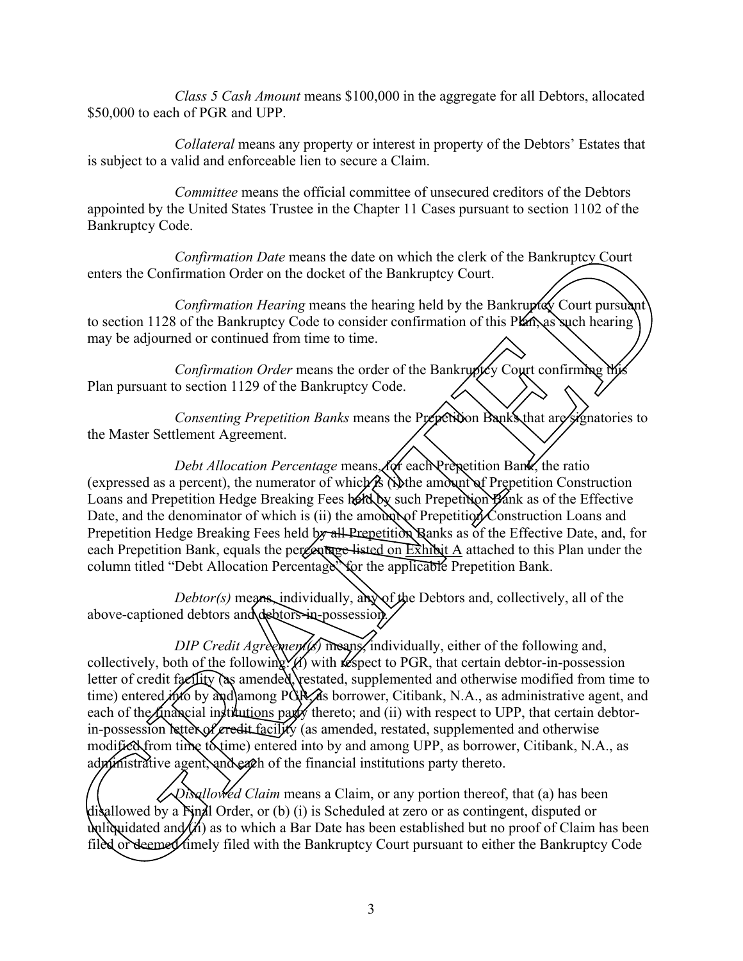*Class 5 Cash Amount* means \$100,000 in the aggregate for all Debtors, allocated \$50,000 to each of PGR and UPP.

*Collateral* means any property or interest in property of the Debtors' Estates that is subject to a valid and enforceable lien to secure a Claim.

*Committee* means the official committee of unsecured creditors of the Debtors appointed by the United States Trustee in the Chapter 11 Cases pursuant to section 1102 of the Bankruptcy Code.

*Confirmation Date* means the date on which the clerk of the Bankruptcy Court enters the Confirmation Order on the docket of the Bankruptcy Court.

*Confirmation Hearing* means the hearing held by the Bankruptdy Court pursuant to section 1128 of the Bankruptcy Code to consider confirmation of this Plan, as such hearing may be adjourned or continued from time to time.

*Confirmation Order* means the order of the Bankruptcy Court confirming the Plan pursuant to section 1129 of the Bankruptcy Code.

*Consenting Prepetition Banks* means the Prepetition Banks that are signatories to the Master Settlement Agreement.

*Debt Allocation Percentage* means, for each Prepetition Bank, the ratio (expressed as a percent), the numerator of which  $\hat{i}$  (i) the amount of Prepetition Construction Loans and Prepetition Hedge Breaking Fees keld by such Prepetition Bank as of the Effective Date, and the denominator of which is (ii) the amount of Prepetition Construction Loans and Prepetition Hedge Breaking Fees held by all Prepetition Banks as of the Effective Date, and, for each Prepetition Bank, equals the percentage listed on  $\overrightarrow{\text{Exhh}}$  attached to this Plan under the column titled "Debt Allocation Percentage" for the applicable Prepetition Bank. mation Date means the date on which the clerk of the Bankruptcy Court<br>n Order on the docket of the Bankruptcy Court.<br>Bankruptcy Coot to onsider confidence of the Bankruptcy Court<br>mation *Ilearing* means the hearing held by

*Debtor(s)* means, individually, any of the Debtors and, collectively, all of the above-captioned debtors and debtors-in-possession.

*DIP Credit Agreements* means, individually, either of the following and, collectively, both of the following  $\chi$  with respect to PGR, that certain debtor-in-possession letter of credit facility (as amended, restated, supplemented and otherwise modified from time to time) entered into by and among PGR, as borrower, Citibank, N.A., as administrative agent, and each of the financial institutions party thereto; and (ii) with respect to UPP, that certain debtorin-possession letter of credit facility (as amended, restated, supplemented and otherwise modified from time to time) entered into by and among UPP, as borrower, Citibank, N.A., as administrative agent, and each of the financial institutions party thereto. Filed or deemed timely filed with the Bankruptcy<br>filed or deemed timely filed with the Bankruptch<br>there is a memodel of the financial institutions part thereto; an<br>in-possession settles of credit facility (as amended<br>modif

*Disallowed Claim* means a Claim, or any portion thereof, that (a) has been disallowed by a Final Order, or (b) (i) is Scheduled at zero or as contingent, disputed or unliquidated and  $(h)$  as to which a Bar Date has been established but no proof of Claim has been filed or deemed imely filed with the Bankruptcy Court pursuant to either the Bankruptcy Code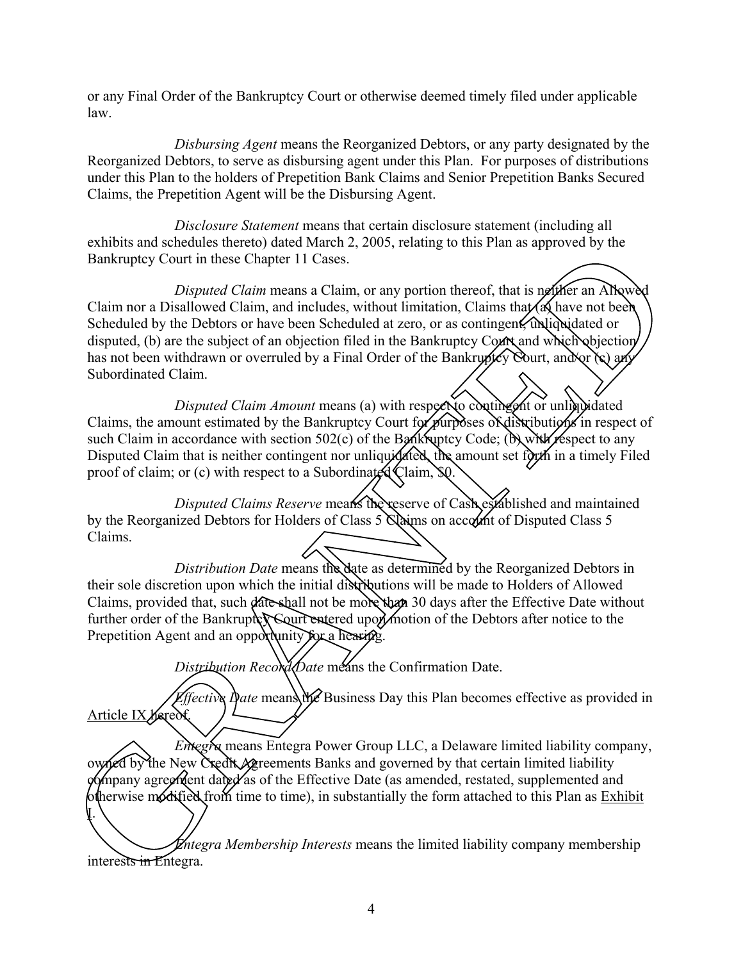or any Final Order of the Bankruptcy Court or otherwise deemed timely filed under applicable law.

*Disbursing Agent* means the Reorganized Debtors, or any party designated by the Reorganized Debtors, to serve as disbursing agent under this Plan. For purposes of distributions under this Plan to the holders of Prepetition Bank Claims and Senior Prepetition Banks Secured Claims, the Prepetition Agent will be the Disbursing Agent.

*Disclosure Statement* means that certain disclosure statement (including all exhibits and schedules thereto) dated March 2, 2005, relating to this Plan as approved by the Bankruptcy Court in these Chapter 11 Cases.

*Disputed Claim* means a Claim, or any portion thereof, that is neither an Albow Claim nor a Disallowed Claim, and includes, without limitation, Claims that  $\alpha$  have not been Scheduled by the Debtors or have been Scheduled at zero, or as contingent, unliquidated or disputed, (b) are the subject of an objection filed in the Bankruptcy Court and which objection has not been withdrawn or overruled by a Final Order of the Bankruptcy Court, and  $\chi$  and Subordinated Claim. Example of the Bankholm of the Bankholm of the Bankholm of the Bankholm of the Bankholm of the Bankholm of Claim me at Disalbused Claim means a Claim or any period the Bankholm of Claim is the Schematical of the Bankholm

*Disputed Claim Amount* means (a) with respect to contingent or unliquidated Claims, the amount estimated by the Bankruptcy Court for purposes of distributions in respect of such Claim in accordance with section  $502(c)$  of the Bankruptcy Code; (b) with respect to any Disputed Claim that is neither contingent nor unliquidated, the amount set forth in a timely Filed proof of claim; or (c) with respect to a Subordinated Claim,  $$0$ .

*Disputed Claims Reserve* means the reserve of Cash established and maintained by the Reorganized Debtors for Holders of Class 5 Claims on account of Disputed Class 5 Claims.

*Distribution Date* means the date as determined by the Reorganized Debtors in their sole discretion upon which the initial distributions will be made to Holders of Allowed Claims, provided that, such date shall not be more than 30 days after the Effective Date without further order of the Bankruptcy Court entered upon motion of the Debtors after notice to the Prepetition Agent and an opportunity for a hearing.

Distribution Record Date means the Confirmation Date.

*Effective Date* means the Business Day this Plan becomes effective as provided in Article IX hereof.

*Entegra* means Entegra Power Group LLC, a Delaware limited liability company, owned by the New Credit Agreements Banks and governed by that certain limited liability dompany agreement dated as of the Effective Date (as amended, restated, supplemented and otherwise modified from time to time), in substantially the form attached to this Plan as Exhibit I.

*Entegra Membership Interests* means the limited liability company membership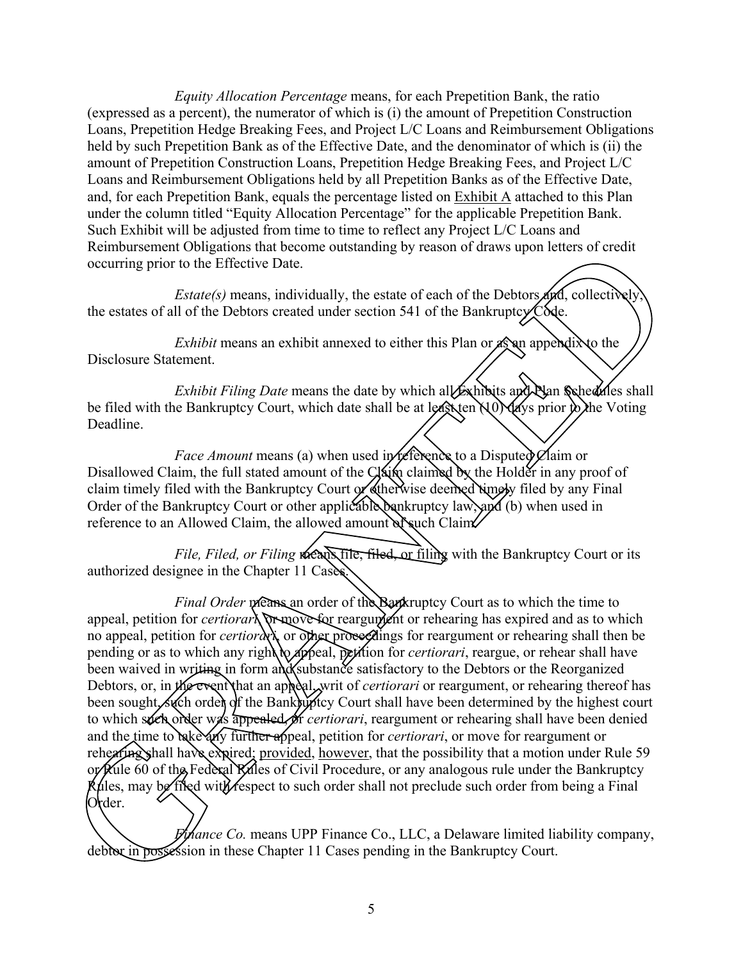*Equity Allocation Percentage* means, for each Prepetition Bank, the ratio (expressed as a percent), the numerator of which is (i) the amount of Prepetition Construction Loans, Prepetition Hedge Breaking Fees, and Project L/C Loans and Reimbursement Obligations held by such Prepetition Bank as of the Effective Date, and the denominator of which is (ii) the amount of Prepetition Construction Loans, Prepetition Hedge Breaking Fees, and Project L/C Loans and Reimbursement Obligations held by all Prepetition Banks as of the Effective Date, and, for each Prepetition Bank, equals the percentage listed on Exhibit A attached to this Plan under the column titled "Equity Allocation Percentage" for the applicable Prepetition Bank. Such Exhibit will be adjusted from time to time to reflect any Project L/C Loans and Reimbursement Obligations that become outstanding by reason of draws upon letters of credit occurring prior to the Effective Date.

*Estate(s)* means, individually, the estate of each of the Debtors and, collectively the estates of all of the Debtors created under section 541 of the Bankruptcy Code.

*Exhibit* means an exhibit annexed to either this Plan or  $\mathcal{A}$ s appendix to the Disclosure Statement.

*Exhibit Filing Date* means the date by which all Exhibits and Plan Schedules shall be filed with the Bankruptcy Court, which date shall be at least ten  $(10)$  days prior to the Voting Deadline.

*Face Amount* means (a) when used in reference to a Disputed Claim or Disallowed Claim, the full stated amount of the Claim claimed by the Holder in any proof of claim timely filed with the Bankruptcy Court or otherwise deemed timely filed by any Final Order of the Bankruptcy Court or other applicable bankruptcy law, and (b) when used in reference to an Allowed Claim, the allowed amount of such Claim

*File, Filed, or Filing means file, filed or filing with the Bankruptcy Court or its* authorized designee in the Chapter 11 Cases.

*Final Order* means an order of the Bankruptcy Court as to which the time to appeal, petition for *certiorari*, or move for reargument or rehearing has expired and as to which no appeal, petition for *certiorary* or other proceedings for reargument or rehearing shall then be pending or as to which any right to appeal, petition for *certiorari*, reargue, or rehear shall have been waived in writing in form and substance satisfactory to the Debtors or the Reorganized Debtors, or, in the event that an appeal, writ of *certiorari* or reargument, or rehearing thereof has been sought, such order of the Bankruptcy Court shall have been determined by the highest court to which such order was appealed, or *certiorari*, reargument or rehearing shall have been denied and the time to take any further appeal, petition for *certiorari*, or move for reargument or rehearing shall have expired; <u>provided, however</u>, that the possibility that a motion under For Kule 60 of  $\mathcal{U}$  Federal Rifl rehearing shall have expired; provided, however, that the possibility that a motion under Rule 59 or Rule 60 of the Federal Rules of Civil Procedure, or any analogous rule under the Bankruptcy Rules, may be filed with respect to such order shall not preclude such order from being a Final Okder. ement Ohigatons that become outstanding by reason of draws upon letters of erecht<br>prior to the Effective Date.<br> *Estate(s)* means, individually, the estate of each of the Debtors  $\sqrt{n}$ , collectively,<br>
of all of the Debto

*Finance Co.* means UPP Finance Co., LLC, a Delaware limited liability company, debbar in possession in these Chapter 11 Cases pending in the Bankruptcy Court.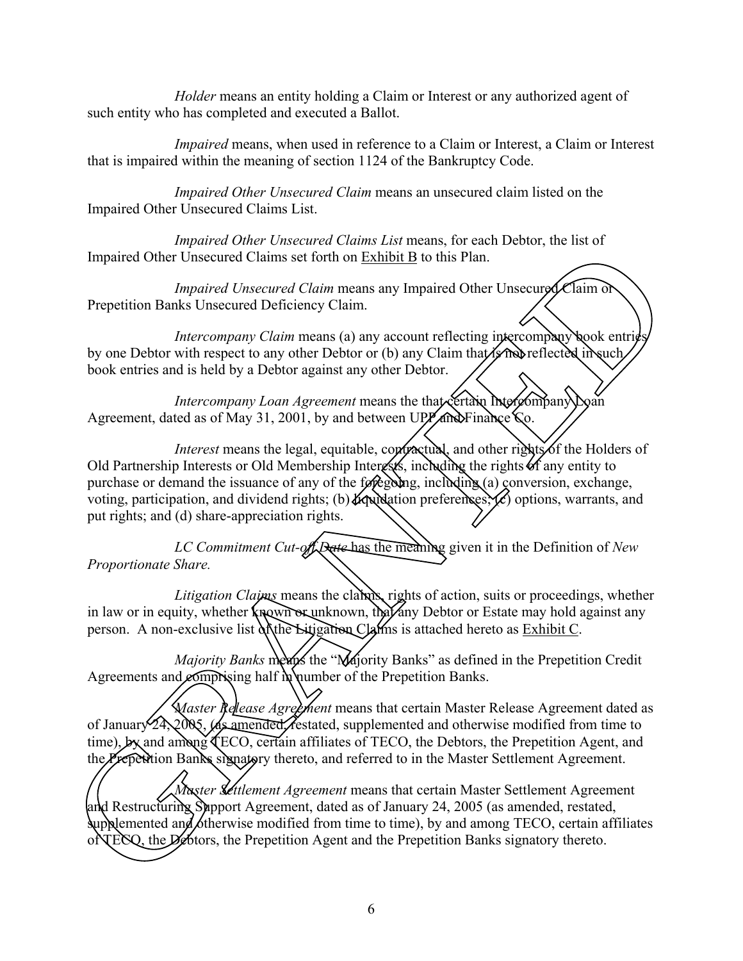*Holder* means an entity holding a Claim or Interest or any authorized agent of such entity who has completed and executed a Ballot.

*Impaired* means, when used in reference to a Claim or Interest, a Claim or Interest that is impaired within the meaning of section 1124 of the Bankruptcy Code.

*Impaired Other Unsecured Claim* means an unsecured claim listed on the Impaired Other Unsecured Claims List.

*Impaired Other Unsecured Claims List* means, for each Debtor, the list of Impaired Other Unsecured Claims set forth on Exhibit B to this Plan.

*Impaired Unsecured Claim* means any Impaired Other Unsecured Claim or Prepetition Banks Unsecured Deficiency Claim.

*Intercompany Claim* means (a) any account reflecting intercompany book entries by one Debtor with respect to any other Debtor or (b) any Claim that is not reflected in such book entries and is held by a Debtor against any other Debtor.

*Intercompany Loan Agreement* means the that certain **htercompany** Loan Agreement, dated as of May 31, 2001, by and between UPP and Finance  $\zeta$ o.

*Interest* means the legal, equitable, contractual, and other rights of the Holders of Old Partnership Interests or Old Membership Interests, including the rights of any entity to purchase or demand the issuance of any of the foregoing, including (a) conversion, exchange, voting, participation, and dividend rights; (b)  $\mathcal{H}_{\text{QW}}$  dation preferences;  $\overline{\mathcal{C}}$  options, warrants, and put rights; and (d) share-appreciation rights. and Claims set forth on Exhibit B to this Plan.<br>
and Unsecured Claim set forth on Exhibit B to this Plan.<br>
and Unsecured Claim means any Impaired Other Unsecured Claim C<br>
ecured Othericancy Claim.<br>
And the analysis are set

*LC Commitment Cut-off Date* has the meaning given it in the Definition of *New Proportionate Share.*

*Litigation Claims* means the claims, rights of action, suits or proceedings, whether in law or in equity, whether known or unknown, that any Debtor or Estate may hold against any person. A non-exclusive list of the Litigation Claims is attached hereto as Exhibit C.

*Majority Banks* means the "Majority Banks" as defined in the Prepetition Credit Agreements and *c*omprising half in number of the Prepetition Banks.

*Master Release Agreement* means that certain Master Release Agreement dated as of January 24, 2005, las amended less assets applemented and otherwise modified from time to time),  $\oint$  and among TECO, certain affiliates of TECO, the Debtors, the Prepetition Agent, and the Prepetition Banks signatory thereto, and referred to in the Master Settlement Agreement.

*Master Settlement Agreement* means that certain Master Settlement Agreement and Restructuring Support Agreement, dated as of January 24, 2005 (as amended, restated, supplemented and otherwise modified from time to time), by and among TECO, certain affiliates Majority Banks means the "Number of January 24, 2005, Ass amended *Aestated*, stime), **Dy** and among TECO, certain affiliates the Prepetition Banks signatory thereto, and representing Support Agreement and Restructuring Su oNTECQ, the Debtors, the Prepetition Agent and the Prepetition Banks signatory thereto.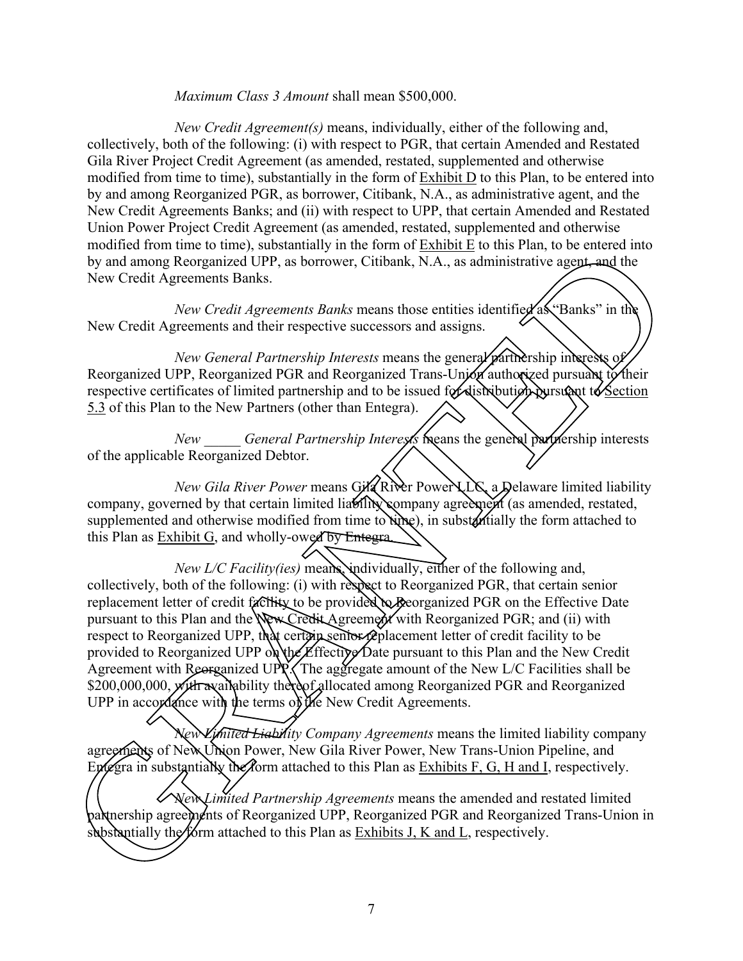#### *Maximum Class 3 Amount* shall mean \$500,000.

*New Credit Agreement(s)* means, individually, either of the following and, collectively, both of the following: (i) with respect to PGR, that certain Amended and Restated Gila River Project Credit Agreement (as amended, restated, supplemented and otherwise modified from time to time), substantially in the form of Exhibit D to this Plan, to be entered into by and among Reorganized PGR, as borrower, Citibank, N.A., as administrative agent, and the New Credit Agreements Banks; and (ii) with respect to UPP, that certain Amended and Restated Union Power Project Credit Agreement (as amended, restated, supplemented and otherwise modified from time to time), substantially in the form of Exhibit E to this Plan, to be entered into by and among Reorganized UPP, as borrower, Citibank, N.A., as administrative agent, and the New Credit Agreements Banks.

*New Credit Agreements Banks* means those entities identified as "Banks" in the New Credit Agreements and their respective successors and assigns.

*New General Partnership Interests* means the general partnership interests of Reorganized UPP, Reorganized PGR and Reorganized Trans-Union authorized pursuant to their respective certificates of limited partnership and to be issued for distribution pursuant to Section 5.3 of this Plan to the New Partners (other than Entegra).

*New General Partnership Interests* means the general partnership interests of the applicable Reorganized Debtor.

*New Gila River Power* means Gila River Power LLC, a Delaware limited liability company, governed by that certain limited liability company agreement (as amended, restated, supplemented and otherwise modified from time to time), in substantially the form attached to this Plan as Exhibit G, and wholly-owed by Entegra.

*New L/C Facility(ies)* means, individually, either of the following and, collectively, both of the following: (i) with respect to Reorganized PGR, that certain senior replacement letter of credit facility to be provided to Beorganized PGR on the Effective Date pursuant to this Plan and the New Credit Agreement with Reorganized PGR; and (ii) with respect to Reorganized UPP, that certain senior replacement letter of credit facility to be provided to Reorganized UPP on the Effective Date pursuant to this Plan and the New Credit Agreement with Reorganized UPP. The aggregate amount of the New L/C Facilities shall be \$200,000,000, *x*/ith availability thereof allocated among Reorganized PGR and Reorganized UPP in accordance with the terms of the New Credit Agreements. provided to Reorganized UPP of the Effective Date pursuant to the Agreement with Reorganized UPP. The aggregate amount of the \$200,000,000, with availability thereof allocated among Reorgan UPP in accordance with the terms time, substantially in the form of **EXIDITE** to this Pitati, to be entered in<br>tized UPP, as borrower, Citibank, N.A., as administrative agent and the<br>is Banks.<br>
redit Agreements Banks means those entities identified as "Ba

*New Limited Liability Company Agreements* means the limited liability company agreements of New Union Power, New Gila River Power, New Trans-Union Pipeline, and Entegra in sub fantially the form attached to this Plan as Exhibits  $F$ ,  $G$ ,  $H$  and  $I$ , respectively.

*New Limited Partnership Agreements* means the amended and restated limited partnership agreements of Reorganized UPP, Reorganized PGR and Reorganized Trans-Union in substantially the form attached to this Plan as Exhibits J, K and L, respectively.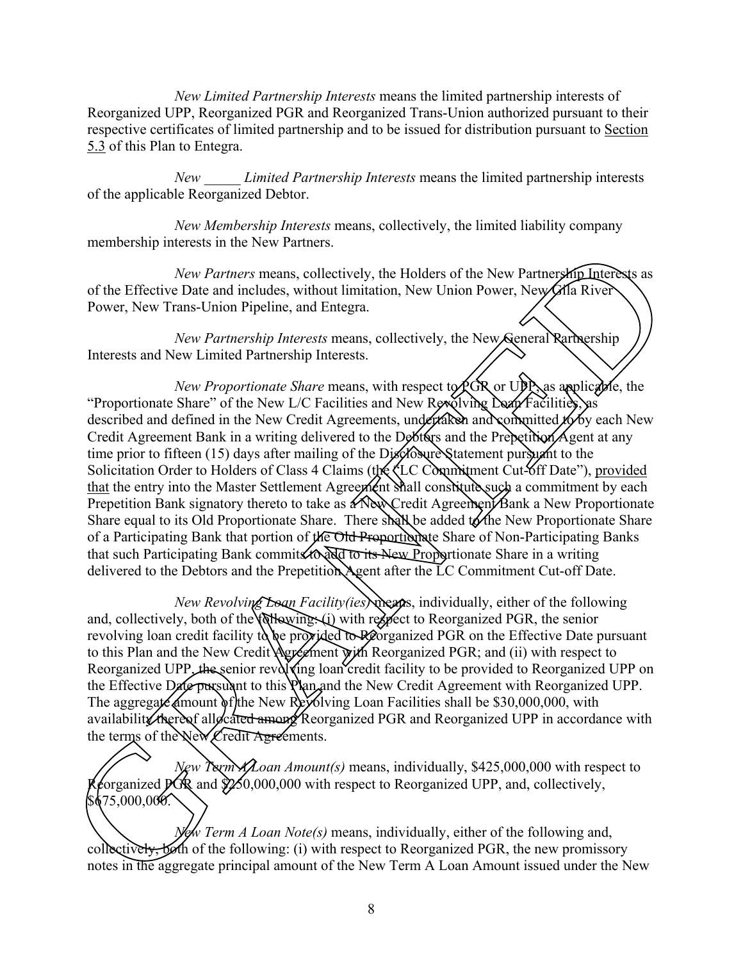*New Limited Partnership Interests* means the limited partnership interests of Reorganized UPP, Reorganized PGR and Reorganized Trans-Union authorized pursuant to their respective certificates of limited partnership and to be issued for distribution pursuant to Section 5.3 of this Plan to Entegra.

*New \_\_\_\_\_ Limited Partnership Interests* means the limited partnership interests of the applicable Reorganized Debtor.

*New Membership Interests* means, collectively, the limited liability company membership interests in the New Partners.

*New Partners* means, collectively, the Holders of the New Partnership Interests as of the Effective Date and includes, without limitation, New Union Power, New Gila River Power, New Trans-Union Pipeline, and Entegra.

*New Partnership Interests* means, collectively, the New General Rartnership Interests and New Limited Partnership Interests.

*New Proportionate Share means, with respect to*  $PGR$  *or UPP, as applicable, the* "Proportionate Share" of the New L/C Facilities and New Revolving Doan Facilities, as described and defined in the New Credit Agreements, undertaken and committed  $\mathcal{H}$  by each New Credit Agreement Bank in a writing delivered to the Debtors and the Prepetition Agent at any time prior to fifteen (15) days after mailing of the Disclosure Statement pursuant to the Solicitation Order to Holders of Class 4 Claims (the LC Commitment Cut off Date"), provided that the entry into the Master Settlement Agreement Shall constitute such a commitment by each Prepetition Bank signatory thereto to take as a New Credit Agreement Bank a New Proportionate Share equal to its Old Proportionate Share. There shall be added to the New Proportionate Share of a Participating Bank that portion of the Old Proportionate Share of Non-Participating Banks that such Participating Bank commits to add to its New Proportionate Share in a writing delivered to the Debtors and the Prepetition Agent after the LC Commitment Cut-off Date. In the same that we were antices.<br>
New Partners means, collectively, the Holders of the New Partnership Interests as<br>
Eventy Partners means, collectively, the New Yorkers Marketsian<br>
Eventy Trans-Union Pipeline, and Enteg

*New Revolving Loan Facility(ies)* means, individually, either of the following and, collectively, both of the following: (i) with respect to Reorganized PGR, the senior revolving loan credit facility to be provided to Reorganized PGR on the Effective Date pursuant to this Plan and the New Credit Agreement with Reorganized PGR; and (ii) with respect to Reorganized UPP, the senior revolving loan credit facility to be provided to Reorganized UPP on the Effective Date pursuant to this Plan and the New Credit Agreement with Reorganized UPP. The aggregate amount of the New Revolving Loan Facilities shall be \$30,000,000, with availability thereof allocated among Reorganized PGR and Reorganized UPP in accordance with the terms of the New Credit Agreements.

*New Term ALoan Amount(s)* means, individually, \$425,000,000 with respect to  $\{\text{forganized PGR and } \text{Q250,000,000 with respect to Reorganized UPP, and, collectively,}\}$  $$675,000,000.$ the terms of the New Credit Agreements.<br>
New Term ALoan Amount(s) means, individually, \$425,000,000 with respect to<br>
Reorganized PGR and \$250,000,000 with respect to Reorganized UPP, and, collectively,<br>
Section 2000,000.<br>

*New Term A Loan Note(s)* means, individually, either of the following and, collectively, both of the following: (i) with respect to Reorganized PGR, the new promissory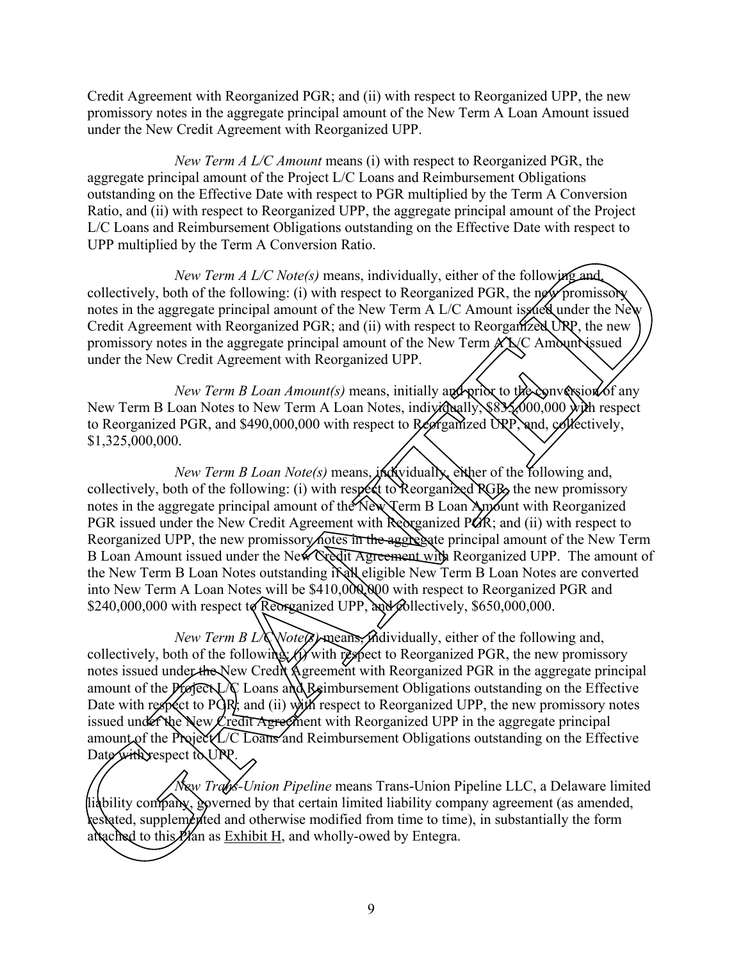Credit Agreement with Reorganized PGR; and (ii) with respect to Reorganized UPP, the new promissory notes in the aggregate principal amount of the New Term A Loan Amount issued under the New Credit Agreement with Reorganized UPP.

*New Term A L/C Amount* means (i) with respect to Reorganized PGR, the aggregate principal amount of the Project L/C Loans and Reimbursement Obligations outstanding on the Effective Date with respect to PGR multiplied by the Term A Conversion Ratio, and (ii) with respect to Reorganized UPP, the aggregate principal amount of the Project L/C Loans and Reimbursement Obligations outstanding on the Effective Date with respect to UPP multiplied by the Term A Conversion Ratio.

*New Term A L/C Note(s)* means, individually, either of the following and, collectively, both of the following: (i) with respect to Reorganized PGR, the new promissory notes in the aggregate principal amount of the New Term A L/C Amount is fueld under the New Credit Agreement with Reorganized PGR; and (ii) with respect to Reorganized URP, the new promissory notes in the aggregate principal amount of the New Term  $\angle$  A $\angle$  Amount issued under the New Credit Agreement with Reorganized UPP.

*New Term B Loan Amount(s)* means, initially and prior to the conversion of any New Term B Loan Notes to New Term A Loan Notes, individually, \$835,000,000 with respect to Reorganized PGR, and \$490,000,000 with respect to Reorganized UPP, and, collectively, \$1,325,000,000.

*New Term B Loan Note(s)* means, *individually*, either of the following and, collectively, both of the following: (i) with respect to Reorganized  $RGB<sub>2</sub>$  the new promissory notes in the aggregate principal amount of the New Term B Loan Amount with Reorganized PGR issued under the New Credit Agreement with Reorganized PCR; and (ii) with respect to Reorganized UPP, the new promissory notes in the aggregate principal amount of the New Term B Loan Amount issued under the New Credit Agreement with Reorganized UPP. The amount of the New Term B Loan Notes outstanding in Real eligible New Term B Loan Notes are converted into New Term A Loan Notes will be \$410,000,000 with respect to Reorganized PGR and \$240,000,000 with respect to Reorganized UPP, and  $\mathcal{B}$  llectively, \$650,000,000. From A Conversion Ratio.<br>
Form A L/C Note(s) means, individually, either of the following and<br>
refollowing: (i) with respect to Reorganized PGR, the new promission<br>
principal amount of the New Term A L/C Amount is deal un

*New Term B L/C Note(s)* means, individually, either of the following and, collectively, both of the following: (i) with respect to Reorganized PGR, the new promissory notes issued under the New Credit Agreement with Reorganized PGR in the aggregate principal amount of the Project L/C Loans and Reimbursement Obligations outstanding on the Effective Date with respect to PGR; and (ii) with respect to Reorganized UPP, the new promissory notes issued under the New Credit Agreement with Reorganized UPP in the aggregate principal amount of the Project L $\tau$ C Loans and Reimbursement Obligations outstanding on the Effective Date with respect to UPP. collectively, both of the following *if* with<br>notes issued under the New Credit Agreer<br>amount of the *Pierex* LX Loans and Rein<br>Date with respect to PGR; and (ii) with re<br>issued under the New Credit Agreement w<br>amount of t

*New Trans-Union Pipeline* means Trans-Union Pipeline LLC, a Delaware limited liability company, governed by that certain limited liability company agreement (as amended, restated, supplemented and otherwise modified from time to time), in substantially the form attached to this  $P/A$ n as Exhibit H, and wholly-owed by Entegra.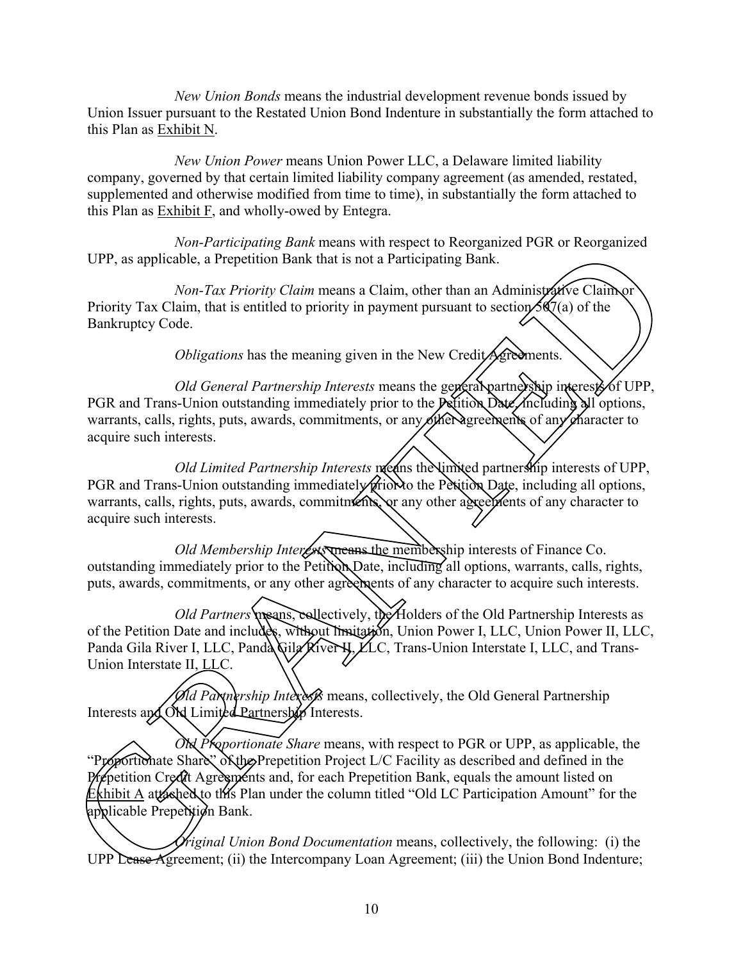*New Union Bonds* means the industrial development revenue bonds issued by Union Issuer pursuant to the Restated Union Bond Indenture in substantially the form attached to this Plan as Exhibit N.

*New Union Power* means Union Power LLC, a Delaware limited liability company, governed by that certain limited liability company agreement (as amended, restated, supplemented and otherwise modified from time to time), in substantially the form attached to this Plan as Exhibit F, and wholly-owed by Entegra.

*Non-Participating Bank* means with respect to Reorganized PGR or Reorganized UPP, as applicable, a Prepetition Bank that is not a Participating Bank.

*Non-Tax Priority Claim* means a Claim, other than an Administrative Claim or Priority Tax Claim, that is entitled to priority in payment pursuant to section  $5\sqrt{2}$  (a) of the Bankruptcy Code.

*Obligations* has the meaning given in the New Credit Agreements.

*Old General Partnership Interests* means the general partnership interests of UPP, PGR and Trans-Union outstanding immediately prior to the Petition Date, including all options, warrants, calls, rights, puts, awards, commitments, or any other agreements of any character to acquire such interests.

*Old Limited Partnership Interests*  $\mathbf{p}$  earns the limited partnership interests of UPP, PGR and Trans-Union outstanding immediately prior to the Petition Date, including all options, warrants, calls, rights, puts, awards, commitments, or any other agreements of any character to acquire such interests.

*Old Membership Interests* means the membership interests of Finance Co. outstanding immediately prior to the Petition Date, including all options, warrants, calls, rights, puts, awards, commitments, or any other agreements of any character to acquire such interests.

*Old Partners* means, exllectively, the Holders of the Old Partnership Interests as of the Petition Date and includes, without limitation, Union Power I, LLC, Union Power II, LLC, Panda Gila River I, LLC, Panda Gila River N, LLC, Trans-Union Interstate I, LLC, and Trans-Union Interstate II, LLC. From the parameters and the spectral in the spectral of the constrained The Real Manuseum of the setting and Manuseum of the Periodic Claim (Non-Tax Priority Claim means a Claim, other than an Administrative Claim of Non-

*Old Partnership Interests* means, collectively, the Old General Partnership Interests and ON Limited Partnership Interests.

*Old Proportionate Share* means, with respect to PGR or UPP, as applicable, the  $\overline{\text{orthon}}$ ate $\beta$ hare"  $\delta$ Kth $\beta$  Prepetition Project L/C Facility as described and defined in the repetition Credit Agreements and, for each Prepetition Bank, equals the amount listed on Exhibit A attached to this Plan under the column titled "Old LC Participation Amount" for the applicable Prepetition Bank. Old Proportionate Share means, with the Prepetition Project L/C<br>Prepetition Credit Agreements and, for each Prepet<br>Exhibit A attached to this Plan under the column tit<br>applicable Prepetition Bank.<br>Criginal Union Bond Docum

*Figinal Union Bond Documentation* means, collectively, the following: (i) the Agreement; (iii) the Union Bond Indenture;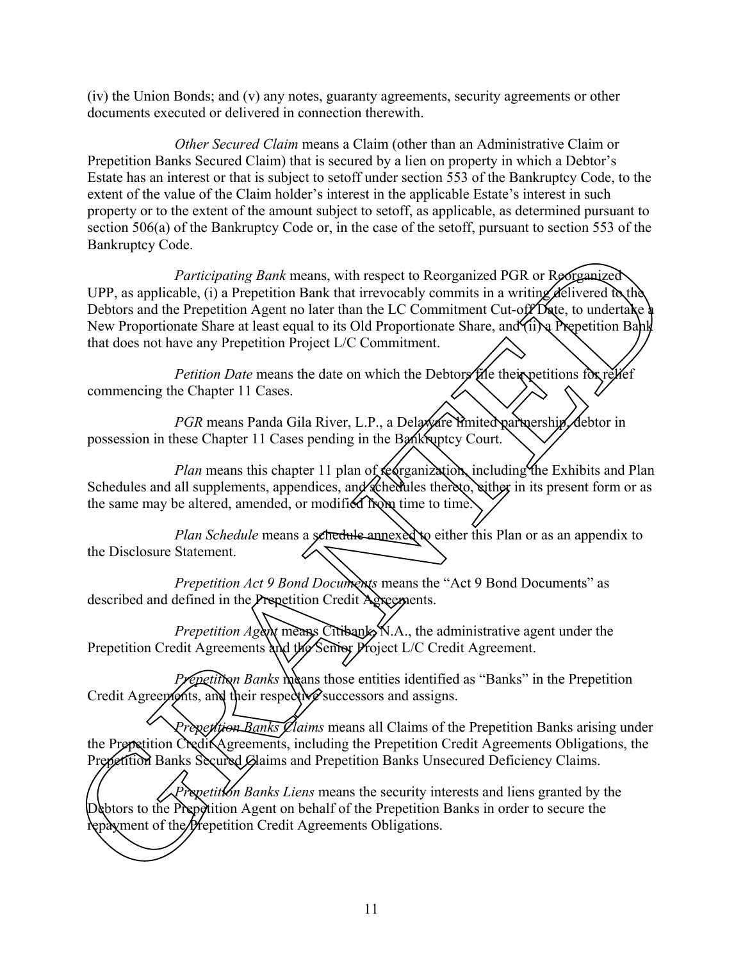(iv) the Union Bonds; and (v) any notes, guaranty agreements, security agreements or other documents executed or delivered in connection therewith.

*Other Secured Claim* means a Claim (other than an Administrative Claim or Prepetition Banks Secured Claim) that is secured by a lien on property in which a Debtor's Estate has an interest or that is subject to setoff under section 553 of the Bankruptcy Code, to the extent of the value of the Claim holder's interest in the applicable Estate's interest in such property or to the extent of the amount subject to setoff, as applicable, as determined pursuant to section 506(a) of the Bankruptcy Code or, in the case of the setoff, pursuant to section 553 of the Bankruptcy Code.

*Participating Bank* means, with respect to Reorganized PGR or Reorganized UPP, as applicable, (i) a Prepetition Bank that irrevocably commits in a writing delivered by the Debtors and the Prepetition Agent no later than the LC Commitment Cut-off Date, to undertake a New Proportionate Share at least equal to its Old Proportionate Share, and (ii) a Prepetition Bank that does not have any Prepetition Project L/C Commitment. Functions of the Prepetition Agreements, with respect to Recognized PGR or Berganized (UPP, as applicable, (i) a Prepetition Bank that irreveably commiss in a writing definered by the committed Prepetition Credit Agreemen

*Petition Date* means the date on which the Debtors file their petitions for relief commencing the Chapter 11 Cases.

*PGR* means Panda Gila River, L.P., a Delaware imited partnership, debtor in possession in these Chapter 11 Cases pending in the Bankruptcy Court.

*Plan* means this chapter 11 plan of redrganization, including the Exhibits and Plan Schedules and all supplements, appendices, and schedules thereto, either in its present form or as the same may be altered, amended, or modified from time to time.

*Plan Schedule* means a sehedule annexed to either this Plan or as an appendix to the Disclosure Statement.

*Prepetition Act 9 Bond Documents* means the "Act 9 Bond Documents" as described and defined in the Prepetition Credit Agreements.

*Prepetition Agent* means Citibank, N.A., the administrative agent under the Prepetition Credit Agreements and the Senior Project L/C Credit Agreement.

*Prepetition Banks* means those entities identified as "Banks" in the Prepetition Credit Agreements, and their respective successors and assigns.

*Prepetition Banks Claims* means all Claims of the Prepetition Banks arising under the Prepetition Credit Agreements, including the Prepetition Credit Agreements Obligations, the Prepetition Banks Secured Glaims and Prepetition Banks Unsecured Deficiency Claims.

*Prepetition Banks Liens* means the security interests and liens granted by the Debtors to the Prepetition Agent on behalf of the Prepetition Banks in order to secure the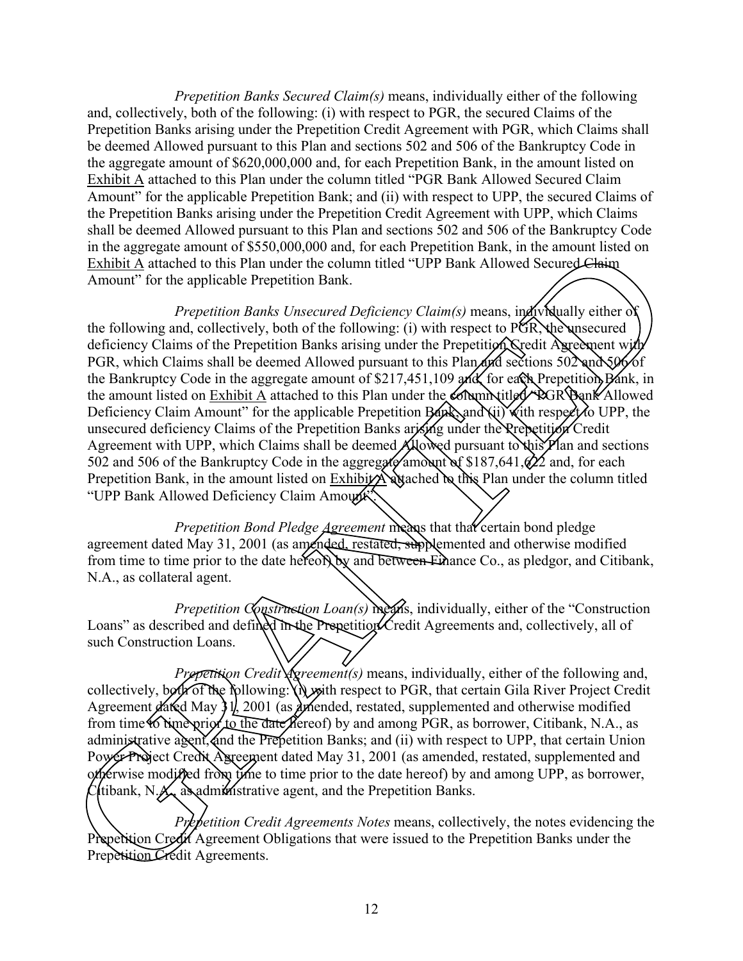*Prepetition Banks Secured Claim(s)* means, individually either of the following and, collectively, both of the following: (i) with respect to PGR, the secured Claims of the Prepetition Banks arising under the Prepetition Credit Agreement with PGR, which Claims shall be deemed Allowed pursuant to this Plan and sections 502 and 506 of the Bankruptcy Code in the aggregate amount of \$620,000,000 and, for each Prepetition Bank, in the amount listed on Exhibit A attached to this Plan under the column titled "PGR Bank Allowed Secured Claim Amount" for the applicable Prepetition Bank; and (ii) with respect to UPP, the secured Claims of the Prepetition Banks arising under the Prepetition Credit Agreement with UPP, which Claims shall be deemed Allowed pursuant to this Plan and sections 502 and 506 of the Bankruptcy Code in the aggregate amount of \$550,000,000 and, for each Prepetition Bank, in the amount listed on Exhibit A attached to this Plan under the column titled "UPP Bank Allowed Secured Claim Amount" for the applicable Prepetition Bank.

*Prepetition Banks Unsecured Deficiency Claim(s)* means, individually either of the following and, collectively, both of the following: (i) with respect to PGR the unsecured deficiency Claims of the Prepetition Banks arising under the Prepetition Credit Agreement with PGR, which Claims shall be deemed Allowed pursuant to this Plan and sections  $50\text{2}$  and  $50\text{6}$  of the Bankruptcy Code in the aggregate amount of \$217,451,109 and, for each Prepetition Bank, in the amount listed on Exhibit A attached to this Plan under the **Column Littled** "PGR Bank Allowed" Deficiency Claim Amount" for the applicable Prepetition  $\n$  Bangang(ii) with respect to UPP, the unsecured deficiency Claims of the Prepetition Banks arising under the Prepetition Credit Agreement with UPP, which Claims shall be deemed Allowed pursuant to this Plan and sections 502 and 506 of the Bankruptcy Code in the aggregate amount of \$187,641, $\frac{\partial 2}{\partial 2}$  and, for each Prepetition Bank, in the amount listed on  $\overline{\text{Exhib}}$  attached be this Plan under the column titled "UPP Bank Allowed Deficiency Claim Amount". In the aggregative amount of SSN30000000 and, to each Prepetition Hand, in the amount is the Hammatic scheme of the following and collectively, both of the following (i) with respect to  $\sqrt{R}$ . We also also also also als

*Prepetition Bond Pledge Agreement* means that that certain bond pledge agreement dated May 31, 2001 (as amended, restated, supplemented and otherwise modified from time to time prior to the date hereon by and between Finance Co., as pledgor, and Citibank, N.A., as collateral agent.

*Prepetition Construction Loan(s) means*, individually, either of the "Construction" Loans" as described and defined in the Prepetition Credit Agreements and, collectively, all of such Construction Loans.

*Prepetition Credit Agreement(s)* means, individually, either of the following and, collectively, both of the following: (i) with respect to PGR, that certain Gila River Project Credit Agreement dated May  $31$ , 2001 (as amended, restated, supplemented and otherwise modified from time to time prior to the date Refereof) by and among PGR, as borrower, Citibank, N.A., as administrative agent, and the Prepetition Banks; and (ii) with respect to UPP, that certain Union Power Project Credit Agreement dated May 31, 2001 (as amended, restated, supplemented and otherwise modified from time to time prior to the date hereof) by and among UPP, as borrower, C tibank, N.A., as administrative agent, and the Prepetition Banks.

*Prepetition Credit Agreements Notes* means, collectively, the notes evidencing the Prepetition Credit Agreement Obligations that were issued to the Prepetition Banks under the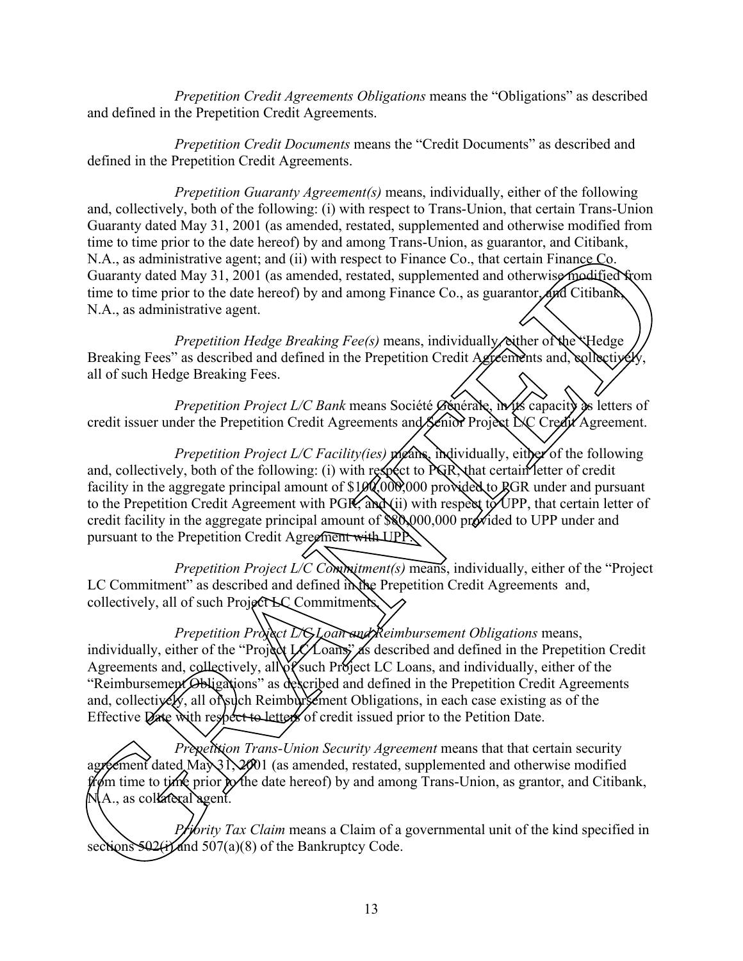*Prepetition Credit Agreements Obligations* means the "Obligations" as described and defined in the Prepetition Credit Agreements.

*Prepetition Credit Documents* means the "Credit Documents" as described and defined in the Prepetition Credit Agreements.

*Prepetition Guaranty Agreement(s)* means, individually, either of the following and, collectively, both of the following: (i) with respect to Trans-Union, that certain Trans-Union Guaranty dated May 31, 2001 (as amended, restated, supplemented and otherwise modified from time to time prior to the date hereof) by and among Trans-Union, as guarantor, and Citibank, N.A., as administrative agent; and (ii) with respect to Finance Co., that certain Finance Co. Guaranty dated May 31, 2001 (as amended, restated, supplemented and otherwise modified from time to time prior to the date hereof) by and among Finance Co., as guarantor, and Citibank, N.A., as administrative agent.

*Prepetition Hedge Breaking Fee(s)* means, individually *either* of the *Hedge* Breaking Fees" as described and defined in the Prepetition Credit Agreements and, collectively all of such Hedge Breaking Fees.

*Prepetition Project L/C Bank* means Société *G*énérale, in its capacity as letters of credit issuer under the Prepetition Credit Agreements and Senior Project L/C Credit Agreement.

*Prepetition Project L/C Facility(ies)* means, individually, either of the following and, collectively, both of the following: (i) with respect to  $PQR$ , that certain letter of credit facility in the aggregate principal amount of \$100,000,000 provided to GGR under and pursuant to the Prepetition Credit Agreement with PGR; and (ii) with respect to UPP, that certain letter of credit facility in the aggregate principal amount of  $\aleph 0.000,000$  provided to UPP under and pursuant to the Prepetition Credit Agreement with UPP. Let a network of the Project LC Comes and anony trans-cluster and current and current of the Project LC Comes agent; and (ii) with respect to Finance Co., that certain Finance Co.<br>1, 2001 (as amended, restated, supplement

*Prepetition Project L/C Commitment(s)* means, individually, either of the "Project" LC Commitment" as described and defined in the Prepetition Credit Agreements and, collectively, all of such Project LC Commitments.

*Prepetition Project L/C Loan and Reimbursement Obligations means,* individually, either of the "Project LC Loans" as described and defined in the Prepetition Credit Agreements and, collectively, all of such Project LC Loans, and individually, either of the "Reimbursement Obligations" as described and defined in the Prepetition Credit Agreements and, collectively, all of such Reimbursement Obligations, in each case existing as of the Effective Date with respect to letters of credit issued prior to the Petition Date. individually, either of the "Project LC Load<br>Agreements and, collectively, all of such l<br>
"Reimbursement Obligations" as describe<br>and, collectively, all of such Reimbursement<br>
Effective Date with respect to letters of cr<br>

*Prepetition Trans-Union Security Agreement* means that that certain security agreement dated Max 31, 2001 (as amended, restated, supplemented and otherwise modified from time to time prior to the date hereof) by and among Trans-Union, as grantor, and Citibank,  $N(A_{\cdot}, \text{ as collated})$  agent.

*Priority Tax Claim* means a Claim of a governmental unit of the kind specified in sections  $502$ (i) and  $507(a)(8)$  of the Bankruptcy Code.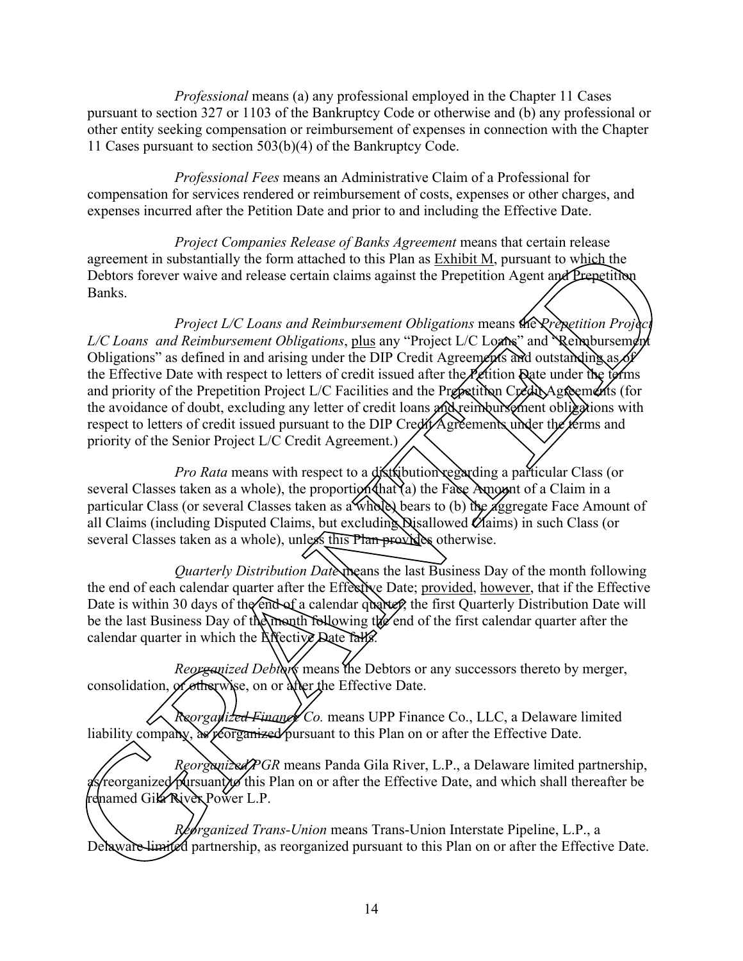*Professional* means (a) any professional employed in the Chapter 11 Cases pursuant to section 327 or 1103 of the Bankruptcy Code or otherwise and (b) any professional or other entity seeking compensation or reimbursement of expenses in connection with the Chapter 11 Cases pursuant to section 503(b)(4) of the Bankruptcy Code.

*Professional Fees* means an Administrative Claim of a Professional for compensation for services rendered or reimbursement of costs, expenses or other charges, and expenses incurred after the Petition Date and prior to and including the Effective Date.

*Project Companies Release of Banks Agreement* means that certain release agreement in substantially the form attached to this Plan as Exhibit M, pursuant to which the Debtors forever waive and release certain claims against the Prepetition Agent and Prepetition Banks.

*Project L/C Loans and Reimbursement Obligations* means the *Prepetition Project L/C Loans and Reimbursement Obligations*, plus any "Project L/C Loans" and Reimbursement Obligations" as defined in and arising under the DIP Credit Agreements and outstanding as of the Effective Date with respect to letters of credit issued after the Petition Date under the terms and priority of the Prepetition Project L/C Facilities and the Prepetition Credit Agreements (for the avoidance of doubt, excluding any letter of credit loans and reimbursement obligations with respect to letters of credit issued pursuant to the DIP Credit Agreements under the terms and priority of the Senior Project L/C Credit Agreement.) Computers forecase of Data states and Computers and Computers and the Bready Data for the Bready Data of the Bready Data of the Bready and the and related to this Plan as Exhibit M, pursuant to which the and relation contr

*Pro Rata* means with respect to a **distribution regarding a particular Class** (or several Classes taken as a whole), the proportion  $\theta$  that  $\alpha$  the Face Amount of a Claim in a particular Class (or several Classes taken as a whole) bears to (b) the aggregate Face Amount of all Claims (including Disputed Claims, but excluding Disallowed Claims) in such Class (or several Classes taken as a whole), unless this Plan provides otherwise.

*Quarterly Distribution Date* means the last Business Day of the month following the end of each calendar quarter after the Effective Date; provided, however, that if the Effective Date is within 30 days of the real of a calendar quarter, the first Quarterly Distribution Date will be the last Business Day of the month following the end of the first calendar quarter after the calendar quarter in which the Effective Date falls.

*Reorganized Debtors* means the Debtors or any successors thereto by merger, consolidation, *of* otherwise, on or after the Effective Date.

*Reorganized Finance Co.* means UPP Finance Co., LLC, a Delaware limited liability company, as reorganized pursuant to this Plan on or after the Effective Date.

*Reorganized PGR* means Panda Gila River, L.P., a Delaware limited partnership, s/reorganized pursuant to this Plan on or after the Effective Date, and which shall thereafter be renamed Gila River Power L.P. Reorganized Debtors mear<br>
consolidation, or otherwise, on or after the<br>
Reorganized Finance Co. 1<br>
liability company, as reorganized PGR means P<br>
Reorganized PGR means P<br>
Reorganized PGR means P<br>
Reorganized Trans-Union<br>
D

*Reorganized Trans-Union* means Trans-Union Interstate Pipeline, L.P., a Delaware limited partnership, as reorganized pursuant to this Plan on or after the Effective Date.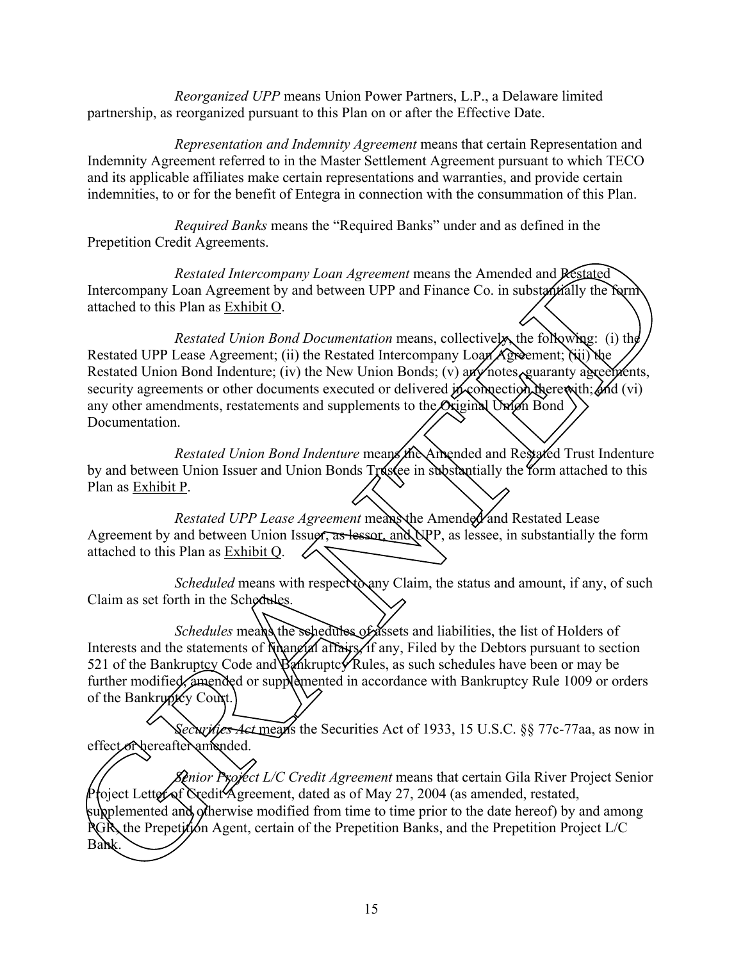*Reorganized UPP* means Union Power Partners, L.P., a Delaware limited partnership, as reorganized pursuant to this Plan on or after the Effective Date.

*Representation and Indemnity Agreement* means that certain Representation and Indemnity Agreement referred to in the Master Settlement Agreement pursuant to which TECO and its applicable affiliates make certain representations and warranties, and provide certain indemnities, to or for the benefit of Entegra in connection with the consummation of this Plan.

*Required Banks* means the "Required Banks" under and as defined in the Prepetition Credit Agreements.

*Restated Intercompany Loan Agreement* means the Amended and Restated Intercompany Loan Agreement by and between UPP and Finance Co. in substantially the form attached to this Plan as Exhibit O.

*Restated Union Bond Documentation* means, collectively, the following: (i) the Restated UPP Lease Agreement; (ii) the Restated Intercompany Loan Agreement; (iii) the Restated Union Bond Indenture; (iv) the New Union Bonds; (v) any notes, guaranty agreements, security agreements or other documents executed or delivered in connection therewith; and (vi) any other amendments, restatements and supplements to the Oxiginal Union Bond Documentation. Frequency Cases Theorem (means the Amended and Persian Reviewed Intercompany Lean Agreement by and between UPP and Finance Co. in substantially the Num<br>Intercompany Lean Agreement by and between UPP and Finance Co. in sub

*Restated Union Bond Indenture* means the Amended and Restated Trust Indenture by and between Union Issuer and Union Bonds Txastee in substantially the form attached to this Plan as Exhibit P.

*Restated UPP Lease Agreement* mean the Amended and Restated Lease Agreement by and between Union Issuer, as lessor, and UPP, as lessee, in substantially the form attached to this Plan as Exhibit Q.

*Scheduled* means with respect any Claim, the status and amount, if any, of such Claim as set forth in the Schedules.

*Schedules* means the schedules of assets and liabilities, the list of Holders of Interests and the statements of financial affairs, if any, Filed by the Debtors pursuant to section 521 of the Bankruptcy Code and Bankruptcy Rules, as such schedules have been or may be further modified, amended or supplemented in accordance with Bankruptcy Rule 1009 or orders of the Bankryntcy Court.

*Securities Act* means the Securities Act of 1933, 15 U.S.C. §§ 77c-77aa, as now in effect or hereafter amended.

*Senior Project L/C Credit Agreement* means that certain Gila River Project Senior Project Letter of Credit Agreement, dated as of May 27, 2004 (as amended, restated, supplemented and otherwise modified from time to time prior to the date hereof) by and among PGR, the Prepetition Agent, certain of the Prepetition Banks, and the Prepetition Project L/C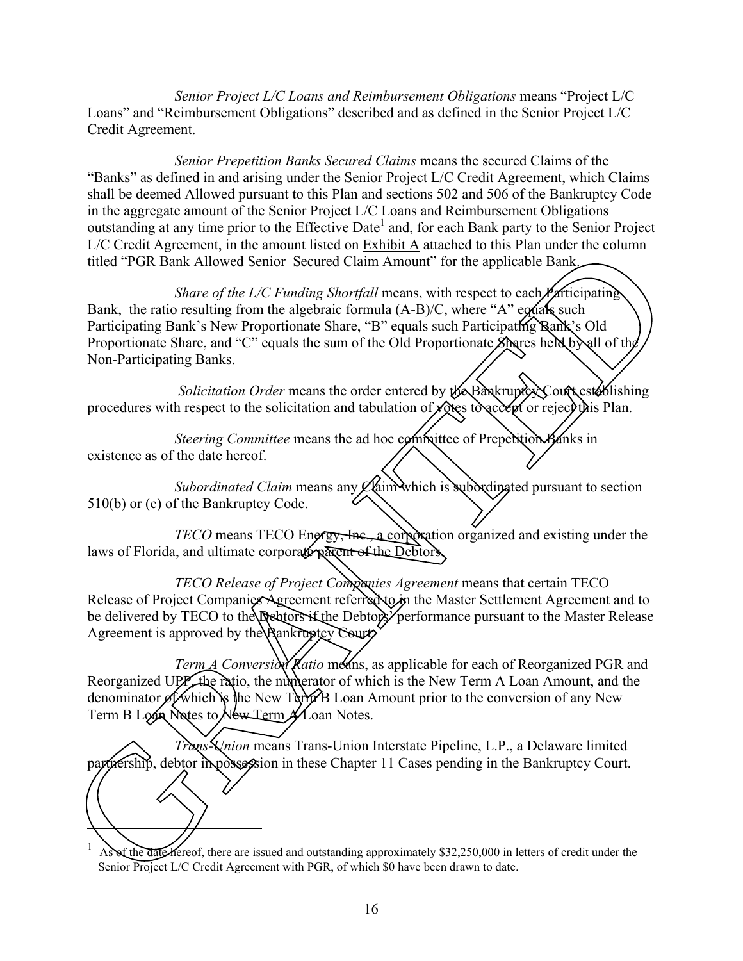*Senior Project L/C Loans and Reimbursement Obligations* means "Project L/C Loans" and "Reimbursement Obligations" described and as defined in the Senior Project L/C Credit Agreement.

*Senior Prepetition Banks Secured Claims* means the secured Claims of the "Banks" as defined in and arising under the Senior Project L/C Credit Agreement, which Claims shall be deemed Allowed pursuant to this Plan and sections 502 and 506 of the Bankruptcy Code in the aggregate amount of the Senior Project L/C Loans and Reimbursement Obligations outstanding at any time prior to the Effective Date<sup>1</sup> and, for each Bank party to the Senior Project L/C Credit Agreement, in the amount listed on Exhibit A attached to this Plan under the column titled "PGR Bank Allowed Senior Secured Claim Amount" for the applicable Bank.

*Share of the L/C Funding Shortfall* means, with respect to each *Pa*rticipating Bank, the ratio resulting from the algebraic formula  $(A-B)/C$ , where "A" equals such Participating Bank's New Proportionate Share, "B" equals such Participating Rank's Old Proportionate Share, and "C" equals the sum of the Old Proportionate Shares held by all of the Non-Participating Banks. For the Hankingth of the main and the main that the two stream of the space of the *CF* English and the Hanking for the applicable Bank the countries of the *L/C Funding Shortfoll* manns, with respect to each **Africianati** 

Solicitation Order means the order entered by the Bankruptcy Court establishing procedures with respect to the solicitation and tabulation of votes to accept or reject this Plan.

*Steering Committee* means the ad hoc committee of Prepetition Banks in existence as of the date hereof.

*Subordinated Claim* means any  $\mathcal{L}$  aim which is suboxdinated pursuant to section 510(b) or (c) of the Bankruptcy Code.

*TECO* means TECO Engrey, Inc., a corporation organized and existing under the laws of Florida, and ultimate corporate parent of the Debtors.

*TECO Release of Project Companies Agreement* means that certain TECO Release of Project Companies Agreement referred to in the Master Settlement Agreement and to be delivered by TECO to the *Qebtors* if the Debtors' performance pursuant to the Master Release Agreement is approved by the Bankruptcy Court.

*Term A Conversion Ratio* means, as applicable for each of Reorganized PGR and Reorganized UPP, the ratio, the numerator of which is the New Term A Loan Amount, and the denominator of which is the New Term B Loan Amount prior to the conversion of any New Term B Loan Notes to New Term A Loan Notes.

*Trans-Union* means Trans-Union Interstate Pipeline, L.P., a Delaware limited partnership, debtor in possession in these Chapter 11 Cases pending in the Bankruptcy Court.

 $\overline{ }$ 

1 As of the date hereof, there are issued and outstanding approximately \$32,250,000 in letters of credit under the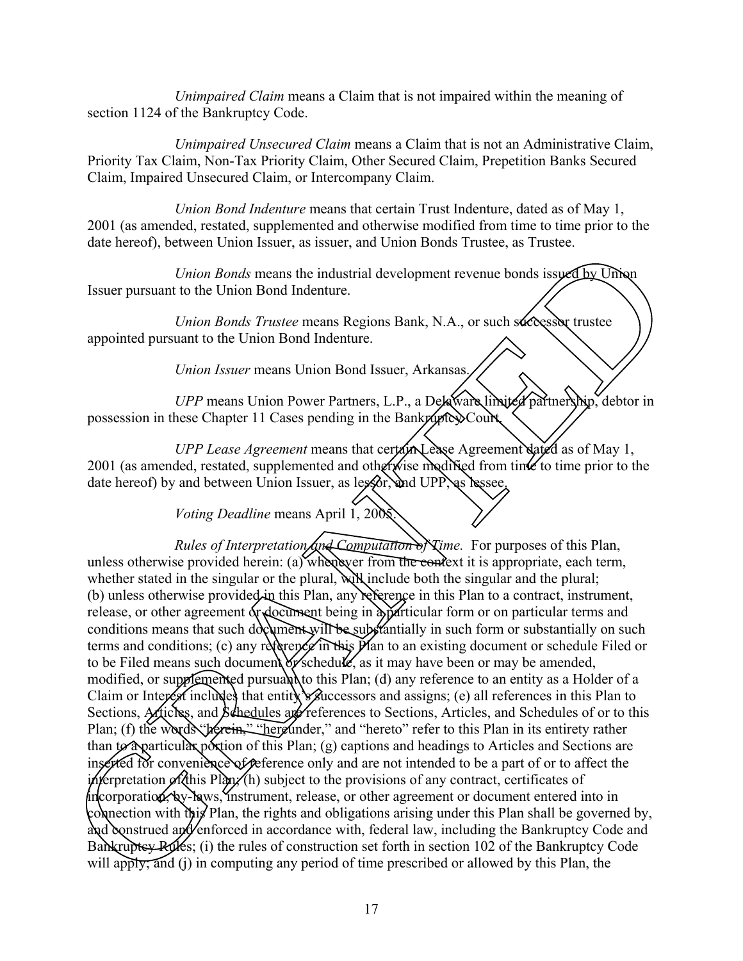*Unimpaired Claim* means a Claim that is not impaired within the meaning of section 1124 of the Bankruptcy Code.

*Unimpaired Unsecured Claim* means a Claim that is not an Administrative Claim, Priority Tax Claim, Non-Tax Priority Claim, Other Secured Claim, Prepetition Banks Secured Claim, Impaired Unsecured Claim, or Intercompany Claim.

*Union Bond Indenture* means that certain Trust Indenture, dated as of May 1, 2001 (as amended, restated, supplemented and otherwise modified from time to time prior to the date hereof), between Union Issuer, as issuer, and Union Bonds Trustee, as Trustee.

*Union Bonds* means the industrial development revenue bonds issued by Union Issuer pursuant to the Union Bond Indenture.

*Union Bonds Trustee* means Regions Bank, N.A., or such successor trustee appointed pursuant to the Union Bond Indenture.

*Union Issuer* means Union Bond Issuer, Arkansas.

UPP means Union Power Partners, L.P., a Delaware limited partnership, debtor in possession in these Chapter 11 Cases pending in the Bankruptcy Court.

*UPP Lease Agreement* means that certain Lease Agreement dated as of May 1, 2001 (as amended, restated, supplemented and otherwise modified from time to time prior to the date hereof) by and between Union Issuer, as lessor, and UPP, as lessee.

*Voting Deadline* means April 1, 2005.

*Rules of Interpretation and Computation of Time.* For purposes of this Plan, unless otherwise provided herein: (a) whenever from the context it is appropriate, each term, whether stated in the singular or the plural, will include both the singular and the plural; (b) unless otherwise provided in this Plan, any reference in this Plan to a contract, instrument, release, or other agreement or document being in a particular form or on particular terms and conditions means that such document will be substantially in such form or substantially on such terms and conditions; (c) any reference in this  $P$  an to an existing document or schedule Filed or to be Filed means such document of schedule, as it may have been or may be amended, modified, or supplemented pursuant to this Plan; (d) any reference to an entity as a Holder of a Claim or Interest includes that entity  $\mathcal{R}$ uccessors and assigns; (e) all references in this Plan to Sections, Articles, and Schedules are references to Sections, Articles, and Schedules of or to this Plan; (f) the words "herein," "hereunder," and "hereto" refer to this Plan in its entirety rather than to a particular portion of this Plan; (g) captions and headings to Articles and Sections are inserted for convenience of reference only and are not intended to be a part of or to affect the interpretation of this Plan; (h) subject to the provisions of any contract, certificates of  $\phi$  incorporation, by-laws, instrument, release, or other agreement or document entered into in connection with this Plan, the rights and obligations arising under this Plan shall be governed by, and construed and enforced in accordance with, federal law, including the Bankruptcy Code and Bankruptcy Rules; (i) the rules of construction set forth in section 102 of the Bankruptcy Code Plan; (f) the words "Merein." "hereunder," and<br>than to a particular portion of this Plan; (g) can<br>inserted for convenience of oeference only and<br>interpretation of this Plan; (h) subject to the pr<br>incorporation, by-laws, i will apply, and (i) in computing any period of time prescribed or allowed by this Plan, the International means the model and the most control in the properties of the properties of the properties of the properties of the properties of the properties of the properties of the properties of the properties of the p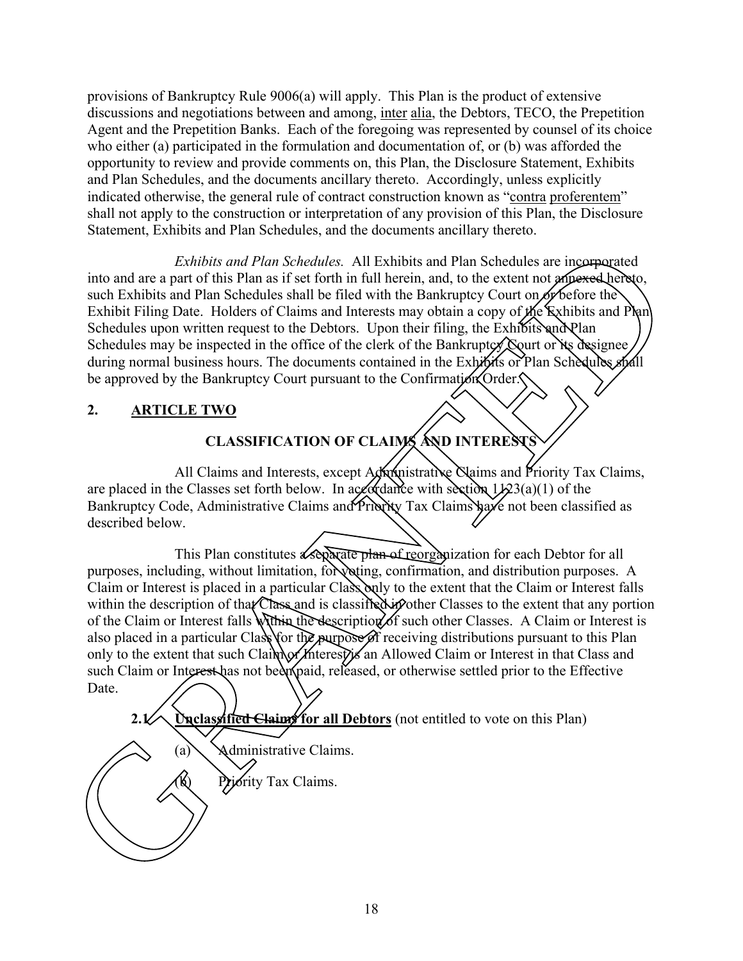provisions of Bankruptcy Rule 9006(a) will apply. This Plan is the product of extensive discussions and negotiations between and among, inter alia, the Debtors, TECO, the Prepetition Agent and the Prepetition Banks. Each of the foregoing was represented by counsel of its choice who either (a) participated in the formulation and documentation of, or (b) was afforded the opportunity to review and provide comments on, this Plan, the Disclosure Statement, Exhibits and Plan Schedules, and the documents ancillary thereto. Accordingly, unless explicitly indicated otherwise, the general rule of contract construction known as "contra proferentem" shall not apply to the construction or interpretation of any provision of this Plan, the Disclosure Statement, Exhibits and Plan Schedules, and the documents ancillary thereto.

*Exhibits and Plan Schedules.* All Exhibits and Plan Schedules are incorporated into and are a part of this Plan as if set forth in full herein, and, to the extent not annexed hereto, such Exhibits and Plan Schedules shall be filed with the Bankruptcy Court on or before the Exhibit Filing Date. Holders of Claims and Interests may obtain a copy of the Exhibits and Plan Schedules upon written request to the Debtors. Upon their filing, the Exhibits and Plan Schedules may be inspected in the office of the clerk of the Bankruptcy  $\Diamond$  with or its designee during normal business hours. The documents contained in the Exhibits or Rlan Schedules shall be approved by the Bankruptcy Court pursuant to the Confirmation Order.

### **2. ARTICLE TWO**

## **CLASSIFICATION OF CLAIMS AND INTERESTS**

All Claims and Interests, except Administrative Claims and Priority Tax Claims, are placed in the Classes set forth below. In accordance with section  $1/23(a)(1)$  of the Bankruptcy Code, Administrative Claims and Priority Tax Claims have not been classified as described below.

This Plan constitutes a separate plan of reorganization for each Debtor for all purposes, including, without limitation, for voting, confirmation, and distribution purposes. A Claim or Interest is placed in a particular Class only to the extent that the Claim or Interest falls within the description of that Class and is classified in other Classes to the extent that any portion of the Claim or Interest falls within the description of such other Classes. A Claim or Interest is also placed in a particular Class for the purpose of receiving distributions pursuant to this Plan only to the extent that such Claim of Merest) an Allowed Claim or Interest in that Class and such Claim or Interest has not been paid, released, or otherwise settled prior to the Effective Date. *Exhibits and Plan Schedules.* All Exhibits and Plan Schedules are inegranged<br>such Exhibits and Plan Schedules. All Exhibits and Plan Schedules are inegranged<br>such Exhibits Plan Schedules shall be filed with the Bankruptc

2.1<sup>2</sup> **Unclassified Claims** for all Debtors (not entitled to vote on this Plan)

(a) Administrative Claims.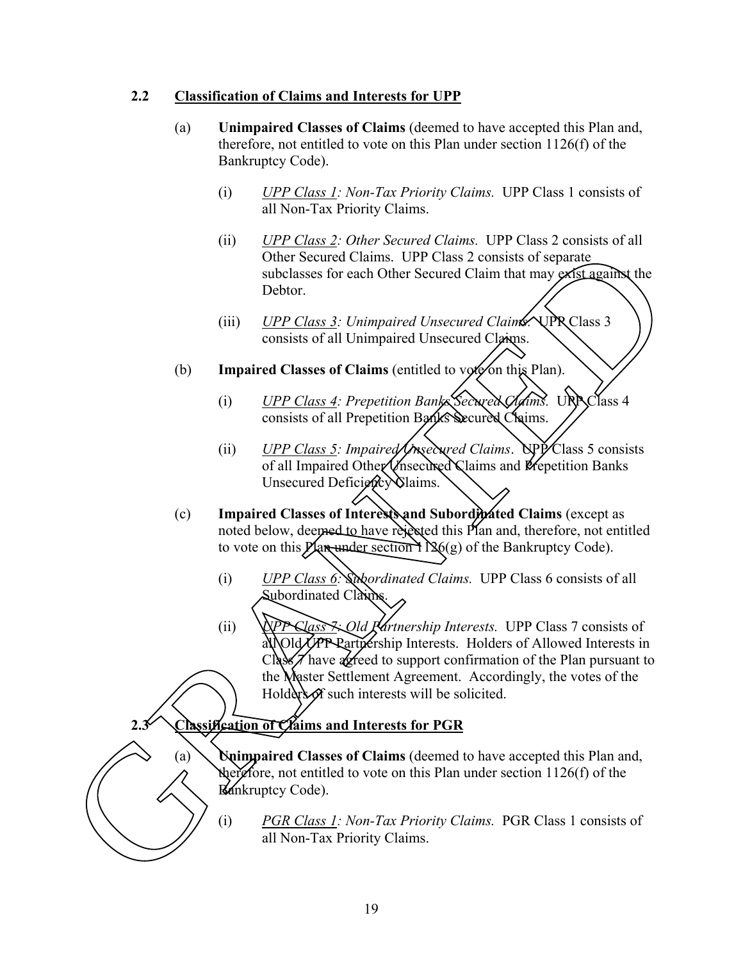### **2.2 Classification of Claims and Interests for UPP**

- (a) **Unimpaired Classes of Claims** (deemed to have accepted this Plan and, therefore, not entitled to vote on this Plan under section 1126(f) of the Bankruptcy Code).
	- (i) *UPP Class 1: Non-Tax Priority Claims.* UPP Class 1 consists of all Non-Tax Priority Claims.
	- (ii) *UPP Class 2: Other Secured Claims.* UPP Class 2 consists of all Other Secured Claims. UPP Class 2 consists of separate subclasses for each Other Secured Claim that may exist against the Debtor.
	- (iii) *UPP Class 3: Unimpaired Unsecured Claims*. UPR Class 3 consists of all Unimpaired Unsecured Claims.
- (b) **Impaired Classes of Claims** (entitled to vote on this Rlan).
	- (i) *UPP Class 4: Prepetition Banks Secured Claims.* UPP Class 4 consists of all Prepetition Banks Secured Claims.
	- (ii) *UPP Class 5: Impaired Unsecured Claims*. UPP Class 5 consists of all Impaired Other Unsecured Claims and Prepetition Banks Unsecured Deficiency Claims.
- (c) **Impaired Classes of Interests and Subordinated Claims** (except as noted below, deemed to have rejected this Plan and, therefore, not entitled to vote on this *Plan under section* 1 $\mathcal{R}(g)$  of the Bankruptcy Code).
	- (i) *UPP Class 6: Subordinated Claims.* UPP Class 6 consists of all Subordinated Claims.
- (ii) *UPP Class 7: Old Partnership Interests.* UPP Class 7 consists of all Old *UPP* Partnership Interests. Holders of Allowed Interests in Class Thave acreed to support confirmation of the Plan pursuant to the Master Settlement Agreement. Accordingly, the votes of the Holders of such interests will be solicited. (i) *PGR Class 1: Non-Tax Priority Claims.*<br>
(i) *PGR Class 1: Non-Tax Priority Claims.* PGR Class 1 consists of GRI Non-Tax Priority Claims.<br>
(ii) *PGR Class 1: Non-Tax Priority Claims.* PGR Class 1 consists of GRI Non-Ta The Secured Claims. UPP Class 2 consists of separate<br>
(subclasses for each Other Secured Claims. UPP Class 2 consists of separate<br>
ubclasses for each Other Secured Claims<br>
(ii)  $\frac{UPP Class 3: Unimpaired Unsecured Claims}{\text{consists of all Unimpaired Unsecured Class}}$ <br>
Impair

### **2.3 Classification of Claims and Interests for PGR**

(a) **Unimpaired Classes of Claims** (deemed to have accepted this Plan and, therefore, not entitled to vote on this Plan under section  $1126(f)$  of the Bankruptcy Code).

all Non-Tax Priority Claims.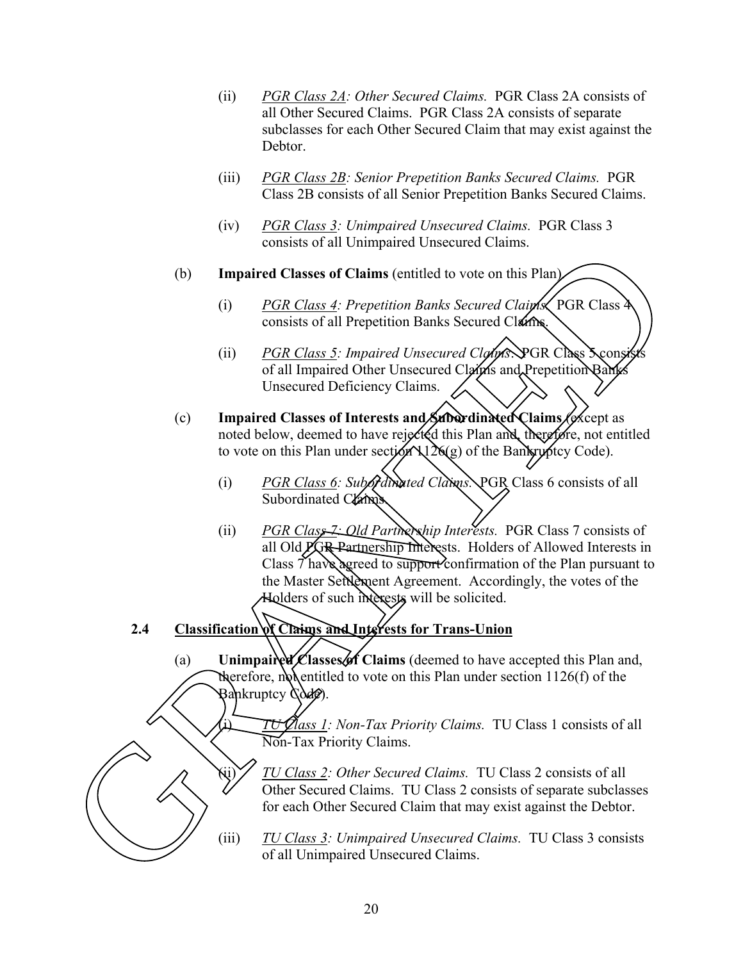- (ii) *PGR Class 2A: Other Secured Claims.* PGR Class 2A consists of all Other Secured Claims. PGR Class 2A consists of separate subclasses for each Other Secured Claim that may exist against the Debtor.
- (iii) *PGR Class 2B: Senior Prepetition Banks Secured Claims.* PGR Class 2B consists of all Senior Prepetition Banks Secured Claims.
- (iv) *PGR Class 3: Unimpaired Unsecured Claims.* PGR Class 3 consists of all Unimpaired Unsecured Claims.
- (b) **Impaired Classes of Claims** (entitled to vote on this Plan).
	- (i) *PGR Class 4: Prepetition Banks Secured Claims*. PGR Class consists of all Prepetition Banks Secured Claims.
	- (ii) *PGR Class 5: Impaired Unsecured Clayms*. PGR Class Sconsi of all Impaired Other Unsecured Claims and Prepetition Ban Unsecured Deficiency Claims.
- (c) **Impaired Classes of Interests and Subordinated Claims** (except as noted below, deemed to have rejected this Plan and, therefore, not entitled to vote on this Plan under section  $\lambda$ 126(g) of the Bankruptcy Code).
	- (i) *PGR Class 6: Subordinated Claims.* PGR Class 6 consists of all Subordinated Claims
- (ii) *PGR Class 7: Old Partnership Interests.* PGR Class 7 consists of all Old **PGR** Partnership Interests. Holders of Allowed Interests in Class 7 have agreed to support confirmation of the Plan pursuant to the Master Settlement Agreement. Accordingly, the votes of the Holders of such interests will be solicited. (b) **Impaired Classes of Claims** (emission of an interpretation of the Classes of Claims (emitted to vote on this Plan)<br>
(i)  $\frac{PGR \text{ Class } \pm 2}$  Prepetition Banks Secured Clams<br>
(ii)  $\frac{PGR \text{ Class } \pm 2}$  Impaired Unsecured Cla
- **2.4 Classification of Claims and Interests for Trans-Union**
	- (a) **Unimpaired Classes of Claims** (deemed to have accepted this Plan and, therefore, not entitled to vote on this Plan under section  $1126(f)$  of the  $B$ ankruptcy  $\Diamond$ de).

(i) *TU Class 1: Non-Tax Priority Claims.* TU Class 1 consists of all Non-Tax Priority Claims.

- (ii) *TU Class 2: Other Secured Claims.* TU Class 2 consists of all Other Secured Claims. TU Class 2 consists of separate subclasses for each Other Secured Claim that may exist against the Debtor. (i) *TU Class 1: Non-1ax Priority Claims.* TU Class 1 consists of all<br>
Total Total Priority Claims.<br>
(ii) *TU Class 2: Other Secured Claims.* TU Class 2 consists of sell<br>
for each Other Secured Claim that may exist against
	-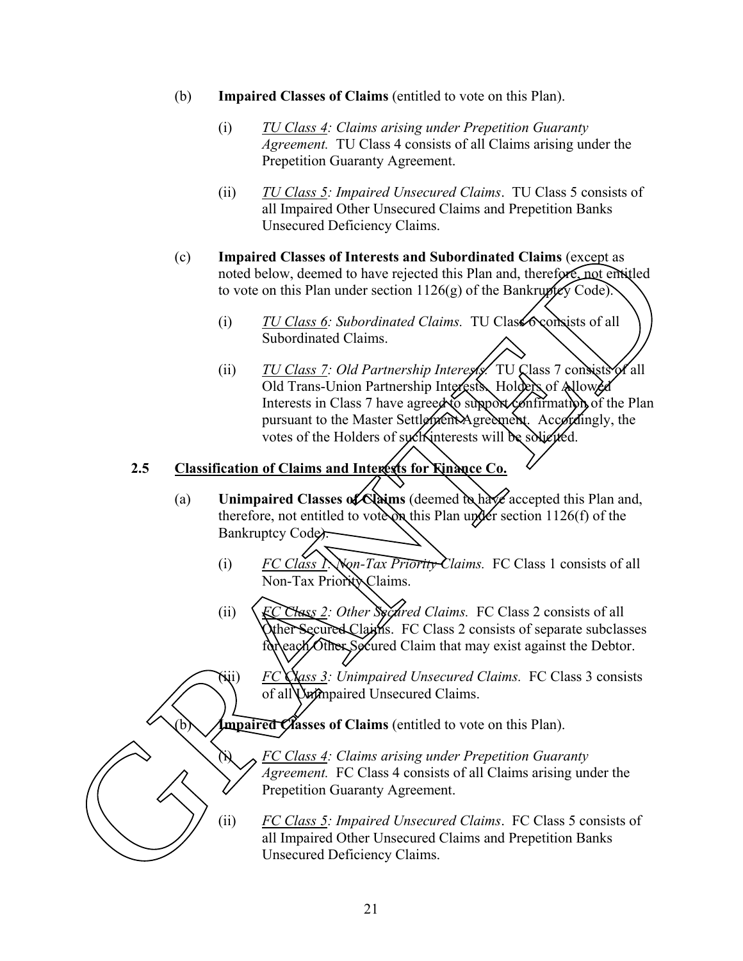- (b) **Impaired Classes of Claims** (entitled to vote on this Plan).
	- (i) *TU Class 4: Claims arising under Prepetition Guaranty Agreement.* TU Class 4 consists of all Claims arising under the Prepetition Guaranty Agreement.
	- (ii) *TU Class 5: Impaired Unsecured Claims*. TU Class 5 consists of all Impaired Other Unsecured Claims and Prepetition Banks Unsecured Deficiency Claims.
- (c) **Impaired Classes of Interests and Subordinated Claims** (except as noted below, deemed to have rejected this Plan and, therefore, not entitled to vote on this Plan under section  $1126(g)$  of the Bankruptcy Code).
	- (i) *TU Class 6: Subordinated Claims.* TU Class  $\infty$  consists of all Subordinated Claims.
- (ii) *TU Class 7: Old Partnership Interests.* TU Class 7 consists of all Old Trans-Union Partnership Interests. Holders of Allowed Interests in Class 7 have agreed to support confirmation of the Plan pursuant to the Master Settlement Agreement. Accordingly, the votes of the Holders of such interests will be solicited. (c) **Impaired Classes of Interests and Subordinated Claims** (except as<br>noted below, deemed to have rejected this Plan and, therefore, not<br>to vote on this Plan under section 1126(g) of the Bankruptcy Code)<br>(i) TU Class 6:

## **2.5 Classification of Claims and Interests for Finance Co.**

- (a) **Unimpaired Classes of Claims** (deemed to have accepted this Plan and, therefore, not entitled to vote on this Plan under section 1126(f) of the Bankruptcy Code).
	- (i) *FC Class 1: Non-Tax Priority Claims.* FC Class 1 consists of all Non-Tax Priority Claims.
	- (ii) *FC Class 2: Other Secured Claims.* FC Class 2 consists of all Other Secured Claims. FC Class 2 consists of separate subclasses for each Other Secured Claim that may exist against the Debtor.

(iii) *FC Class 3: Unimpaired Unsecured Claims.* FC Class 3 consists of all Unimpaired Unsecured Claims.

Impaired Classes of Claims (entitled to vote on this Plan).

(i) *FC Class 4: Claims arising under Prepetition Guaranty Agreement.* FC Class 4 consists of all Claims arising under the Prepetition Guaranty Agreement.

(ii) *FC Class 5: Impaired Unsecured Claims*. FC Class 5 consists of FC Class 4: Claims arising under Prepetition Guaranty<br>Agreement. FC Class 4 consists of all Claims arising under the<br>Prepetition Guaranty Agreement.<br>(ii) FC Class 5: Impaired Unsecured Claims. FC Class 5 consisted In Impai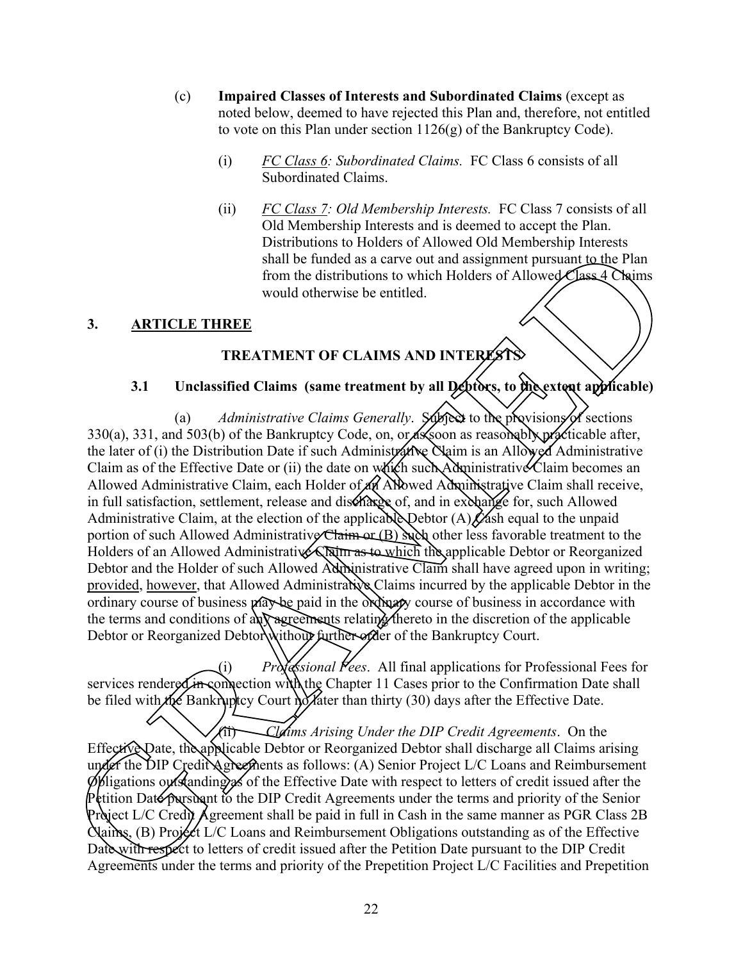- (c) **Impaired Classes of Interests and Subordinated Claims** (except as noted below, deemed to have rejected this Plan and, therefore, not entitled to vote on this Plan under section 1126(g) of the Bankruptcy Code).
	- (i) *FC Class 6: Subordinated Claims.* FC Class 6 consists of all Subordinated Claims.
	- (ii) *FC Class 7: Old Membership Interests.* FC Class 7 consists of all Old Membership Interests and is deemed to accept the Plan. Distributions to Holders of Allowed Old Membership Interests shall be funded as a carve out and assignment pursuant to the Plan from the distributions to which Holders of Allowed Class  $4$  Chaims would otherwise be entitled.

### **3. ARTICLE THREE**

### **TREATMENT OF CLAIMS AND INTERE**

### **3.1 Unclassified Claims (same treatment by all Debtors, to the extent applicable)**

(a) *Administrative Claims Generally.* Subject to the provisions of sections 330(a), 331, and 503(b) of the Bankruptcy Code, on, or as soon as reasonably practicable after, the later of (i) the Distribution Date if such Administrative Claim is an Allowed Administrative Claim as of the Effective Date or (ii) the date on  $\psi$  (if  $\phi$  such Administrative Claim becomes an Allowed Administrative Claim, each Holder of  $\mathcal{A}$ th Allowed Administrative Claim shall receive, in full satisfaction, settlement, release and discharge of, and in exchange for, such Allowed Administrative Claim, at the election of the applicable Debtor (A)  $\chi$  ash equal to the unpaid portion of such Allowed Administrative Claim or  $(B)$  such other less favorable treatment to the Holders of an Allowed Administrative Claim as to which the applicable Debtor or Reorganized Debtor and the Holder of such Allowed Administrative Claim shall have agreed upon in writing; provided, however, that Allowed Administrative Claims incurred by the applicable Debtor in the ordinary course of business may be paid in the ordinary course of business in accordance with the terms and conditions of any agreements relating thereto in the discretion of the applicable Debtor or Reorganized Debtor without further order of the Bankruptcy Court. **EXERCISE THE CONSULTER CONSULTER CONSULTER CONSULTER CONSULTER CONSULTER CONSULTER THREE<br>
FINITE IN the distributions to which Holders of Allowed Class 4 Chains<br>
from the distributions to which Holders of Allowed Class 4** 

(i) *Professional Fees*. All final applications for Professional Fees for services rendered in connection with the Chapter 11 Cases prior to the Confirmation Date shall be filed with the Bankruptcy Court no later than thirty  $(30)$  days after the Effective Date.

(ii) *Claims Arising Under the DIP Credit Agreements*. On the Effective Date, the applicable Debtor or Reorganized Debtor shall discharge all Claims arising under the DIP Credit Agreements as follows: (A) Senior Project L/C Loans and Reimbursement  $\phi$ bligations outstanding as of the Effective Date with respect to letters of credit issued after the Petition Date pursuant to the DIP Credit Agreements under the terms and priority of the Senior Project L/C Credit Agreement shall be paid in full in Cash in the same manner as PGR Class 2B  $\alpha$  Claims, (B) Project L/C Loans and Reimbursement Obligations outstanding as of the Effective Date with respect to letters of credit issued after the Petition Date pursuant to the DIP Credit Effective Date, the applicable Debtor or Reorgani<br>under the DIP Credi Agreements as follows: (A)<br>phigations outstanding as of the Effective Date v<br>Petition Date pursuant to the DIP Credit Agreeme<br>Project L/C Credit Agreeme Agreements under the terms and priority of the Prepetition Project L/C Facilities and Prepetition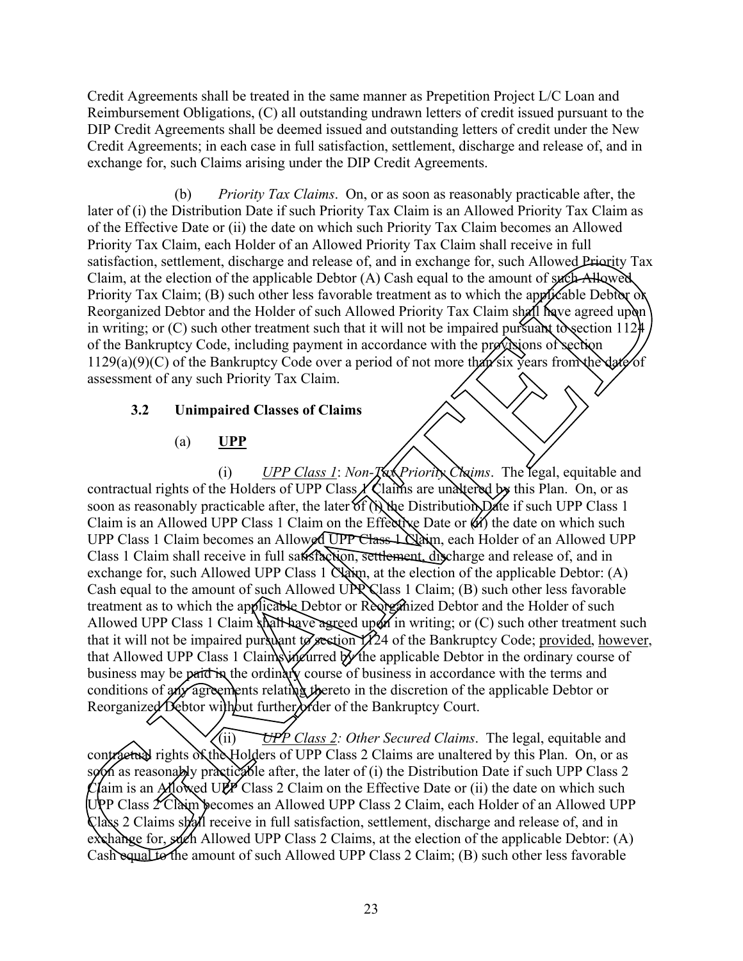Credit Agreements shall be treated in the same manner as Prepetition Project L/C Loan and Reimbursement Obligations, (C) all outstanding undrawn letters of credit issued pursuant to the DIP Credit Agreements shall be deemed issued and outstanding letters of credit under the New Credit Agreements; in each case in full satisfaction, settlement, discharge and release of, and in exchange for, such Claims arising under the DIP Credit Agreements.

(b) *Priority Tax Claims*. On, or as soon as reasonably practicable after, the later of (i) the Distribution Date if such Priority Tax Claim is an Allowed Priority Tax Claim as of the Effective Date or (ii) the date on which such Priority Tax Claim becomes an Allowed Priority Tax Claim, each Holder of an Allowed Priority Tax Claim shall receive in full satisfaction, settlement, discharge and release of, and in exchange for, such Allowed Priority Tax Claim, at the election of the applicable Debtor (A) Cash equal to the amount of such Allowed Priority Tax Claim; (B) such other less favorable treatment as to which the applicable Debtor of Reorganized Debtor and the Holder of such Allowed Priority Tax Claim shall have agreed upon in writing; or  $(C)$  such other treatment such that it will not be impaired pursuant to section 1124. of the Bankruptcy Code, including payment in accordance with the provisions of section 1129(a)(9)(C) of the Bankruptcy Code over a period of not more than six years from the date of assessment of any such Priority Tax Claim.

### **3.2 Unimpaired Classes of Claims**

### (a) **UPP**

(i) *UPP Class 1: Non-* $\chi$   $\chi$ *Priority Chaims.* The legal, equitable and contractual rights of the Holders of UPP Class  $\chi$  Claims are unaltered by this Plan. On, or as soon as reasonably practicable after, the later of (i) the Distribution Date if such UPP Class 1 Claim is an Allowed UPP Class 1 Claim on the Effective Date or  $\langle \hat{u} \rangle$  the date on which such UPP Class 1 Claim becomes an Allowed UPP Class 1 Nam, each Holder of an Allowed UPP Class 1 Claim shall receive in full satisfaction, settlement, discharge and release of, and in exchange for, such Allowed UPP Class 1  $\alpha$  at the election of the applicable Debtor: (A) Cash equal to the amount of such Allowed UPP Class 1 Claim; (B) such other less favorable treatment as to which the applicable Debtor or Reorganized Debtor and the Holder of such Allowed UPP Class 1 Claim shall have a greed upon in writing; or  $(C)$  such other treatment such that it will not be impaired pursuant to section  $\vec{1}$  424 of the Bankruptcy Code; provided, however, that Allowed UPP Class 1 Claims incurred by the applicable Debtor in the ordinary course of business may be paid in the ordinary course of business in accordance with the terms and conditions of any agreements relating thereto in the discretion of the applicable Debtor or Reorganized Debtor without further of the Bankruptcy Court. ax Chinn, can't Hower of an Antonio Priority 1 ax Chinn Sant receive in this charge to the decision of the applicable Debtor (h) Cash equids to the anomator of the applicable Debtor and the Holder of such Allowed Priority

(ii) *UPP Class 2: Other Secured Claims*. The legal, equitable and contractual rights of the Holders of UPP Class 2 Claims are unaltered by this Plan. On, or as soon as reasonably practicable after, the later of (i) the Distribution Date if such UPP Class 2 Claim is an Allowed UPP Class 2 Claim on the Effective Date or (ii) the date on which such UPP Class 2 Claim becomes an Allowed UPP Class 2 Claim, each Holder of an Allowed UPP Class 2 Claims shall receive in full satisfaction, settlement, discharge and release of, and in exchange for, such Allowed UPP Class 2 Claims, at the election of the applicable Debtor: (A) Contractual Srights of the Holders of UPP Class 2: Other contractual Srights of the Holders of UPP Class 2 spon as reasonably practicalle after, the later of Claim is an Allowed UPP Class 2 Claim on the UPP Class 2 Claim b Cash equal to the amount of such Allowed UPP Class 2 Claim; (B) such other less favorable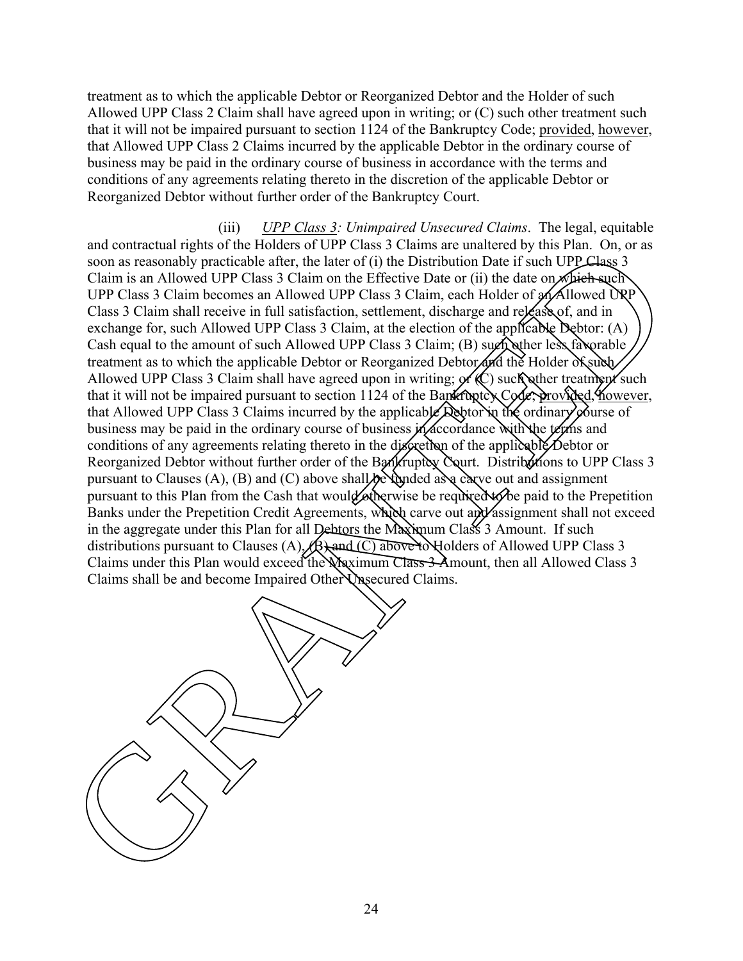treatment as to which the applicable Debtor or Reorganized Debtor and the Holder of such Allowed UPP Class 2 Claim shall have agreed upon in writing; or (C) such other treatment such that it will not be impaired pursuant to section 1124 of the Bankruptcy Code; provided, however, that Allowed UPP Class 2 Claims incurred by the applicable Debtor in the ordinary course of business may be paid in the ordinary course of business in accordance with the terms and conditions of any agreements relating thereto in the discretion of the applicable Debtor or Reorganized Debtor without further order of the Bankruptcy Court.

(iii) *UPP Class 3: Unimpaired Unsecured Claims*. The legal, equitable and contractual rights of the Holders of UPP Class 3 Claims are unaltered by this Plan. On, or as soon as reasonably practicable after, the later of (i) the Distribution Date if such UPP Class 3 Claim is an Allowed UPP Class 3 Claim on the Effective Date or (ii) the date on which such UPP Class 3 Claim becomes an Allowed UPP Class 3 Claim, each Holder of  $\alpha$  Allowed UPP Class 3 Claim shall receive in full satisfaction, settlement, discharge and release of, and in exchange for, such Allowed UPP Class 3 Claim, at the election of the applicable Debtor: (A) Cash equal to the amount of such Allowed UPP Class 3 Claim; (B) such other less favorable treatment as to which the applicable Debtor or Reorganized Debtor and the Holder of such Allowed UPP Class 3 Claim shall have agreed upon in writing;  $\alpha$  (C) such other treatment such that it will not be impaired pursuant to section 1124 of the Bankruptcy Code; provided, *Mowever*, that Allowed UPP Class 3 Claims incurred by the applicable  $\Delta$ sphonithe ordinary course of business may be paid in the ordinary course of business in accordance with the terms and conditions of any agreements relating thereto in the discretion of the applicable Debtor or Reorganized Debtor without further order of the Bankruptcy Court. Distributions to UPP Class 3 pursuant to Clauses (A), (B) and (C) above shall  $\Re$  funded as a carve out and assignment pursuant to this Plan from the Cash that would otherwise be required to be paid to the Prepetition Banks under the Prepetition Credit Agreements, which carve out and assignment shall not exceed in the aggregate under this Plan for all Debtors the Maximum Class 3 Amount. If such distributions pursuant to Clauses (A),  $\overline{B}$ ) and (C) above to Holders of Allowed UPP Class 3 Claims under this Plan would exceed the Waximum Class 3 Amount, then all Allowed Class 3 Claims shall be and become Impaired Other Unsecured Claims. are commutativity and in the buokes of orientation to the UK and the Control of the Sample of the Sample of the UK and the UK and the UK and the UK and the UK and the UK and the UK and the UK and the UK and the UK and the

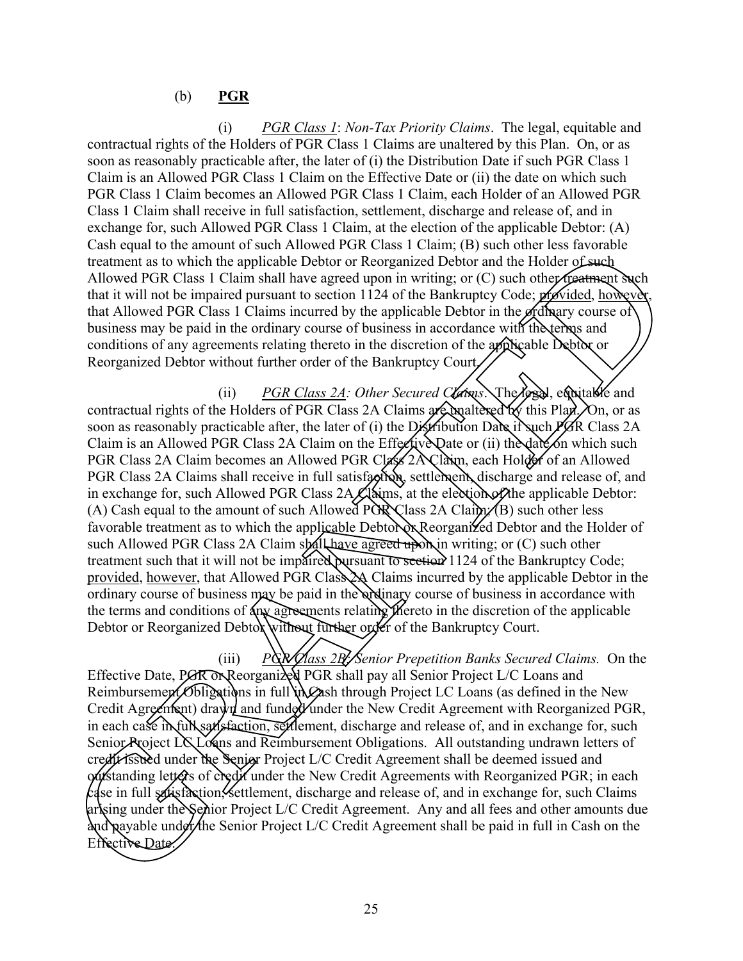### (b) **PGR**

(i) *PGR Class 1*: *Non-Tax Priority Claims*. The legal, equitable and contractual rights of the Holders of PGR Class 1 Claims are unaltered by this Plan. On, or as soon as reasonably practicable after, the later of (i) the Distribution Date if such PGR Class 1 Claim is an Allowed PGR Class 1 Claim on the Effective Date or (ii) the date on which such PGR Class 1 Claim becomes an Allowed PGR Class 1 Claim, each Holder of an Allowed PGR Class 1 Claim shall receive in full satisfaction, settlement, discharge and release of, and in exchange for, such Allowed PGR Class 1 Claim, at the election of the applicable Debtor: (A) Cash equal to the amount of such Allowed PGR Class 1 Claim; (B) such other less favorable treatment as to which the applicable Debtor or Reorganized Debtor and the Holder of such Allowed PGR Class 1 Claim shall have agreed upon in writing; or  $(C)$  such other treatment such that it will not be impaired pursuant to section 1124 of the Bankruptcy Code; *provided*, however, that Allowed PGR Class 1 Claims incurred by the applicable Debtor in the ordinary course of business may be paid in the ordinary course of business in accordance with the terms and conditions of any agreements relating thereto in the discretion of the applicable Debtor or Reorganized Debtor without further order of the Bankruptcy Court.

(ii) *PGR Class 2A: Other Secured Claims*. The legal, equitable and contractual rights of the Holders of PGR Class 2A Claims are unaltered by this Plan. On, or as soon as reasonably practicable after, the later of (i) the Distribution Date if such  $\cancel{P}$ GR Class 2A Claim is an Allowed PGR Class 2A Claim on the Effective Date or (ii) the date on which such PGR Class 2A Claim becomes an Allowed PGR Class 2A Claim, each Holder of an Allowed PGR Class 2A Claims shall receive in full satisfaction, settlement, discharge and release of, and in exchange for, such Allowed PGR Class 2A Claims, at the election of the applicable Debtor: (A) Cash equal to the amount of such Allowed PGR Class 2A Claim  $\sqrt{(B)}$  such other less favorable treatment as to which the applicable Debtor **Reorganized** Debtor and the Holder of such Allowed PGR Class 2A Claim spall have agreed upon in writing; or  $(C)$  such other treatment such that it will not be impaired pursuant to section 1124 of the Bankruptcy Code; provided, however, that Allowed PGR Class 2A Claims incurred by the applicable Debtor in the ordinary course of business may be paid in the ordinary course of business in accordance with the terms and conditions of any agreements relating thereto in the discretion of the applicable Debtor or Reorganized Debtor without further order of the Bankruptcy Court. LERN tipstin three shows the measure of the state of the state of the state of the state of the state of the state of the state of the state of the state of the state of the state of the state of the state of the state of

(iii) *PGR Class 2Bl* Senior Prepetition Banks Secured Claims. On the Effective Date, PGR ON Reorganized PGR shall pay all Senior Project L/C Loans and Reimbursement Obligations in full in Cash through Project LC Loans (as defined in the New Credit Agreement) drawn and funded under the New Credit Agreement with Reorganized PGR, in each case in full satisfaction, settlement, discharge and release of, and in exchange for, such Senior Project LC Loans and Reimbursement Obligations. All outstanding undrawn letters of credit issued under the Senior Project L/C Credit Agreement shall be deemed issued and outstanding letters of credit under the New Credit Agreements with Reorganized PGR; in each case in full satisfaction *settlement*, discharge and release of, and in exchange for, such Claims arising under the Senior Project L/C Credit Agreement. Any and all fees and other amounts due  $\alpha$  and payable under the Senior Project L/C Credit Agreement shall be paid in full in Cash on the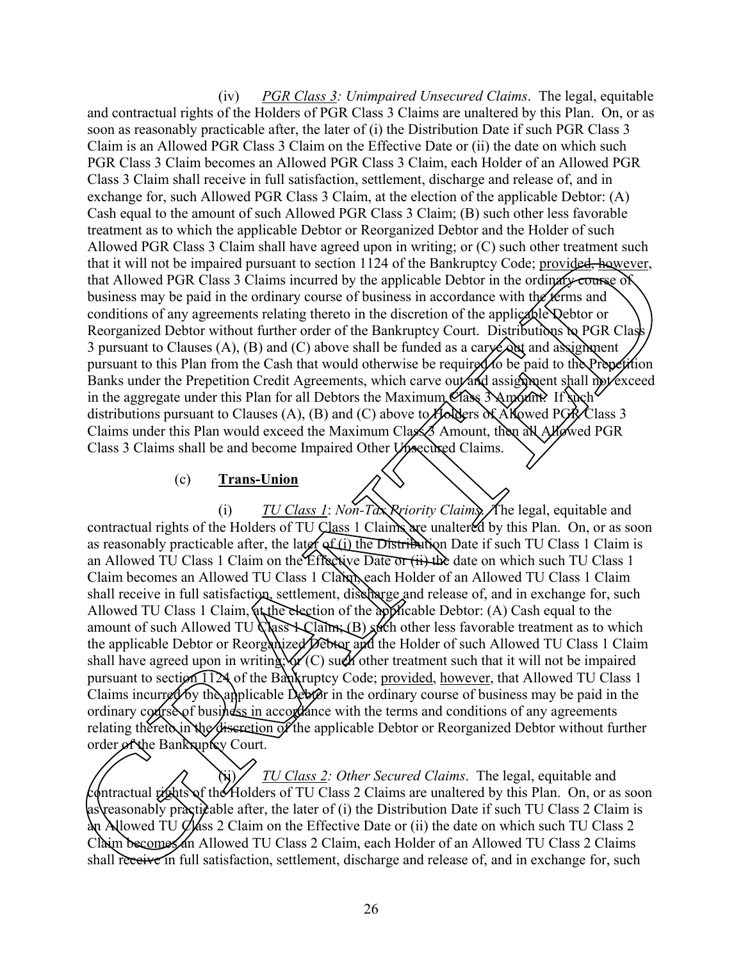(iv) *PGR Class 3: Unimpaired Unsecured Claims*. The legal, equitable and contractual rights of the Holders of PGR Class 3 Claims are unaltered by this Plan. On, or as soon as reasonably practicable after, the later of (i) the Distribution Date if such PGR Class 3 Claim is an Allowed PGR Class 3 Claim on the Effective Date or (ii) the date on which such PGR Class 3 Claim becomes an Allowed PGR Class 3 Claim, each Holder of an Allowed PGR Class 3 Claim shall receive in full satisfaction, settlement, discharge and release of, and in exchange for, such Allowed PGR Class 3 Claim, at the election of the applicable Debtor: (A) Cash equal to the amount of such Allowed PGR Class 3 Claim; (B) such other less favorable treatment as to which the applicable Debtor or Reorganized Debtor and the Holder of such Allowed PGR Class 3 Claim shall have agreed upon in writing; or (C) such other treatment such that it will not be impaired pursuant to section 1124 of the Bankruptcy Code; provided, however, that Allowed PGR Class 3 Claims incurred by the applicable Debtor in the ordinary course of business may be paid in the ordinary course of business in accordance with the terms and conditions of any agreements relating thereto in the discretion of the applicable Qebtor or Reorganized Debtor without further order of the Bankruptcy Court. Distributions to PGR Class 3 pursuant to Clauses (A), (B) and (C) above shall be funded as a cary  $\leftrightarrow$  and assignment pursuant to this Plan from the Cash that would otherwise be required to be paid to the Prepetition Banks under the Prepetition Credit Agreements, which carve out and assignment shall not exceed in the aggregate under this Plan for all Debtors the Maximum Class 3 Amount. If such  $\frac{1}{2}$ distributions pursuant to Clauses (A), (B) and (C) above to Holders of  $\check{A}$  howed PGR/Class 3 Claims under this Plan would exceed the Maximum Class 3 Amount, then all Allowed PGR Class 3 Claims shall be and become Impaired Other Vysecured Claims.

### (c) **Trans-Union**

(i) *TU Class 1*: *Non-Tax Priority Claims*. The legal, equitable and contractual rights of the Holders of TU Class 1 Claims are unaltered by this Plan. On, or as soon as reasonably practicable after, the later of (i) the Distribution Date if such TU Class 1 Claim is an Allowed TU Class 1 Claim on the Effective Date or (ii) the date on which such TU Class 1 Claim becomes an Allowed TU Class 1 Claim, each Holder of an Allowed TU Class 1 Claim shall receive in full satisfaction, settlement, discharge and release of, and in exchange for, such Allowed TU Class 1 Claim, at the election of the applicable Debtor: (A) Cash equal to the amount of such Allowed TU  $Q$  states 1 Claim; (B) such other less favorable treatment as to which the applicable Debtor or Reorganized Debtor and the Holder of such Allowed TU Class 1 Claim shall have agreed upon in writing;  $\sqrt{\frac{C}{C}}$  such other treatment such that it will not be impaired pursuant to section  $\widehat{TX}$  of the Bankruptcy Code; provided, however, that Allowed TU Class 1 Claims incurred by the applicable Debtor in the ordinary course of business may be paid in the ordinary course of business in accordance with the terms and conditions of any agreements relating thereto in the discretion of the applicable Debtor or Reorganized Debtor without further order of the Bankruptcy Court. FGR Class 3 Claim shall have agreed upon m writing or (C) such other freatment such<br>that the beinging duration to section 1124 of the Bankruptcy Code: provided—lower<br>code TGR Class 3 Claim incurred by the applicable Debto

(ii) *TU Class 2: Other Secured Claims*. The legal, equitable and contractual rights of the Holders of TU Class 2 Claims are unaltered by this Plan. On, or as soon as reasonably practicable after, the later of (i) the Distribution Date if such TU Class 2 Claim is  $\Delta n$  Allowed TU Class 2 Claim on the Effective Date or (ii) the date on which such TU Class 2 Claim becomes an Allowed TU Class 2 Claim, each Holder of an Allowed TU Class 2 Claims relating thereto in the discretion of the applicable Debtor or Reorganized Debtor without further order of the Bankupky Court.<br>
TU Class 2: Other Secured Claims. The legal, equitable and contractual rights of the Holders o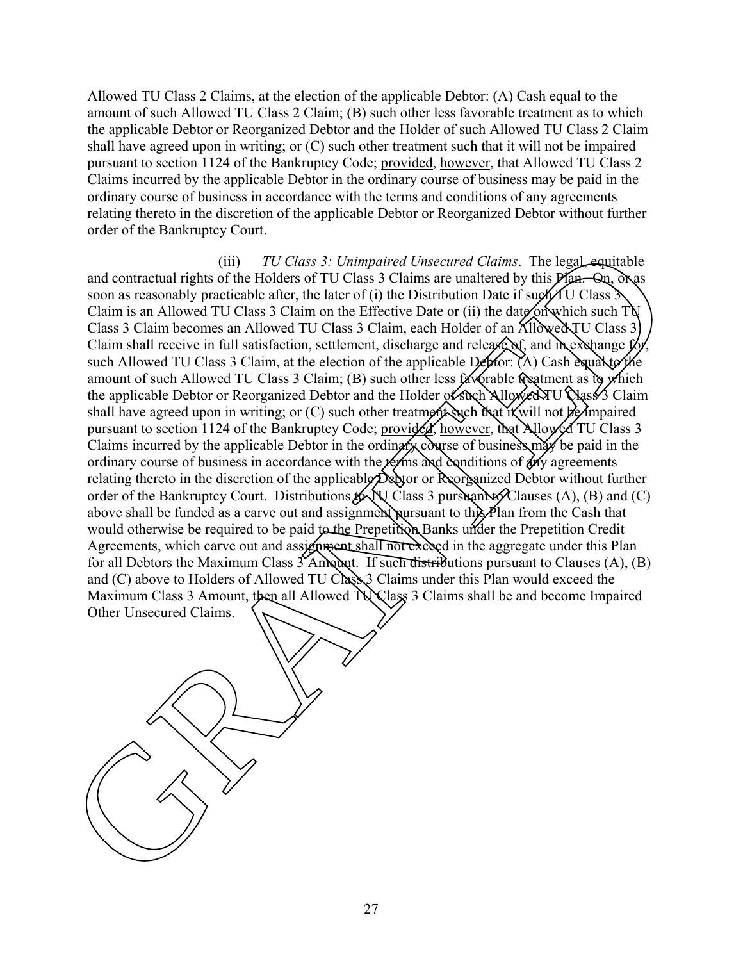Allowed TU Class 2 Claims, at the election of the applicable Debtor: (A) Cash equal to the amount of such Allowed TU Class 2 Claim; (B) such other less favorable treatment as to which the applicable Debtor or Reorganized Debtor and the Holder of such Allowed TU Class 2 Claim shall have agreed upon in writing; or (C) such other treatment such that it will not be impaired pursuant to section 1124 of the Bankruptcy Code; provided, however, that Allowed TU Class 2 Claims incurred by the applicable Debtor in the ordinary course of business may be paid in the ordinary course of business in accordance with the terms and conditions of any agreements relating thereto in the discretion of the applicable Debtor or Reorganized Debtor without further order of the Bankruptcy Court.

(iii) *TU Class 3: Unimpaired Unsecured Claims*. The legal, equitable and contractual rights of the Holders of TU Class 3 Claims are unaltered by this **Plan.** On, or as soon as reasonably practicable after, the later of (i) the Distribution Date if such TU Class  $\mathcal{S}$ Claim is an Allowed TU Class 3 Claim on the Effective Date or (ii) the date on which such TU Class 3 Claim becomes an Allowed TU Class 3 Claim, each Holder of an Allowed TU Class 3 Claim shall receive in full satisfaction, settlement, discharge and release  $\alpha$ , and  $\alpha$  exchange  $\beta$ such Allowed TU Class 3 Claim, at the election of the applicable  $D$ ebtor: (A) Cash equal to the amount of such Allowed TU Class 3 Claim; (B) such other less favorable treatment as to which the applicable Debtor or Reorganized Debtor and the Holder of such Allowed TU Class 3 Claim shall have agreed upon in writing; or  $(C)$  such other treatment such that if will not be impaired pursuant to section 1124 of the Bankruptcy Code; provided, however, that Allowed TU Class 3 Claims incurred by the applicable Debtor in the ordinary course of business may be paid in the ordinary course of business in accordance with the *ferms* and conditions of  $\lambda$ ny agreements relating thereto in the discretion of the applicable Debtor or Reorganized Debtor without further order of the Bankruptcy Court. Distributions  $\oint \mathbf{V} \cdot \mathbf{C}$  and  $\oint \mathbf{V} \cdot \mathbf{C}$  and  $\oint \mathbf{C}$  and  $\oint \mathbf{C}$ above shall be funded as a carve out and assignment pursuant to this Plan from the Cash that would otherwise be required to be paid to the Prepetition Banks under the Prepetition Credit Agreements, which carve out and assignment shall not exceed in the aggregate under this Plan for all Debtors the Maximum Class  $\frac{\partial^2 A}{\partial x}$  and  $\frac{\partial^2 B}{\partial y}$  in distributions pursuant to Clauses (A), (B) and  $(C)$  above to Holders of Allowed TU Class 3 Claims under this Plan would exceed the Maximum Class 3 Amount, then all Allowed TV Class 3 Claims shall be and become Impaired Other Unsecured Claims. and contractual rigit)  $\frac{T1/\sqrt{2}\text{gas}3}{100\text{mag}}$ . Unimpaired Universite Claims. The legal equilable soon as reasonably practicable after, the larer of (i) the Distribution Date if  $\text{sign}(T)$  Class 3 Claim on the Hirselet p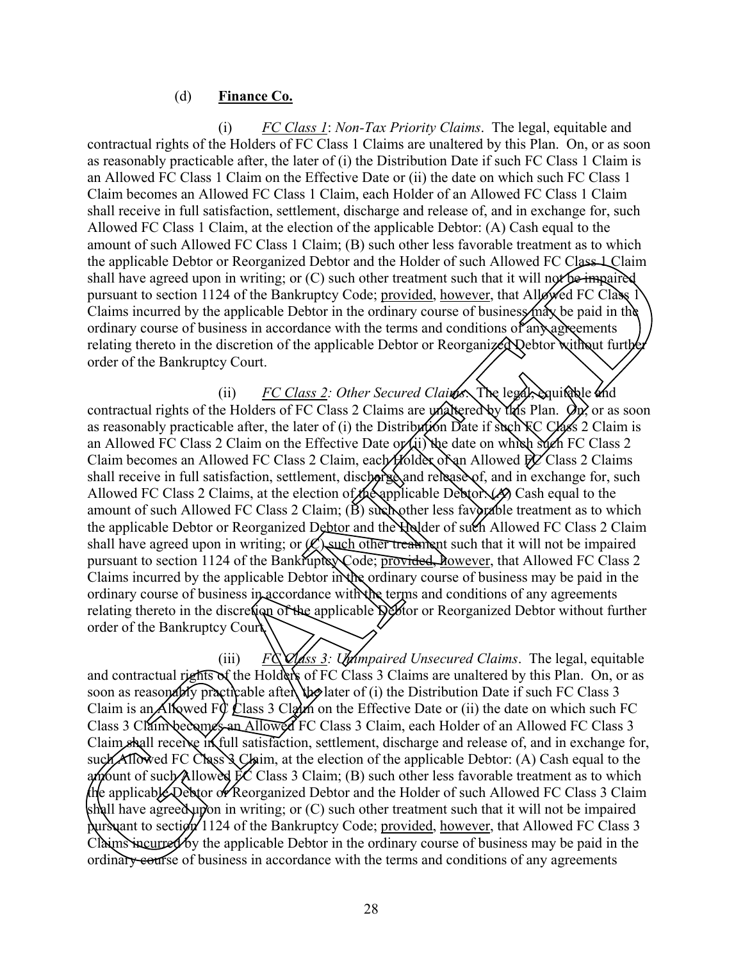#### (d) **Finance Co.**

(i) *FC Class 1*: *Non-Tax Priority Claims*. The legal, equitable and contractual rights of the Holders of FC Class 1 Claims are unaltered by this Plan. On, or as soon as reasonably practicable after, the later of (i) the Distribution Date if such FC Class 1 Claim is an Allowed FC Class 1 Claim on the Effective Date or (ii) the date on which such FC Class 1 Claim becomes an Allowed FC Class 1 Claim, each Holder of an Allowed FC Class 1 Claim shall receive in full satisfaction, settlement, discharge and release of, and in exchange for, such Allowed FC Class 1 Claim, at the election of the applicable Debtor: (A) Cash equal to the amount of such Allowed FC Class 1 Claim; (B) such other less favorable treatment as to which the applicable Debtor or Reorganized Debtor and the Holder of such Allowed FC Class 1 Claim shall have agreed upon in writing; or (C) such other treatment such that it will not be impaired pursuant to section 1124 of the Bankruptcy Code; provided, however, that Allowed FC Class Claims incurred by the applicable Debtor in the ordinary course of business  $\sinh\theta$  be paid in the ordinary course of business in accordance with the terms and conditions of any agreements relating thereto in the discretion of the applicable Debtor or Reorganized Debtor without furtherm order of the Bankruptcy Court.

(ii) *FC Class 2: Other Secured Claims*. The legal, equitable and contractual rights of the Holders of FC Class 2 Claims are  $\mathcal{W}$  exampled by the Plan.  $\phi$ <sub>x</sub> or as soon as reasonably practicable after, the later of (i) the Distribution Date if  $\text{Such}\$ KC Class 2 Claim is an Allowed FC Class 2 Claim on the Effective Date or (ii) the date on which such FC Class 2 Claim becomes an Allowed FC Class 2 Claim, each Holder of an Allowed  $\frac{h}{2}$  Class 2 Claims shall receive in full satisfaction, settlement, discharged and release of, and in exchange for, such Allowed FC Class 2 Claims, at the election of the applicable Debtor:  $(A)$  Cash equal to the amount of such Allowed FC Class 2 Claim;  $(\dot{B})$  such other less favorable treatment as to which the applicable Debtor or Reorganized Debtor and the Holder of such Allowed FC Class 2 Claim shall have agreed upon in writing; or  $\mathcal{O}$  such other treatment such that it will not be impaired pursuant to section 1124 of the Bankruptcode; provided, however, that Allowed FC Class 2 Claims incurred by the applicable Debtor in the ordinary course of business may be paid in the ordinary course of business in accordance with the terms and conditions of any agreements relating thereto in the discretion of the applicable Debtor or Reorganized Debtor without further order of the Bankruptcy Court. sign Anowar PC Class 2 Claim, can be the star of the star and the Higher Health Chindrel at the Window<br>sale Debtor or Reorganized Debtor and the Holder of such Allowed FC Class 1Claim<br>agreed upon in writing or Cly such ot

(iii) *FC Class 3: Unimpaired Unsecured Claims*. The legal, equitable and contractual rights of the Holders of FC Class 3 Claims are unaltered by this Plan. On, or as soon as reasonably practicable after, the later of (i) the Distribution Date if such FC Class 3 Claim is an Allowed FC/Class 3 Claim on the Effective Date or (ii) the date on which such FC Class 3 Claim becomes an Allowed FC Class 3 Claim, each Holder of an Allowed FC Class 3 Claim shall receive in full satisfaction, settlement, discharge and release of, and in exchange for, such Allowed EC Class 3 Claim, at the election of the applicable Debtor: (A) Cash equal to the amount of such Allowed  $\overline{p}C$  Class 3 Claim; (B) such other less favorable treatment as to which the applicable Debtor of Reorganized Debtor and the Holder of such Allowed FC Class 3 Claim shall have agreed upon in writing; or  $(C)$  such other treatment such that it will not be impaired pursuant to section 1124 of the Bankruptcy Code; provided, however, that Allowed FC Class 3 Claims incurred by the applicable Debtor in the ordinary course of business may be paid in the Claim Shall receive in Eulisatistaction, settleme<br>such Allowed EC Class 3 Claim, at the election<br>and to such Allowed EC Class 3 Claim; (B<br>the applicable Debtor of Reorganized Debtor a<br>shall have agreed upon in writing; or ordinary ecurse of business in accordance with the terms and conditions of any agreements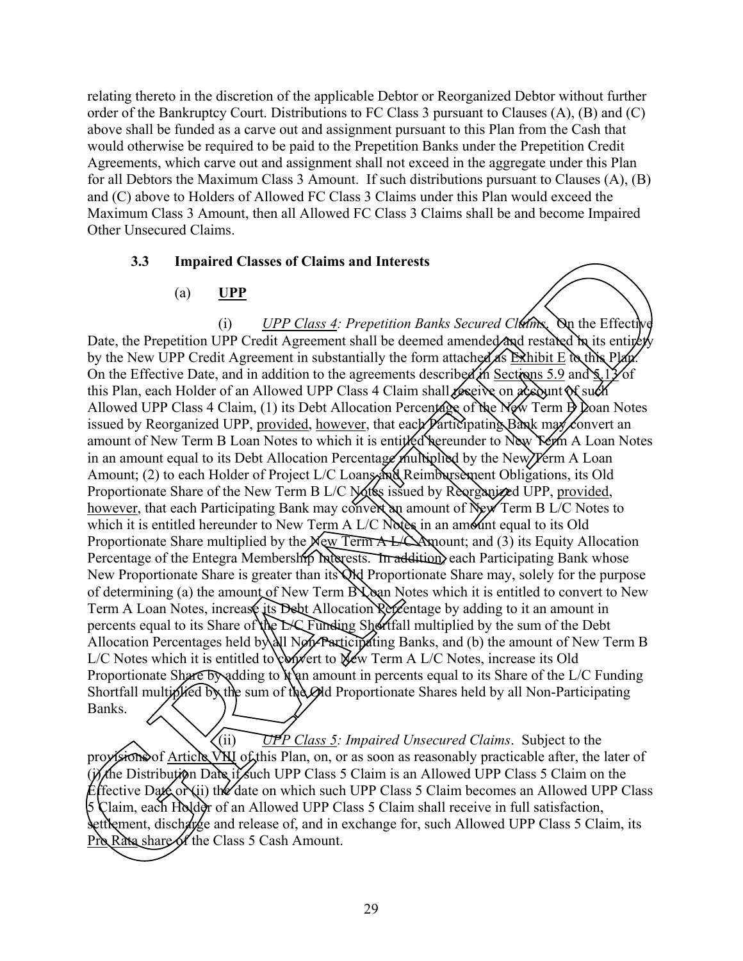relating thereto in the discretion of the applicable Debtor or Reorganized Debtor without further order of the Bankruptcy Court. Distributions to FC Class 3 pursuant to Clauses (A), (B) and (C) above shall be funded as a carve out and assignment pursuant to this Plan from the Cash that would otherwise be required to be paid to the Prepetition Banks under the Prepetition Credit Agreements, which carve out and assignment shall not exceed in the aggregate under this Plan for all Debtors the Maximum Class 3 Amount. If such distributions pursuant to Clauses (A), (B) and (C) above to Holders of Allowed FC Class 3 Claims under this Plan would exceed the Maximum Class 3 Amount, then all Allowed FC Class 3 Claims shall be and become Impaired Other Unsecured Claims.

### **3.3 Impaired Classes of Claims and Interests**

### (a) **UPP**

(i) *UPP Class 4: Prepetition Banks Secured Claims*. On the Effective Date, the Prepetition UPP Credit Agreement shall be deemed amended and restated in its entirety by the New UPP Credit Agreement in substantially the form attached as Exhibit E  $\alpha$  this Plan. On the Effective Date, and in addition to the agreements described in Sections 5.9 and  $\frac{1}{2}$  of this Plan, each Holder of an Allowed UPP Class 4 Claim shall receive on a count of such Allowed UPP Class 4 Claim, (1) its Debt Allocation Percentage of the New Term  $\frac{1}{2}$  Doan Notes issued by Reorganized UPP, provided, however, that each *Participating Bank may* convert an amount of New Term B Loan Notes to which it is entitled hereunder to New Yerm A Loan Notes in an amount equal to its Debt Allocation Percentage multiplied by the New Yerm A Loan Amount; (2) to each Holder of Project L/C Loans and Reimbursement Obligations, its Old Proportionate Share of the New Term B L/C Notes issued by Reorganized UPP, provided, however, that each Participating Bank may convert an amount of New Term B L/C Notes to which it is entitled hereunder to New Term A  $L/C$  Notes in an amount equal to its Old Proportionate Share multiplied by the New Term  $A \cancel{\perp}$  Amount; and (3) its Equity Allocation Percentage of the Entegra Membership Interests. In addition, each Participating Bank whose New Proportionate Share is greater than its Old Proportionate Share may, solely for the purpose of determining (a) the amount of New Term  $\mathbb{N}$  and Notes which it is entitled to convert to New Term A Loan Notes, increase its Debt Allocation Percentage by adding to it an amount in percents equal to its Share of the L/C Funding Shortfall multiplied by the sum of the Debt Allocation Percentages held by all Non-Participating Banks, and (b) the amount of New Term B L/C Notes which it is entitled to convert to New Term A L/C Notes, increase its Old Proportionate Share by adding to  $\mathbf{h}$  and amount in percents equal to its Share of the L/C Funding Shortfall multiplied by the sum of the Old Proportionate Shares held by all Non-Participating Banks. 3.3 Impaired Classes of Claims and Interests<br>
(a) LPP<br>
(b) Control (F) Clearly Agreement shall be deemed amonds/200 (weither but it study)<br>
Data, the Properticon (PP Clearly Agreement shall be deemed amonds/200 (weither b

(ii) *UPP Class 5: Impaired Unsecured Claims*. Subject to the provisions of Article VIII of this Plan, on, or as soon as reasonably practicable after, the later of the Distribution Date if such UPP Class 5 Claim is an Allowed UPP Class 5 Claim on the Effective Date or (ii) the date on which such UPP Class 5 Claim becomes an Allowed UPP Class 5 Claim, each Holder of an Allowed UPP Class 5 Claim shall receive in full satisfaction, settlement, discharge and release of, and in exchange for, such Allowed UPP Class 5 Claim, its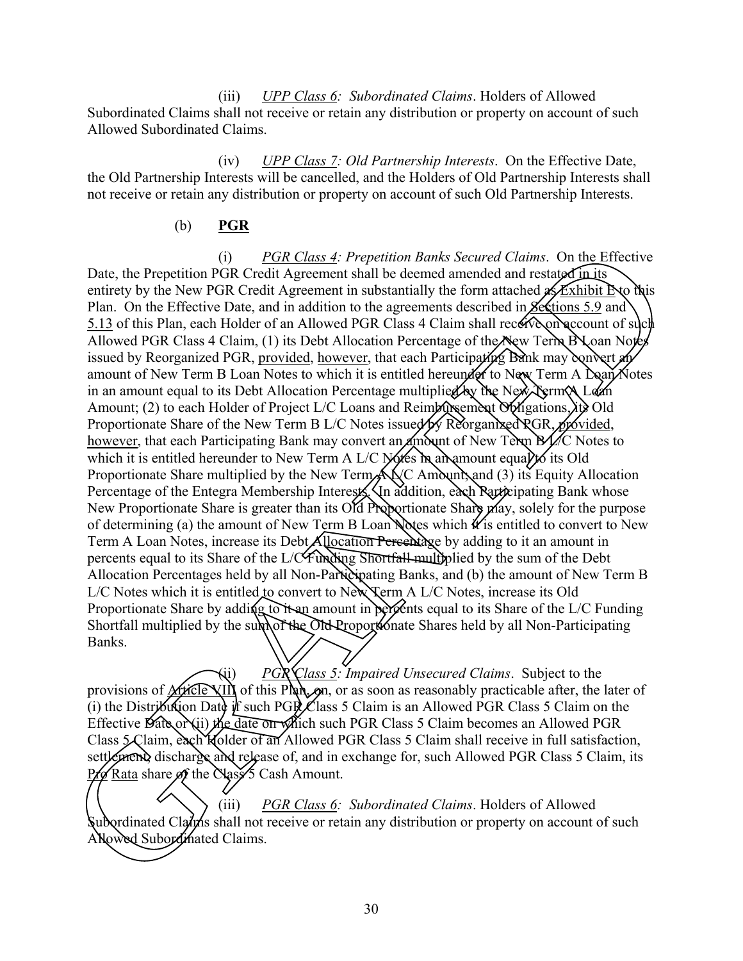(iii) *UPP Class 6: Subordinated Claims*. Holders of Allowed Subordinated Claims shall not receive or retain any distribution or property on account of such Allowed Subordinated Claims.

(iv) *UPP Class 7: Old Partnership Interests*. On the Effective Date, the Old Partnership Interests will be cancelled, and the Holders of Old Partnership Interests shall not receive or retain any distribution or property on account of such Old Partnership Interests.

### (b) **PGR**

(i) *PGR Class 4: Prepetition Banks Secured Claims*. On the Effective Date, the Prepetition PGR Credit Agreement shall be deemed amended and restated in its entirety by the New PGR Credit Agreement in substantially the form attached  $\mathscr{A}$  Exhibit E to this Plan. On the Effective Date, and in addition to the agreements described in Sections 5.9 and 5.13 of this Plan, each Holder of an Allowed PGR Class 4 Claim shall receive on account of such Allowed PGR Class 4 Claim, (1) its Debt Allocation Percentage of the New Term  $\Delta$  Loan Notes issued by Reorganized PGR, provided, however, that each Participating Bank may convert an amount of New Term B Loan Notes to which it is entitled hereunder to New Term A Doan Notes in an amount equal to its Debt Allocation Percentage multiplied by the New Term A Loan Amount; (2) to each Holder of Project L/C Loans and Reimbursement Obligations, lite Old Proportionate Share of the New Term B L/C Notes issued by Reorganized PGR, provided, however, that each Participating Bank may convert an  $\dim$  of New Term  $B$  L/C Notes to which it is entitled hereunder to New Term A L/C Notes in an amount equal to its Old Proportionate Share multiplied by the New Term All C Amount, and (3) its Equity Allocation Percentage of the Entegra Membership Interests. In addition, each Participating Bank whose New Proportionate Share is greater than its Old Proportionate Share may, solely for the purpose of determining (a) the amount of New Term B Loan Notes which  $\mathcal{H}$  is entitled to convert to New Term A Loan Notes, increase its Debt Allocation Percentage by adding to it an amount in percents equal to its Share of the L/C Funding Shortfall multiplied by the sum of the Debt Allocation Percentages held by all Non-Participating Banks, and (b) the amount of New Term B L/C Notes which it is entitled to convert to New Term A L/C Notes, increase its Old Proportionate Share by adding to it an amount in percents equal to its Share of the L/C Funding Shortfall multiplied by the sum of the Old Proportionate Shares held by all Non-Participating Banks. Date, the Prepetition RGR Claims. Control and Subset and Claims. On the Effective British RGRANTED (Note that the Subset PGRANTED Claims. The Park PGRANTED (Note that the Subsetting Date (Note 1976) and the Subsetting Dat

(ii) *PGR Class 5: Impaired Unsecured Claims*. Subject to the provisions of **Article VIII** of this Plan, or as soon as reasonably practicable after, the later of (i) the Distribution Date of such PGR Class 5 Claim is an Allowed PGR Class 5 Claim on the Effective  $\hat{\mathcal{D}}$ ate or  $\hat{\mathcal{D}}$  the date on  $\hat{\mathcal{D}}$  on  $\hat{\mathcal{D}}$  is the pGR Class 5 Claim becomes an Allowed PGR Class  $\int \frac{1}{\cosh \theta} \cosh \theta$  (Ider of an Allowed PGR Class 5 Claim shall receive in full satisfaction, settlement, discharge and release of, and in exchange for, such Allowed PGR Class 5 Claim, its  $Pf\phi$  Rata share of the Nass 5 Cash Amount.

(iii) *PGR Class 6: Subordinated Claims*. Holders of Allowed Subordinated Claims shall not receive or retain any distribution or property on account of such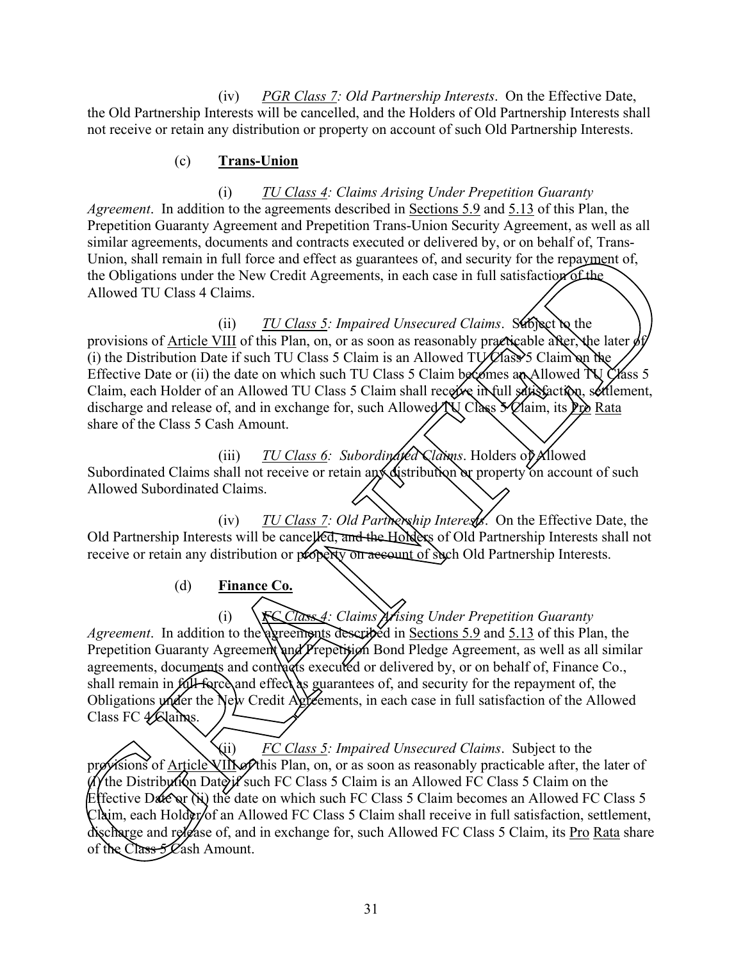(iv) *PGR Class 7: Old Partnership Interests*. On the Effective Date, the Old Partnership Interests will be cancelled, and the Holders of Old Partnership Interests shall not receive or retain any distribution or property on account of such Old Partnership Interests.

### (c) **Trans-Union**

(i) *TU Class 4: Claims Arising Under Prepetition Guaranty Agreement*. In addition to the agreements described in Sections 5.9 and 5.13 of this Plan, the Prepetition Guaranty Agreement and Prepetition Trans-Union Security Agreement, as well as all similar agreements, documents and contracts executed or delivered by, or on behalf of, Trans-Union, shall remain in full force and effect as guarantees of, and security for the repayment of, the Obligations under the New Credit Agreements, in each case in full satisfaction of the Allowed TU Class 4 Claims.

(ii) *TU Class 5: Impaired Unsecured Claims*. Subject to the provisions of Article VIII of this Plan, on, or as soon as reasonably practicable after, the later  $\lambda$ (i) the Distribution Date if such TU Class 5 Claim is an Allowed TU  $\ell$ lass 5 Claim on the Effective Date or (ii) the date on which such TU Class 5 Claim becomes an Allowed  $N\bar{Q}$  G ass 5 Claim, each Holder of an Allowed TU Class 5 Claim shall receive in full satisfaction, settlement, discharge and release of, and in exchange for, such Allowed  $\tilde{N}$  Class  $\tilde{\chi}$  Claim, its P<sub>ro</sub> Rata share of the Class 5 Cash Amount. struments, socialized that the Class 5 Cash Amount Covered by the other of the Class 10 and the Class 10 and the Class 10 and the Class 10 and the Class 10 and the Class 10 and the Class 10 and the Class 10 and the Class

(iii) *TU Class 6: Subordinated Claims*. Holders of Allowed Subordinated Claims shall not receive or retain any distribution or property on account of such Allowed Subordinated Claims.

(iv) *TU Class 7: Old Partnership Interests*. On the Effective Date, the Old Partnership Interests will be cancelled, and the Holders of Old Partnership Interests shall not receive or retain any distribution or property on account of such Old Partnership Interests.

(d) **Finance Co.**

(i) *FC Class 4: Claims Arising Under Prepetition Guaranty*  Agreement. In addition to the agreements described in Sections 5.9 and 5.13 of this Plan, the Prepetition Guaranty Agreement and Prepetition Bond Pledge Agreement, as well as all similar agreements, documents and contracts executed or delivered by, or on behalf of, Finance Co., shall remain in **full-force** and effect as guarantees of, and security for the repayment of, the Obligations under the New Credit Agreements, in each case in full satisfaction of the Allowed Class FC & Claims.

(ii) *FC Class 5: Impaired Unsecured Claims*. Subject to the isions of Article VIII selthis Plan, on, or as soon as reasonably practicable after, the later of if the Distribution Date if such FC Class 5 Claim is an Allowed FC Class 5 Claim on the Effective Date or  $\chi$  is the date on which such FC Class 5 Claim becomes an Allowed FC Class 5  $Cl\acute{a}$ im, each Hold $\acute{e}$ r/of an Allowed FC Class 5 Claim shall receive in full satisfaction, settlement, discharge and release of, and in exchange for, such Allowed FC Class 5 Claim, its Pro Rata share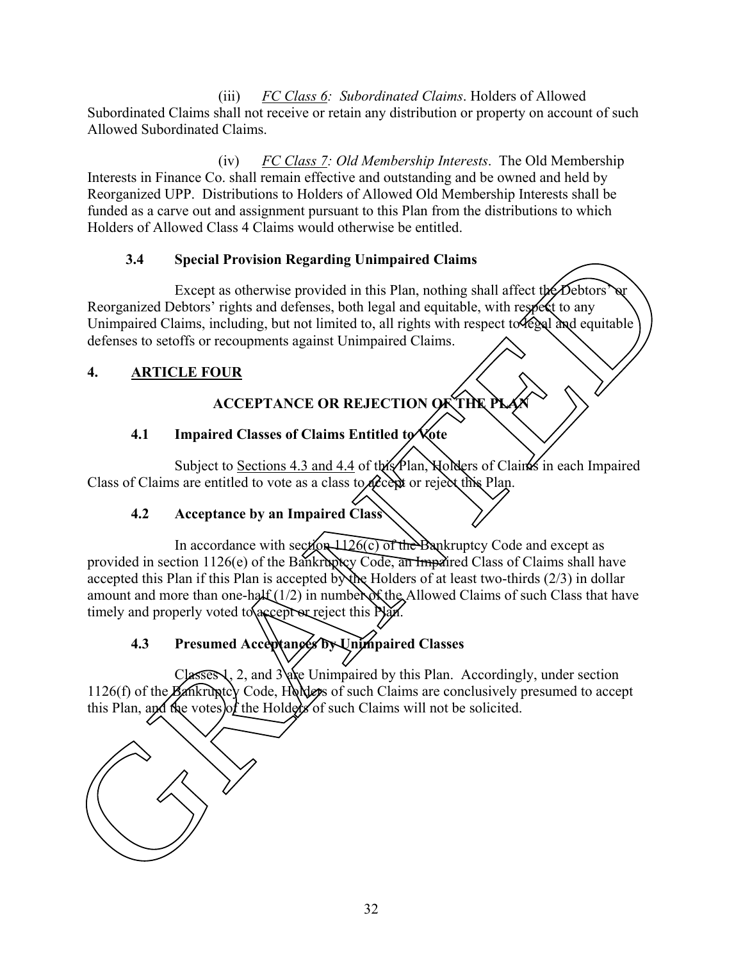(iii) *FC Class 6: Subordinated Claims*. Holders of Allowed Subordinated Claims shall not receive or retain any distribution or property on account of such Allowed Subordinated Claims.

(iv) *FC Class 7: Old Membership Interests*. The Old Membership Interests in Finance Co. shall remain effective and outstanding and be owned and held by Reorganized UPP. Distributions to Holders of Allowed Old Membership Interests shall be funded as a carve out and assignment pursuant to this Plan from the distributions to which Holders of Allowed Class 4 Claims would otherwise be entitled.

### **3.4 Special Provision Regarding Unimpaired Claims**

Except as otherwise provided in this Plan, nothing shall affect the Debtors' Reorganized Debtors' rights and defenses, both legal and equitable, with respect to any Unimpaired Claims, including, but not limited to, all rights with respect to legal and equitable defenses to setoffs or recoupments against Unimpaired Claims.

### **4. ARTICLE FOUR**

## **ACCEPTANCE OR REJECTION OF THE PLAN**

### **4.1 Impaired Classes of Claims Entitled to Vote**

Subject to Sections 4.3 and 4.4 of this Plan, Holders of Claims in each Impaired Class of Claims are entitled to vote as a class to accept or reject this Plan.

### **4.2 Acceptance by an Impaired Class**

In accordance with section  $\frac{1126(c)}{c}$  of the Bankruptcy Code and except as provided in section 1126(e) of the Bankruptcy Code, an Impaired Class of Claims shall have accepted this Plan if this Plan is accepted by the Holders of at least two-thirds  $(2/3)$  in dollar amount and more than one-half  $(1/2)$  in number of the Allowed Claims of such Class that have timely and properly voted to accept or reject this Nam. 3.4 Special Provision Regarding Unimpaired Chains<br>
Recognized Debters' rights and determes both logal and equivable, with respect to any<br>
Recognized Claims, including, but not limited to, all rights with respect to<br>  $\theta$ 

# **4.3 Presumed Acceptances by Unimpaired Classes**

 $Classes 1, 2, and 3$  are Unimpaired by this Plan. Accordingly, under section 1126(f) of the Bankruptcy Code, Holders of such Claims are conclusively presumed to accept this Plan, and the votes of the Holders of such Claims will not be solicited.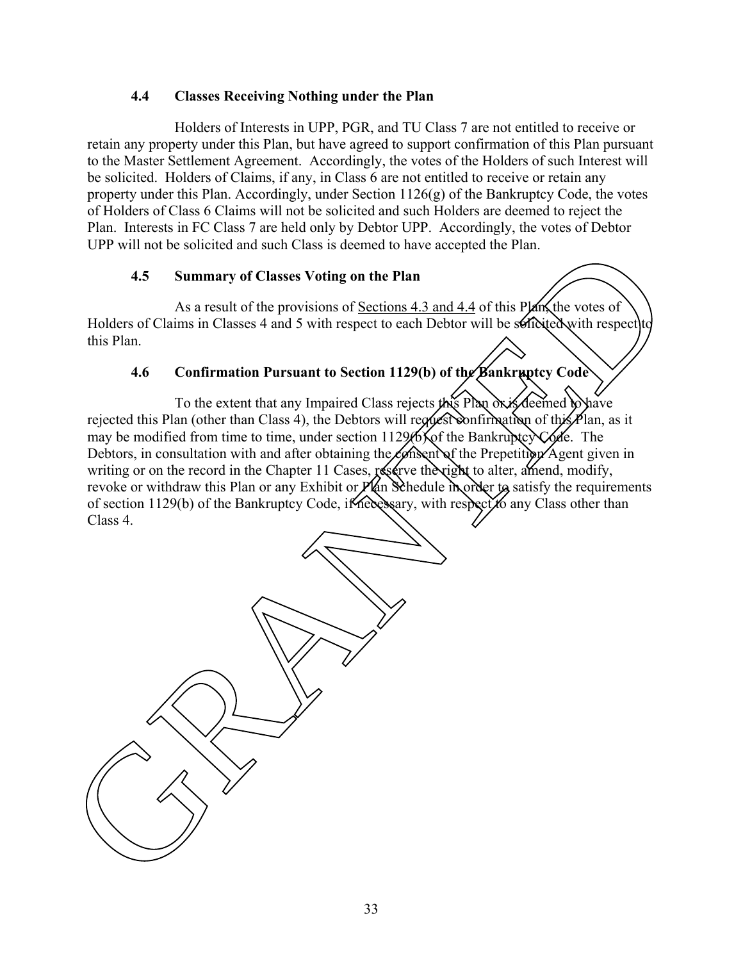### **4.4 Classes Receiving Nothing under the Plan**

Holders of Interests in UPP, PGR, and TU Class 7 are not entitled to receive or retain any property under this Plan, but have agreed to support confirmation of this Plan pursuant to the Master Settlement Agreement. Accordingly, the votes of the Holders of such Interest will be solicited. Holders of Claims, if any, in Class 6 are not entitled to receive or retain any property under this Plan. Accordingly, under Section  $1126(g)$  of the Bankruptcy Code, the votes of Holders of Class 6 Claims will not be solicited and such Holders are deemed to reject the Plan. Interests in FC Class 7 are held only by Debtor UPP. Accordingly, the votes of Debtor UPP will not be solicited and such Class is deemed to have accepted the Plan.

### **4.5 Summary of Classes Voting on the Plan**

As a result of the provisions of Sections 4.3 and 4.4 of this Plan, the votes of Holders of Claims in Classes 4 and 5 with respect to each Debtor will be solicited with respect to this Plan.

### **4.6 Confirmation Pursuant to Section 1129(b) of the Bankruptcy Code**

To the extent that any Impaired Class rejects this Plan or is deemed to have rejected this Plan (other than Class 4), the Debtors will request confirmation of this  $P$ lan, as it may be modified from time to time, under section  $1129666$  of the Bankruptcy Code. The Debtors, in consultation with and after obtaining the *Co*nsent of the Prepetition Agent given in writing or on the record in the Chapter 11 Cases, reserve the right to alter, amend, modify, revoke or withdraw this Plan or any Exhibit or  $P$ lan Schedule in order to satisfy the requirements of section 1129(b) of the Bankruptcy Code, if necessary, with respect to any Class other than Class 4. Contraction and the theoretic and such class is deemed to make a stephen when the Planck Control and South of the provisions of Sciences 4.3 and 4.4 of this Planck voltes of Chains in Classes 4 and 5 with respect to each D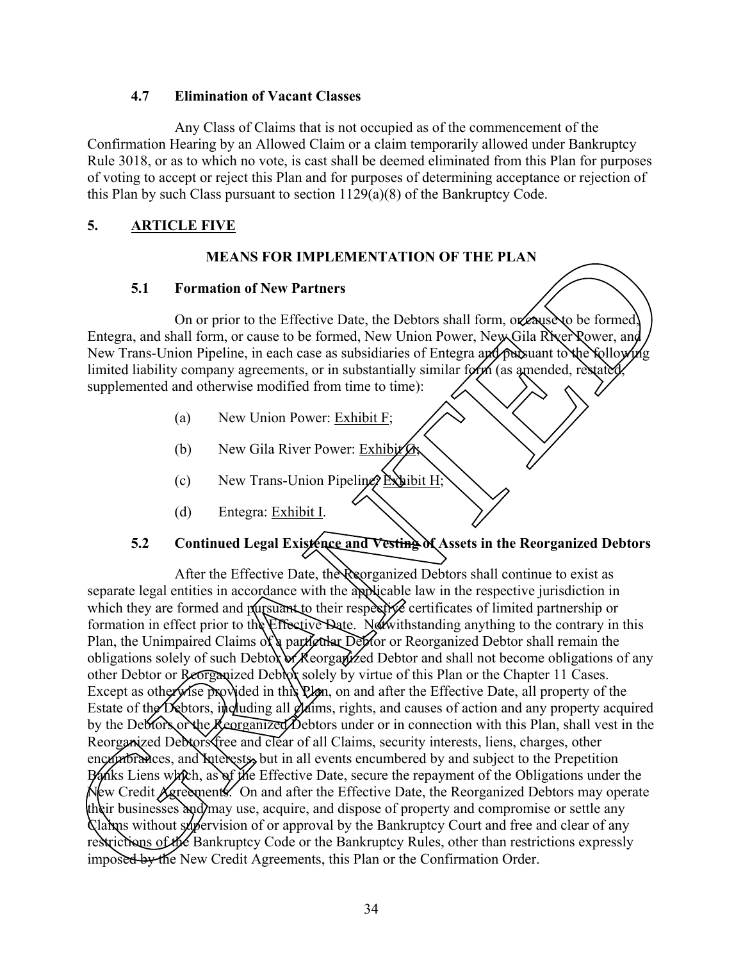### **4.7 Elimination of Vacant Classes**

Any Class of Claims that is not occupied as of the commencement of the Confirmation Hearing by an Allowed Claim or a claim temporarily allowed under Bankruptcy Rule 3018, or as to which no vote, is cast shall be deemed eliminated from this Plan for purposes of voting to accept or reject this Plan and for purposes of determining acceptance or rejection of this Plan by such Class pursuant to section 1129(a)(8) of the Bankruptcy Code.

### **5. ARTICLE FIVE**

### **MEANS FOR IMPLEMENTATION OF THE PLAN**

### **5.1 Formation of New Partners**

On or prior to the Effective Date, the Debtors shall form, or eause to be formed Entegra, and shall form, or cause to be formed, New Union Power, New Gila River Power, and New Trans-Union Pipeline, in each case as subsidiaries of Entegra and pursuant to the following limited liability company agreements, or in substantially similar form (as amended, restated supplemented and otherwise modified from time to time):

- (a) New Union Power: Exhibit F;
- (b) New Gila River Power: Exhibit  $\mathcal{B}_s$
- (c) New Trans-Union Pipeline? Exhibit H;
- (d) Entegra: Exhibit I.

### **5.2 Continued Legal Existence and Vesting of Assets in the Reorganized Debtors**

After the Effective Date, the Reorganized Debtors shall continue to exist as separate legal entities in accordance with the applicable law in the respective jurisdiction in which they are formed and pursuant to their respective certificates of limited partnership or formation in effect prior to the Effective Date. Notwithstanding anything to the contrary in this Plan, the Unimpaired Claims of a particular Debtor or Reorganized Debtor shall remain the obligations solely of such Debtor or Reorganized Debtor and shall not become obligations of any other Debtor or Reorganized Debtor solely by virtue of this Plan or the Chapter 11 Cases. Except as otherwise provided in this Plan, on and after the Effective Date, all property of the Estate of the Debtors, including all  $\partial$ laims, rights, and causes of action and any property acquired by the Debtors or the Reorganized Debtors under or in connection with this Plan, shall vest in the Reorganized Debtors free and clear of all Claims, security interests, liens, charges, other encumbrances, and Interests, but in all events encumbered by and subject to the Prepetition Banks Liens which, as of the Effective Date, secure the repayment of the Obligations under the New Credit Agreements. On and after the Effective Date, the Reorganized Debtors may operate their businesses and may use, acquire, and dispose of property and compromise or settle any Claims without supervision of or approval by the Bankruptcy Court and free and clear of any restrictions of the Bankruptcy Code or the Bankruptcy Rules, other than restrictions expressly **IFANS FOR IMPLEMENTATION OF THE PLANS**<br> **S.1 Comation of New Partners**<br>
Comparison of prior to the Effective Date, the Debtors shall form, occupies be formed<br>
Friegra, and shall form or cause to be formed, New Union Po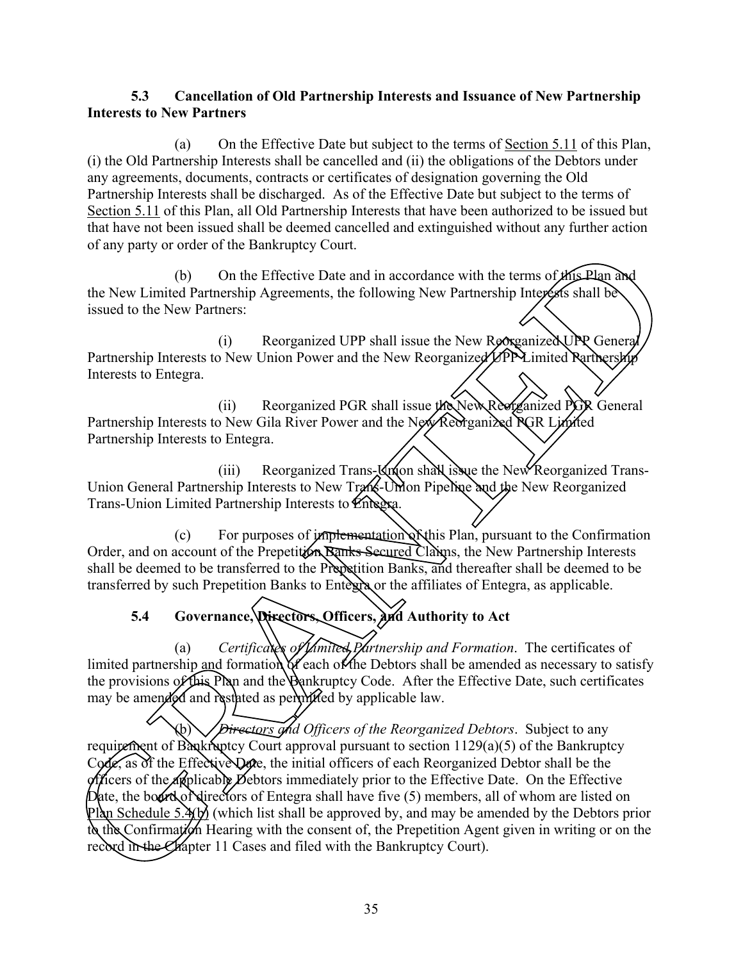### **5.3 Cancellation of Old Partnership Interests and Issuance of New Partnership Interests to New Partners**

(a) On the Effective Date but subject to the terms of Section 5.11 of this Plan, (i) the Old Partnership Interests shall be cancelled and (ii) the obligations of the Debtors under any agreements, documents, contracts or certificates of designation governing the Old Partnership Interests shall be discharged. As of the Effective Date but subject to the terms of Section 5.11 of this Plan, all Old Partnership Interests that have been authorized to be issued but that have not been issued shall be deemed cancelled and extinguished without any further action of any party or order of the Bankruptcy Court.

(b) On the Effective Date and in accordance with the terms of  $\sharp$  the Plan and the New Limited Partnership Agreements, the following New Partnership Interests shall be issued to the New Partners:

(i) Reorganized UPP shall issue the New Reorganized UPP General Partnership Interests to New Union Power and the New Reorganized UPP Limited Rartnership Interests to Entegra.

(ii) Reorganized PGR shall issue the New Reorganized PGR General Partnership Interests to New Gila River Power and the New Reorganized RGR Limited Partnership Interests to Entegra.

(iii) Reorganized Trans- $\mathbb{K}$ n(on shall issue the New Reorganized Trans-Union General Partnership Interests to New Trans-Union Pipeline and the New Reorganized Trans-Union Limited Partnership Interests to Entegra.

 $(c)$  For purposes of implementation of this Plan, pursuant to the Confirmation Order, and on account of the Prepetition Banks Secured Claims, the New Partnership Interests shall be deemed to be transferred to the Prepetition Banks, and thereafter shall be deemed to be transferred by such Prepetition Banks to Entegra or the affiliates of Entegra, as applicable.

## **5.4 Governance, Directors, Officers, and Authority to Act**

(a) *Certificates of Limited Partnership and Formation*. The certificates of limited partnership and formation of the Debtors shall be amended as necessary to satisfy the provisions of this Plan and the Bankruptcy Code. After the Effective Date, such certificates may be amended and restated as permitted by applicable law. The Bankruptcy Court.<br>
On the Effective Date and in accordance with the terms of *MS-Plan and*<br>
ners:<br>
(i) Reorganized UPP shall issue the New Reorganized UPP General)<br>
(i) Reorganized UPP shall issue the New Reorganized U

(b) *Directors and Officers of the Reorganized Debtors*. Subject to any requirement of Bankruptcy Court approval pursuant to section 1129(a)(5) of the Bankruptcy Code, as of the Effective Date, the initial officers of each Reorganized Debtor shall be the officers of the applicable Debtors immediately prior to the Effective Date. On the Effective Date, the board of directors of Entegra shall have five  $(5)$  members, all of whom are listed on Plan Schedule 5. $\mathcal{H}$ b) (which list shall be approved by, and may be amended by the Debtors prior to the Confirmation Hearing with the consent of, the Prepetition Agent given in writing or on the (a) Certificates of Limited partnership and formation of each<br>the provisions of this Plan and the Bankru<br>may be amended and restated as permitted<br>requirement of Bankruptcy Court approva<br>Code, as of the Effective Date, the record in the Chapter 11 Cases and filed with the Bankruptcy Court).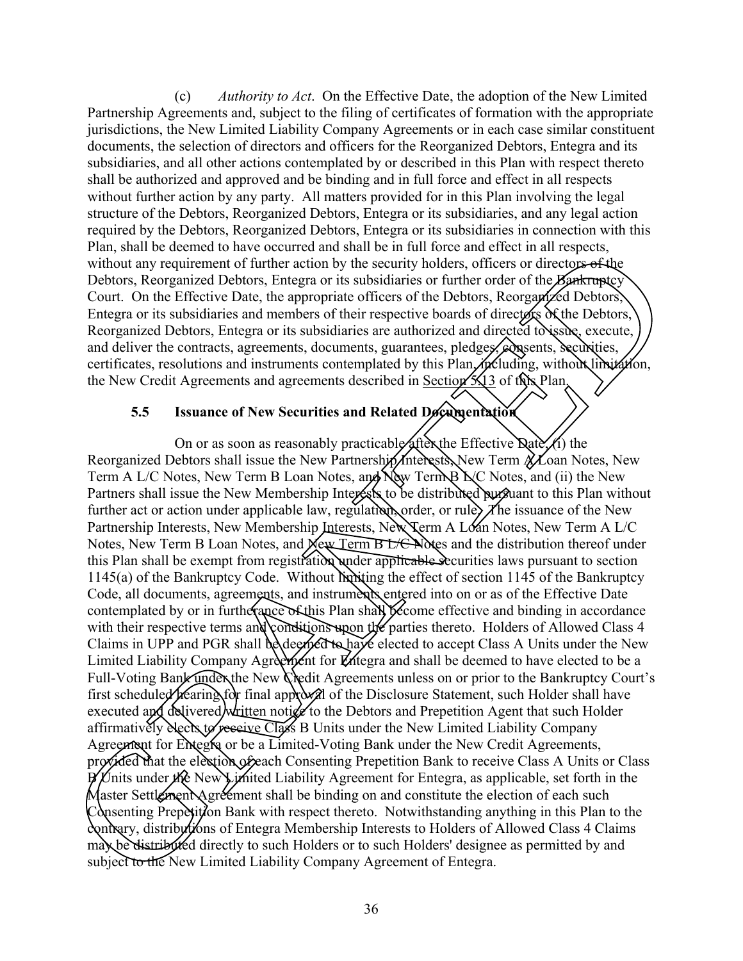(c) *Authority to Act*. On the Effective Date, the adoption of the New Limited Partnership Agreements and, subject to the filing of certificates of formation with the appropriate jurisdictions, the New Limited Liability Company Agreements or in each case similar constituent documents, the selection of directors and officers for the Reorganized Debtors, Entegra and its subsidiaries, and all other actions contemplated by or described in this Plan with respect thereto shall be authorized and approved and be binding and in full force and effect in all respects without further action by any party. All matters provided for in this Plan involving the legal structure of the Debtors, Reorganized Debtors, Entegra or its subsidiaries, and any legal action required by the Debtors, Reorganized Debtors, Entegra or its subsidiaries in connection with this Plan, shall be deemed to have occurred and shall be in full force and effect in all respects, without any requirement of further action by the security holders, officers or directors of the Debtors, Reorganized Debtors, Entegra or its subsidiaries or further order of the Bankruptcy Court. On the Effective Date, the appropriate officers of the Debtors, Reorganized Debtors, Entegra or its subsidiaries and members of their respective boards of directors of the Debtors, Reorganized Debtors, Entegra or its subsidiaries are authorized and directed to issue, execute, and deliver the contracts, agreements, documents, guarantees, pledges, exponsions, securities, certificates, resolutions and instruments contemplated by this Plan, including, without limitation, the New Credit Agreements and agreements described in Section  $\frac{1}{3}$  of the Nan.

### **5.5 Issuance of New Securities and Related Documentation**

On or as soon as reasonably practicable after the Effective Date, (i) the Reorganized Debtors shall issue the New Partnership *Interests*, New Term  $A$  Loan Notes, New Term A L/C Notes, New Term B Loan Notes, and  $\lambda$  New Term B  $\lambda$ C Notes, and (ii) the New Partners shall issue the New Membership Interests to be distributed purguant to this Plan without further act or action under applicable law, regulation, order, or rule,  $\chi$  he issuance of the New Partnership Interests, New Membership Interests, New Term A Loan Notes, New Term A L/C Notes, New Term B Loan Notes, and New Term B L/C Notes and the distribution thereof under this Plan shall be exempt from registration under applicable securities laws pursuant to section  $1145(a)$  of the Bankruptcy Code. Without limiting the effect of section 1145 of the Bankruptcy Code, all documents, agreements, and instruments entered into on or as of the Effective Date contemplated by or in furtherance of this Plan shall become effective and binding in accordance with their respective terms and conditions upon the parties thereto. Holders of Allowed Class 4 Claims in UPP and PGR shall be deemed to have elected to accept Class A Units under the New Limited Liability Company Agreement for Entegra and shall be deemed to have elected to be a Full-Voting Bank under the New Credit Agreements unless on or prior to the Bankruptcy Court's first scheduled hearing for final approval of the Disclosure Statement, such Holder shall have executed and delivered written notice to the Debtors and Prepetition Agent that such Holder affirmatively dects to receive Class B Units under the New Limited Liability Company Agreement for Entegra or be a Limited-Voting Bank under the New Credit Agreements, provided that the election of each Consenting Prepetition Bank to receive Class A Units or Class  $\cancel{B}$  Units under the New Limited Liability Agreement for Entegra, as applicable, set forth in the Master Settlement Agreement shall be binding on and constitute the election of each such Consenting Prepetition Bank with respect thereto. Notwithstanding anything in this Plan to the contrary, distributions of Entegra Membership Interests to Holders of Allowed Class 4 Claims may be distributed directly to such Holders or to such Holders' designee as permitted by and attirmatively Necks to receive Class<br>Agreement for Entegra or be a Limit<br>provided that the election of each Co<br>B Units under the New Limited Liab<br>Master Settlement Agreement shall I<br>Consenting Prepetition Bank with re<br>cont subject to the New Limited Liability Company Agreement of Entegra. Ib calcund to have occurred and shall its in that force and there are a diverged<br>and the predict of the section by the security holders, officers or direct<br>operating the prediction of the EFfective Date, the appropriate o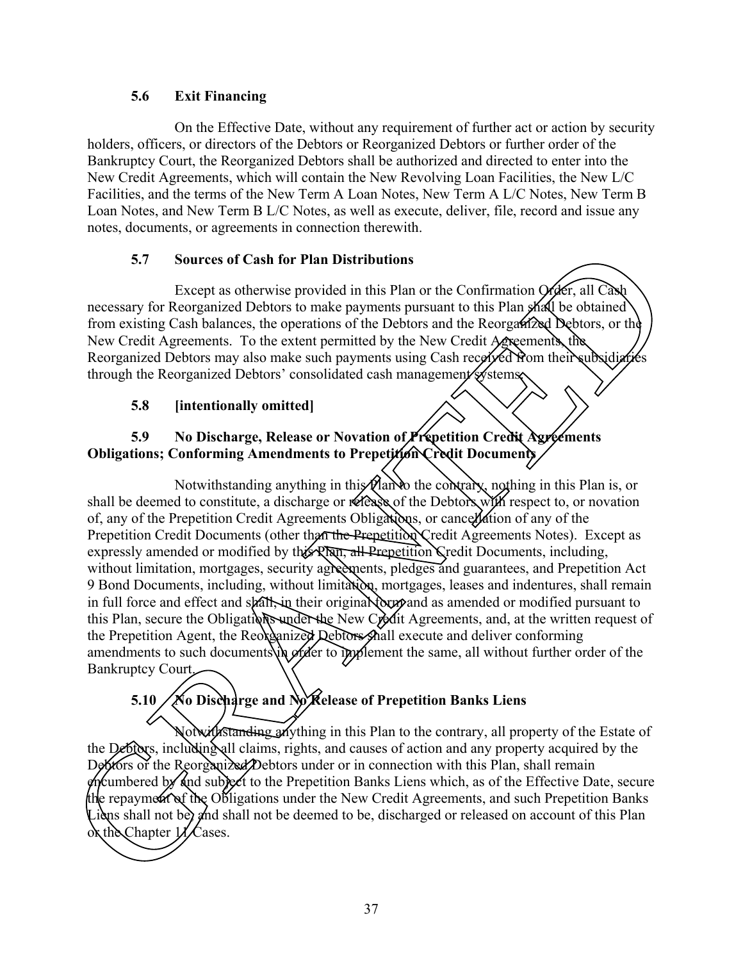### **5.6 Exit Financing**

On the Effective Date, without any requirement of further act or action by security holders, officers, or directors of the Debtors or Reorganized Debtors or further order of the Bankruptcy Court, the Reorganized Debtors shall be authorized and directed to enter into the New Credit Agreements, which will contain the New Revolving Loan Facilities, the New L/C Facilities, and the terms of the New Term A Loan Notes, New Term A L/C Notes, New Term B Loan Notes, and New Term B L/C Notes, as well as execute, deliver, file, record and issue any notes, documents, or agreements in connection therewith.

### **5.7 Sources of Cash for Plan Distributions**

Except as otherwise provided in this Plan or the Confirmation Order, all Cash necessary for Reorganized Debtors to make payments pursuant to this Plan shall be obtained from existing Cash balances, the operations of the Debtors and the Reorganized Debtors, or the New Credit Agreements. To the extent permitted by the New Credit Agreements, the Reorganized Debtors may also make such payments using Cash received from their subsidiaries through the Reorganized Debtors' consolidated cash management systems.

### **5.8 [intentionally omitted]**

### **5.9 No Discharge, Release or Novation of Prepetition Credit Agreements Obligations; Conforming Amendments to Prepetition Credit Documents**

Notwithstanding anything in this Han to the contrary, nothing in this Plan is, or shall be deemed to constitute, a discharge or release of the Debtors with respect to, or novation of, any of the Prepetition Credit Agreements Obligations, or cancellation of any of the Prepetition Credit Documents (other than the Prepetition Credit Agreements Notes). Except as expressly amended or modified by this Plan, all Prepetition Credit Documents, including, without limitation, mortgages, security agreements, pledges and guarantees, and Prepetition Act 9 Bond Documents, including, without limitation, mortgages, leases and indentures, shall remain in full force and effect and shall in their original form and as amended or modified pursuant to this Plan, secure the Obligations under the New Credit Agreements, and, at the written request of the Prepetition Agent, the Reorganized Debtors shall execute and deliver conforming amendments to such documents in order to implement the same, all without further order of the Bankruptcy Court. 5.7 Sources of Cash for Phan Distributions<br>
Ecoept as otherwise provided in this Plan or the Confirmation ( $\sqrt{\text{det}}$ , at Caso)<br>
necessary for Reorganized Debtors to make payrments pursuant to this Plan And Le obtained<br>
fr

# **5.10 No Discharge and No Release of Prepetition Banks Liens**

Notwithstanding anything in this Plan to the contrary, all property of the Estate of the Debtors, including all claims, rights, and causes of action and any property acquired by the Debtors or the Reorganized Debtors under or in connection with this Plan, shall remain  $\epsilon$ ncumbered by and subject to the Prepetition Banks Liens which, as of the Effective Date, secure the repayment of the Obligations under the New Credit Agreements, and such Prepetition Banks Liens shall not be, and shall not be deemed to be, discharged or released on account of this Plan or the Chapter  $\mathcal{U}$  Cases.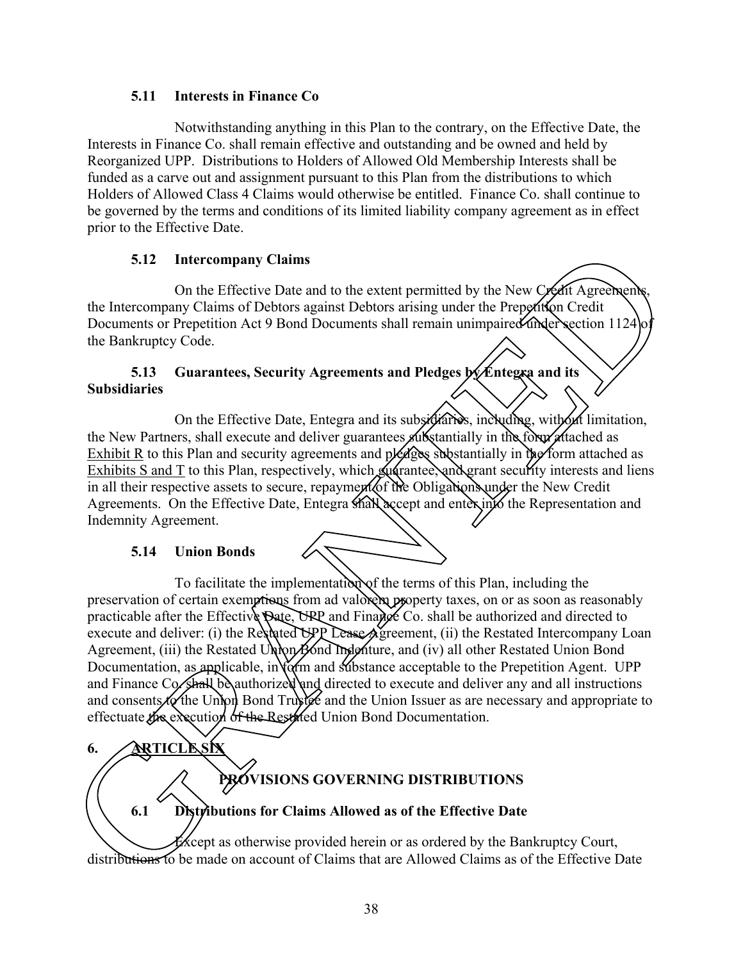### **5.11 Interests in Finance Co**

Notwithstanding anything in this Plan to the contrary, on the Effective Date, the Interests in Finance Co. shall remain effective and outstanding and be owned and held by Reorganized UPP. Distributions to Holders of Allowed Old Membership Interests shall be funded as a carve out and assignment pursuant to this Plan from the distributions to which Holders of Allowed Class 4 Claims would otherwise be entitled. Finance Co. shall continue to be governed by the terms and conditions of its limited liability company agreement as in effect prior to the Effective Date.

### **5.12 Intercompany Claims**

On the Effective Date and to the extent permitted by the New Credit Agreements. the Intercompany Claims of Debtors against Debtors arising under the Prepetition Credit Documents or Prepetition Act 9 Bond Documents shall remain unimpaired under section 1124 the Bankruptcy Code.

### **5.13** Guarantees, Security Agreements and Pledges by Entegra and its **Subsidiaries**

On the Effective Date, Entegra and its subsidiaries, including, with out limitation, the New Partners, shall execute and deliver guarantees substantially in the form attached as Exhibit R to this Plan and security agreements and  $p$   $\cancel{\epsilon}$  are substantially in  $\psi$  form attached as Exhibits S and T to this Plan, respectively, which guarantee, and grant security interests and liens in all their respective assets to secure, repayment of the Obligations under the New Credit Agreements. On the Effective Date, Entegra shall accept and enter into the Representation and Indemnity Agreement.

### **5.14 Union Bonds**

To facilitate the implementation of the terms of this Plan, including the preservation of certain exemptions from ad valorem property taxes, on or as soon as reasonably practicable after the Effective Date, UPP and Finance Co. shall be authorized and directed to execute and deliver: (i) the Restated UPP Lease Agreement, (ii) the Restated Intercompany Loan Agreement, (iii) the Restated Union Bond Indenture, and (iv) all other Restated Union Bond Documentation, as applicable, in  $\chi$  m and substance acceptable to the Prepetition Agent. UPP and Finance Co. shall be authorized and directed to execute and deliver any and all instructions and consents  $\mathcal{A}\phi$  the Union Bond Trustee and the Union Issuer as are necessary and appropriate to effectuate the execution of the Restated Union Bond Documentation. 12 Intercompany Claims<br>
12 Intercompany Claims<br>
12 Intercompany Claims<br>
12 Intercompany Claims<br>
12 Intercompany Claims<br>
13 Intercompany Claims are the Properties of Debtors against Debtors arising under the Properties<br>
13

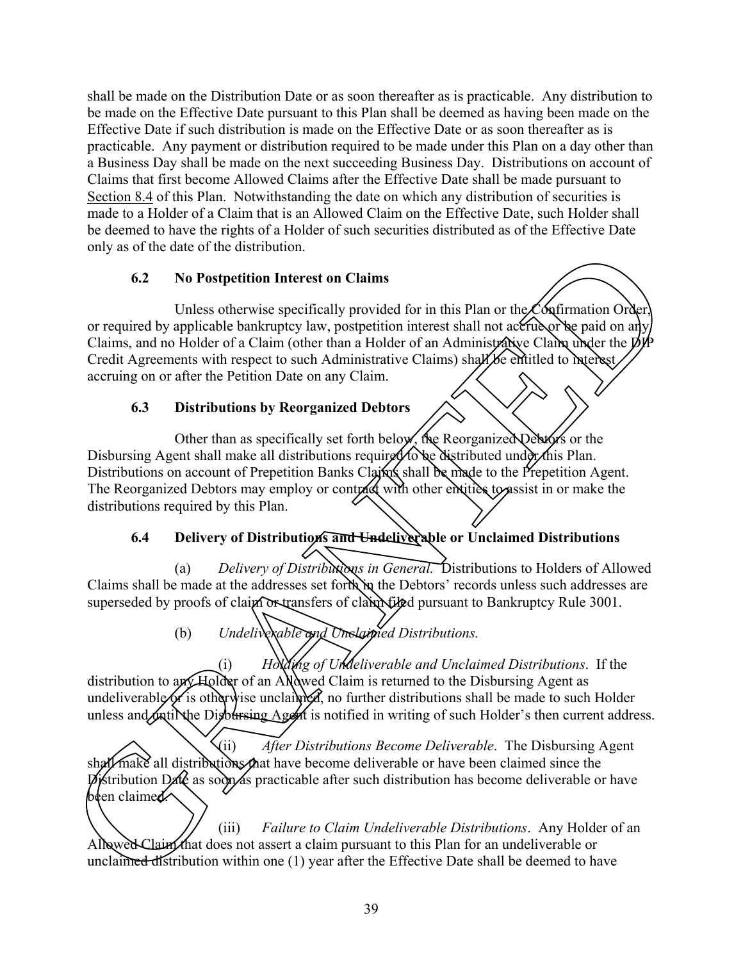shall be made on the Distribution Date or as soon thereafter as is practicable. Any distribution to be made on the Effective Date pursuant to this Plan shall be deemed as having been made on the Effective Date if such distribution is made on the Effective Date or as soon thereafter as is practicable. Any payment or distribution required to be made under this Plan on a day other than a Business Day shall be made on the next succeeding Business Day. Distributions on account of Claims that first become Allowed Claims after the Effective Date shall be made pursuant to Section 8.4 of this Plan. Notwithstanding the date on which any distribution of securities is made to a Holder of a Claim that is an Allowed Claim on the Effective Date, such Holder shall be deemed to have the rights of a Holder of such securities distributed as of the Effective Date only as of the date of the distribution.

### **6.2 No Postpetition Interest on Claims**

Unless otherwise specifically provided for in this Plan or the Confirmation Order or required by applicable bankruptcy law, postpetition interest shall not accrue or be paid on any Claims, and no Holder of a Claim (other than a Holder of an Administrative Claim under the DIP Credit Agreements with respect to such Administrative Claims) shall be entitled to interest, accruing on or after the Petition Date on any Claim. the date of the distribution,<br>
2 No Postpetition Interest on Claims<br>
2 Universident Interest on Claims<br>
dby applicable bankrupticy law, postpetition interest shall not accumulate<br>
dby applicable bankrupticy law, postpetit

### **6.3 Distributions by Reorganized Debtors**

Other than as specifically set forth below, the Reorganized Debtors or the Disbursing Agent shall make all distributions required to be distributed under this Plan. Distributions on account of Prepetition Banks Claims shall be made to the Prepetition Agent. The Reorganized Debtors may employ or contract with other entities to assist in or make the distributions required by this Plan.

### **6.4 Delivery of Distributions and Undeliverable or Unclaimed Distributions**

(a) *Delivery of Distributions in General.* Distributions to Holders of Allowed Claims shall be made at the addresses set forth in the Debtors' records unless such addresses are superseded by proofs of claim or transfers of claim filed pursuant to Bankruptcy Rule 3001.

(b) *Undeliverable and Unclaimed Distributions.*

(i) *Holding of Undeliverable and Unclaimed Distributions*. If the distribution to  $\frac{\partial f}{\partial x}$  Holder of an Allowed Claim is returned to the Disbursing Agent as undeliverable of is otherwise unclaimed, no further distributions shall be made to such Holder unless and until the Distursing Agent is notified in writing of such Holder's then current address.

(ii) *After Distributions Become Deliverable*. The Disbursing Agent  $\chi$  make all distributions that have become deliverable or have been claimed since the  $\vec{p}$  istribution Date as soon as practicable after such distribution has become deliverable or have been claimed. Shall make all distributions that have become de<br>
pristribution Date as soon as practicable after subden claimed.<br>
(iii) Failure to Claim I<br>
Allowed Claim that does not assert a claim pursunclaimed distribution within one

(iii) *Failure to Claim Undeliverable Distributions*. Any Holder of an Allowed Claim that does not assert a claim pursuant to this Plan for an undeliverable or unclaimed distribution within one  $(1)$  year after the Effective Date shall be deemed to have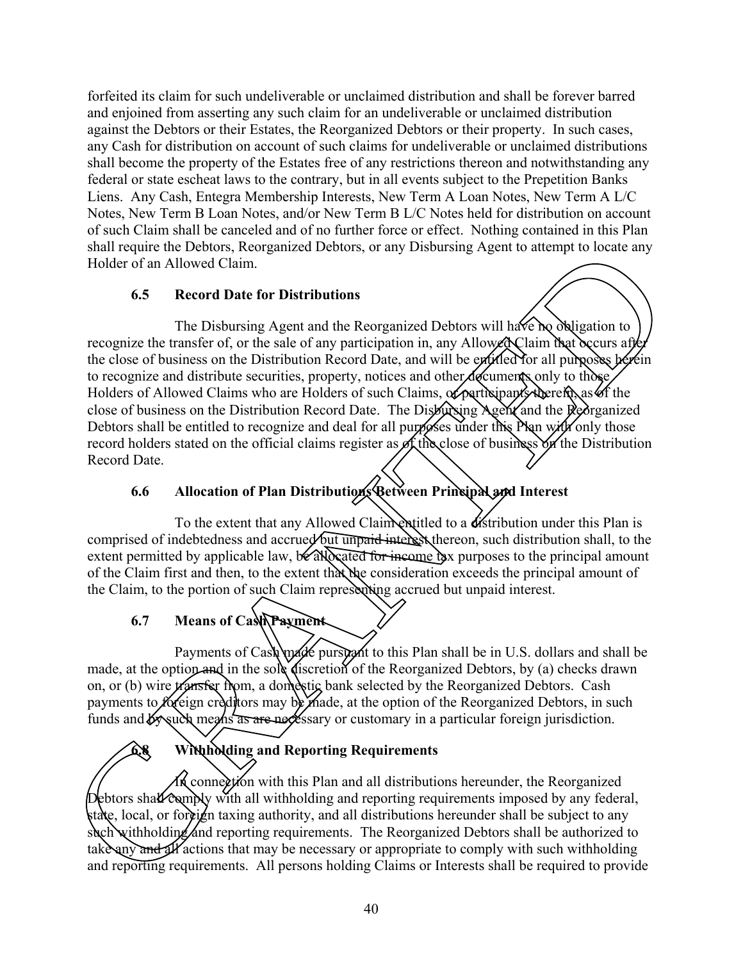forfeited its claim for such undeliverable or unclaimed distribution and shall be forever barred and enjoined from asserting any such claim for an undeliverable or unclaimed distribution against the Debtors or their Estates, the Reorganized Debtors or their property. In such cases, any Cash for distribution on account of such claims for undeliverable or unclaimed distributions shall become the property of the Estates free of any restrictions thereon and notwithstanding any federal or state escheat laws to the contrary, but in all events subject to the Prepetition Banks Liens. Any Cash, Entegra Membership Interests, New Term A Loan Notes, New Term A L/C Notes, New Term B Loan Notes, and/or New Term B L/C Notes held for distribution on account of such Claim shall be canceled and of no further force or effect. Nothing contained in this Plan shall require the Debtors, Reorganized Debtors, or any Disbursing Agent to attempt to locate any Holder of an Allowed Claim.

### **6.5 Record Date for Distributions**

The Disbursing Agent and the Reorganized Debtors will have no obligation to recognize the transfer of, or the sale of any participation in, any Allowed Claim that occurs after the close of business on the Distribution Record Date, and will be entitled for all purposes berein to recognize and distribute securities, property, notices and other documents only to those, Holders of Allowed Claims who are Holders of such Claims, of participants therein, as of the close of business on the Distribution Record Date. The Disbursing Agent and the Reorganized Debtors shall be entitled to recognize and deal for all purposes under this Nan with only those record holders stated on the official claims register as of the close of business on the Distribution Record Date. For Detroits, Roreganized Debtors, or any Disbursing Agent to attempt to locate any<br>
an Allowed Claim.<br>
Second Date for Distributions<br>
The Disbussing Agent and the Recorganized Debtors will have been obligation to<br>
the tra

# **6.6 Allocation of Plan Distributions Between Principal and Interest**

To the extent that any Allowed Claim entitled to a distribution under this Plan is comprised of indebtedness and accrued but unpaid interest thereon, such distribution shall, to the extent permitted by applicable law,  $\sqrt{6}$  allocated for income tax purposes to the principal amount of the Claim first and then, to the extent that the consideration exceeds the principal amount of the Claim, to the portion of such Claim representing accrued but unpaid interest.

### **6.7 Means of Cash Payment**

Payments of Cash made pursuant to this Plan shall be in U.S. dollars and shall be made, at the option and in the sole discretion of the Reorganized Debtors, by (a) checks drawn on, or (b) wire *transfer from*, a domestic bank selected by the Reorganized Debtors. Cash payments to *foreign* creditors may be made, at the option of the Reorganized Debtors, in such funds and  $\mathcal{B}_{\mathcal{V}}$  such means as are necessary or customary in a particular foreign jurisdiction.

### **6.8 Withholding and Reporting Requirements**

In connection with this Plan and all distributions hereunder, the Reorganized Debtors shall comply with all withholding and reporting requirements imposed by any federal, state, local, or foreign taxing authority, and all distributions hereunder shall be subject to any such withholding and reporting requirements. The Reorganized Debtors shall be authorized to take any and all actions that may be necessary or appropriate to comply with such withholding **and R**<br>**Constant Properties**<br>**Constant Properties**<br>**Constant Properties**<br>**Constant Properties**<br>**Constant Properties**<br>**Constant Properties**<br>**Constant Properties**<br>**Constant Properties**<br>**Constant Properties**<br>**Constant** Prope and reporting requirements. All persons holding Claims or Interests shall be required to provide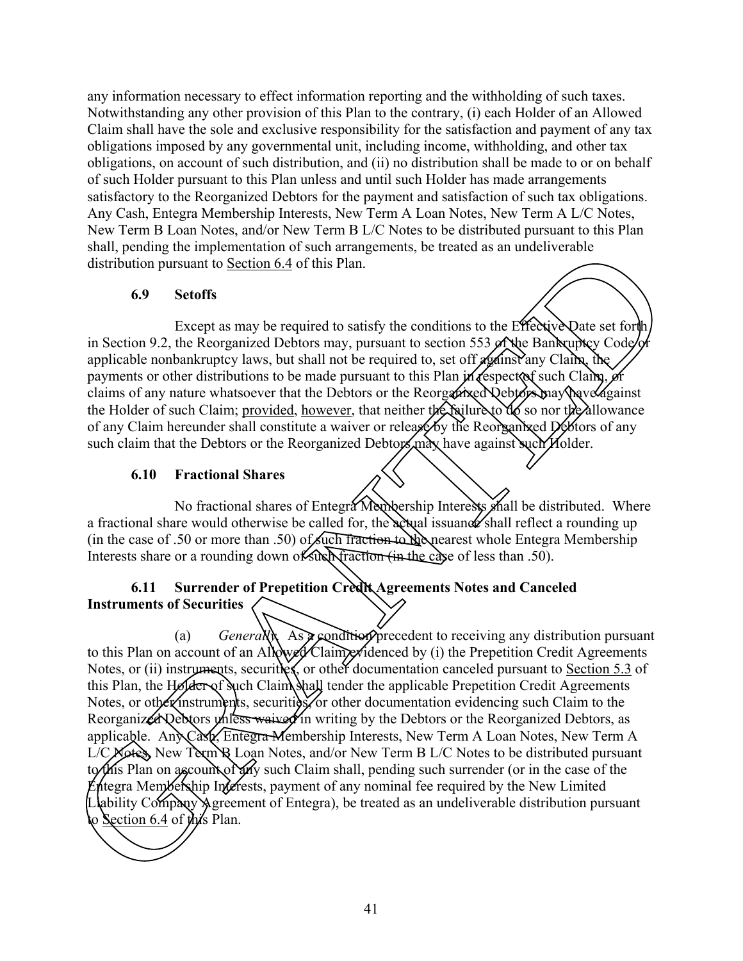any information necessary to effect information reporting and the withholding of such taxes. Notwithstanding any other provision of this Plan to the contrary, (i) each Holder of an Allowed Claim shall have the sole and exclusive responsibility for the satisfaction and payment of any tax obligations imposed by any governmental unit, including income, withholding, and other tax obligations, on account of such distribution, and (ii) no distribution shall be made to or on behalf of such Holder pursuant to this Plan unless and until such Holder has made arrangements satisfactory to the Reorganized Debtors for the payment and satisfaction of such tax obligations. Any Cash, Entegra Membership Interests, New Term A Loan Notes, New Term A L/C Notes, New Term B Loan Notes, and/or New Term B L/C Notes to be distributed pursuant to this Plan shall, pending the implementation of such arrangements, be treated as an undeliverable distribution pursuant to Section 6.4 of this Plan.

### **6.9 Setoffs**

Except as may be required to satisfy the conditions to the Effective Date set forth in Section 9.2, the Reorganized Debtors may, pursuant to section 553 of the Bankruptcy Code or applicable nonbankruptcy laws, but shall not be required to, set off  $\chi$  and  $\chi$  and  $\chi$  the payments or other distributions to be made pursuant to this Plan in respect of such Claim, or claims of any nature whatsoever that the Debtors or the Reorganized Debtors may have against the Holder of such Claim; provided, however, that neither the failure to do so nor the allowance of any Claim hereunder shall constitute a waiver or release by the Reorganized Debtors of any such claim that the Debtors or the Reorganized Debtors may have against such Holder.

### **6.10 Fractional Shares**

No fractional shares of Entegra Membership Interests shall be distributed. Where a fractional share would otherwise be called for, the actual issuance shall reflect a rounding up (in the case of .50 or more than .50) of such fraction to the nearest whole Entegra Membership Interests share or a rounding down of such fraction (in the case of less than .50).

### **6.11 Surrender of Prepetition Credit Agreements Notes and Canceled Instruments of Securities**

(a) *Generally.* As  $\infty$  condition precedent to receiving any distribution pursuant to this Plan on account of an Allowed Claim evidenced by (i) the Prepetition Credit Agreements Notes, or (ii) instruments, securities, or other documentation canceled pursuant to Section 5.3 of this Plan, the Holder of such Claim shall tender the applicable Prepetition Credit Agreements Notes, or other instruments, securities, or other documentation evidencing such Claim to the Reorganized Debtors diffess waived in writing by the Debtors or the Reorganized Debtors, as applicable. Any Cash, Entegra Membership Interests, New Term A Loan Notes, New Term A L/C Notes, New Term B Loan Notes, and/or New Term B L/C Notes to be distributed pursuant to this Plan on account of any such Claim shall, pending such surrender (or in the case of the Entegra Membership Interests, payment of any nominal fee required by the New Limited Liability Company Agreement of Entegra), be treated as an undeliverable distribution pursuant to Section 6.4 of this Plan. shall penning the implementation 6 such arrangements, be treated as an underiverable<br>distribution pursuant to <u>Section 6.4</u> of this Plan.<br>
Freepti as may be required to satisfy the condition to the *Hacky* Date set for<br>th

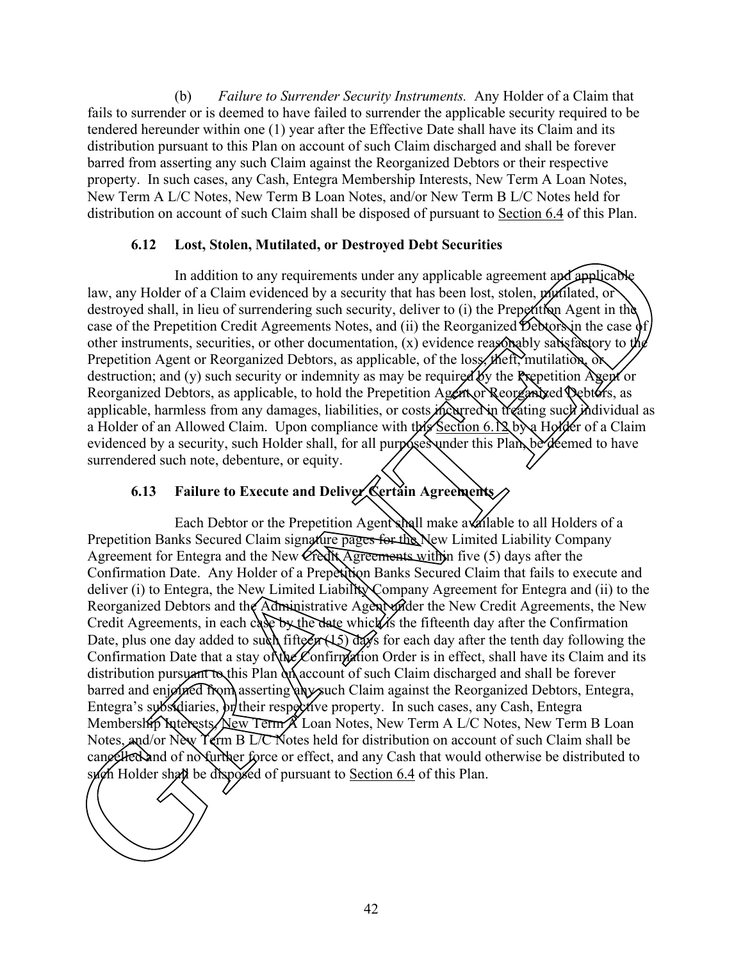(b) *Failure to Surrender Security Instruments.* Any Holder of a Claim that fails to surrender or is deemed to have failed to surrender the applicable security required to be tendered hereunder within one (1) year after the Effective Date shall have its Claim and its distribution pursuant to this Plan on account of such Claim discharged and shall be forever barred from asserting any such Claim against the Reorganized Debtors or their respective property. In such cases, any Cash, Entegra Membership Interests, New Term A Loan Notes, New Term A L/C Notes, New Term B Loan Notes, and/or New Term B L/C Notes held for distribution on account of such Claim shall be disposed of pursuant to Section 6.4 of this Plan.

### **6.12 Lost, Stolen, Mutilated, or Destroyed Debt Securities**

In addition to any requirements under any applicable agreement and applicable law, any Holder of a Claim evidenced by a security that has been lost, stolen, *mu*tilated, or destroyed shall, in lieu of surrendering such security, deliver to (i) the Prepetition Agent in the case of the Prepetition Credit Agreements Notes, and (ii) the Reorganized Debtors in the case of other instruments, securities, or other documentation,  $(x)$  evidence reasonably satisfactory to the Prepetition Agent or Reorganized Debtors, as applicable, of the loss, theft, mutilation, or destruction; and (y) such security or indemnity as may be required by the Prepetition Agent or Reorganized Debtors, as applicable, to hold the Prepetition Agent or Reorganized Debtors, as applicable, harmless from any damages, liabilities, or costs meating freating such individual as a Holder of an Allowed Claim. Upon compliance with this Section 6.12 by a Holder of a Claim evidenced by a security, such Holder shall, for all purposes under this Plan, be deemed to have surrendered such note, debenture, or equity.

## **6.13 Failure to Execute and Deliver Certain Agreements**

Each Debtor or the Prepetition Agent shall make audilable to all Holders of a Prepetition Banks Secured Claim signature pages for the New Limited Liability Company Agreement for Entegra and the New Credit Agreements within five (5) days after the Confirmation Date. Any Holder of a Prepetition Banks Secured Claim that fails to execute and deliver (i) to Entegra, the New Limited Liability Company Agreement for Entegra and (ii) to the Reorganized Debtors and the Administrative Agent under the New Credit Agreements, the New Credit Agreements, in each case by the date which is the fifteenth day after the Confirmation Date, plus one day added to such fifteen  $(15)$  days for each day after the tenth day following the Confirmation Date that a stay of the Confirmation Order is in effect, shall have its Claim and its distribution pursuant to this Plan  $\partial x$  account of such Claim discharged and shall be forever barred and enjoined from asserting any such Claim against the Reorganized Debtors, Entegra, Entegra's subsidiaries, or their respective property. In such cases, any Cash, Entegra Membership Interests, New Term A Loan Notes, New Term A L/C Notes, New Term B Loan Notes, and/or New Term B L/C Notes held for distribution on account of such Claim shall be cancelled and of no further force or effect, and any Cash that would otherwise be distributed to such Holder shall be disposed of pursuant to Section 6.4 of this Plan. **B.12** Fait, Sucher, wintered, any leader to the confirmed of the disposed of the state of the properties are the pursuant to the state of the properties of the Prepetition Cetti Agreements Note, and (i) the Resonance of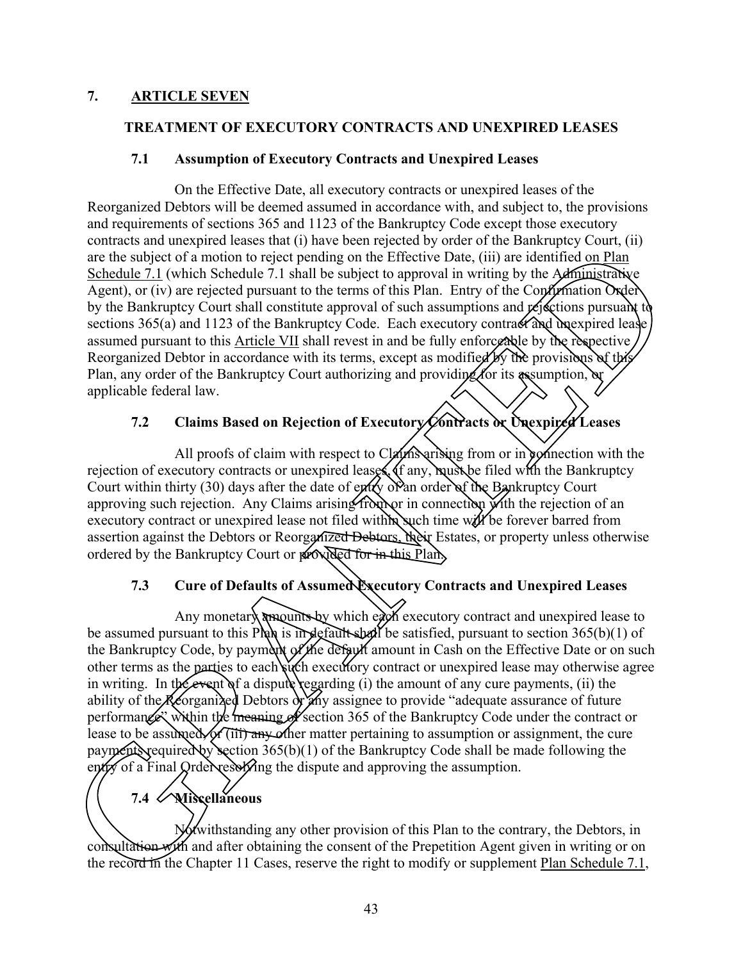### **7. ARTICLE SEVEN**

### **TREATMENT OF EXECUTORY CONTRACTS AND UNEXPIRED LEASES**

### **7.1 Assumption of Executory Contracts and Unexpired Leases**

On the Effective Date, all executory contracts or unexpired leases of the Reorganized Debtors will be deemed assumed in accordance with, and subject to, the provisions and requirements of sections 365 and 1123 of the Bankruptcy Code except those executory contracts and unexpired leases that (i) have been rejected by order of the Bankruptcy Court, (ii) are the subject of a motion to reject pending on the Effective Date, (iii) are identified on Plan Schedule 7.1 (which Schedule 7.1 shall be subject to approval in writing by the Administrative Agent), or (iv) are rejected pursuant to the terms of this Plan. Entry of the Confirmation Oxder by the Bankruptcy Court shall constitute approval of such assumptions and  $\chi$  ejections pursuant to sections 365(a) and 1123 of the Bankruptcy Code. Each executory contract and unexpired lease assumed pursuant to this Article VII shall revest in and be fully enforceable by the respective. Reorganized Debtor in accordance with its terms, except as modified by the provisions of the Plan, any order of the Bankruptcy Court authorizing and providing for its assumption, or applicable federal law.

### **7.2 Claims Based on Rejection of Executory Contracts or Unexpired Leases**

All proofs of claim with respect to Claym arising from or in connection with the rejection of executory contracts or unexpired leases. If any, must be filed with the Bankruptcy Court within thirty (30) days after the date of entry of an order of the Bankruptcy Court approving such rejection. Any Claims arising from or in connection with the rejection of an executory contract or unexpired lease not filed within such time will be forever barred from assertion against the Debtors or Reorganized Debtors, their Estates, or property unless otherwise ordered by the Bankruptcy Court or **provided for in this Plan.** 

### **7.3 Cure of Defaults of Assumed Executory Contracts and Unexpired Leases**

Any monetary amounts by which each executory contract and unexpired lease to be assumed pursuant to this Plan is in default shall be satisfied, pursuant to section 365(b)(1) of the Bankruptcy Code, by payment of the default amount in Cash on the Effective Date or on such other terms as the parties to each such executory contract or unexpired lease may otherwise agree in writing. In the event of a dispute regarding (i) the amount of any cure payments, (ii) the ability of the Reorganized Debtors or any assignee to provide "adequate assurance of future" performance" within the meaning of section 365 of the Bankruptcy Code under the contract or lease to be assumed, or (iii) any other matter pertaining to assumption or assignment, the cure payments required by section 365(b)(1) of the Bankruptcy Code shall be made following the entry of a Final Order resoluting the dispute and approving the assumption. Example the same of the same of the same of the Basic comparison of the Barktop of a motion to reject pending on the Effective Date, (iii) are identified on Plant<br>  $\overline{Z}1$  (which Schedule 7.1 shall be subject to approxi

# **7.4 Miscellaneous**

Notwithstanding any other provision of this Plan to the contrary, the Debtors, in consultation with and after obtaining the consent of the Prepetition Agent given in writing or on lease to be assumed, or (iii) any or<br>payments required by section 365<br>entry of a Final Order resolving the<br>T.4<br>Miscellaneous<br>Miscellaneous<br>Miscellaneous<br>Notwithstanding a<br>consultation with and after obtain<br>the record in th the record in the Chapter 11 Cases, reserve the right to modify or supplement Plan Schedule 7.1,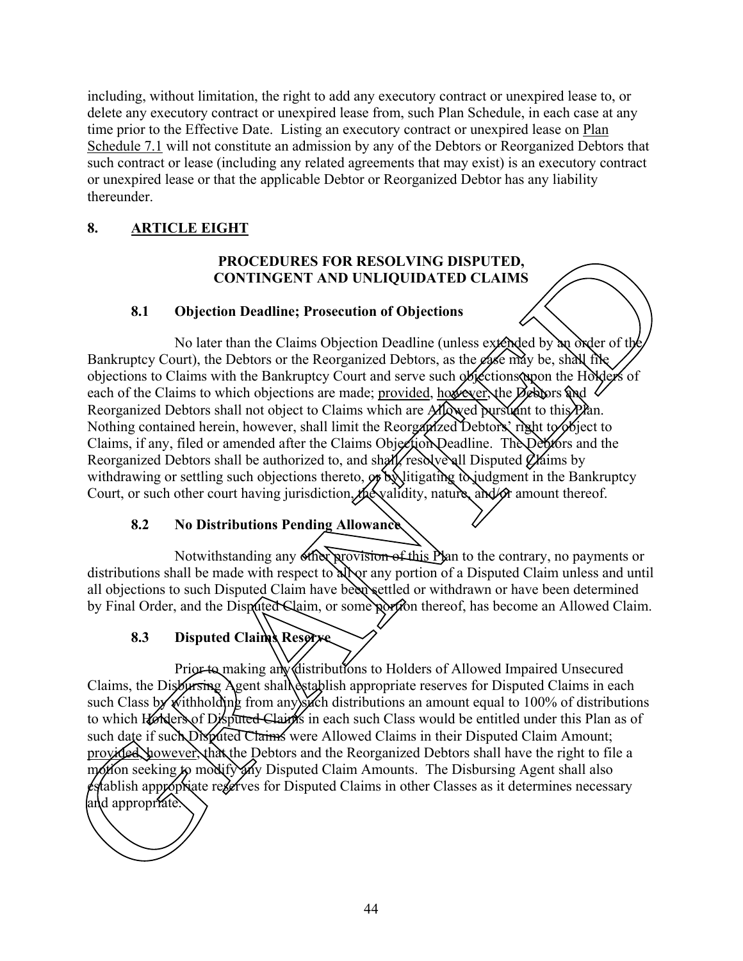including, without limitation, the right to add any executory contract or unexpired lease to, or delete any executory contract or unexpired lease from, such Plan Schedule, in each case at any time prior to the Effective Date. Listing an executory contract or unexpired lease on Plan Schedule 7.1 will not constitute an admission by any of the Debtors or Reorganized Debtors that such contract or lease (including any related agreements that may exist) is an executory contract or unexpired lease or that the applicable Debtor or Reorganized Debtor has any liability thereunder.

### **8. ARTICLE EIGHT**

### **PROCEDURES FOR RESOLVING DISPUTED, CONTINGENT AND UNLIQUIDATED CLAIMS**

### **8.1 Objection Deadline; Prosecution of Objections**

No later than the Claims Objection Deadline (unless extended by an order of the Bankruptcy Court), the Debtors or the Reorganized Debtors, as the  $\ell$  as may be, shall file objections to Claims with the Bankruptcy Court and serve such objections upon the Holders of each of the Claims to which objections are made; provided, however, the  $\Delta$ ebtors and  $\Delta$ Reorganized Debtors shall not object to Claims which are **Moved** pursuant to this Plan. Nothing contained herein, however, shall limit the Reorganized Debtors' right to biect to Claims, if any, filed or amended after the Claims Objection Deadline. The Debtors and the Reorganized Debtors shall be authorized to, and shall, resolve all Disputed  $\chi$  aims by withdrawing or settling such objections thereto,  $\mathcal{A}$  by litigating to judgment in the Bankruptcy Court, or such other court having jurisdiction, the validity, nature, and/or amount thereof. **PROCEDURES FOR RESOLVATA:** DISPUTED,<br> **CONTINGENT AND UNLIQUIDATED CLAIMS**<br> **Bankrupty Court)**, the Debtors due to following the server of the control of the control of the control of the Channeline (unless expected by w

### **8.2 No Distributions Pending Allowance**

Notwithstanding any other provision of this Plan to the contrary, no payments or distributions shall be made with respect to all or any portion of a Disputed Claim unless and until all objections to such Disputed Claim have been settled or withdrawn or have been determined by Final Order, and the Disputed Claim, or some portion thereof, has become an Allowed Claim.

# 8.3 **Disputed Claims Reserve**

Prior to making any distributions to Holders of Allowed Impaired Unsecured Claims, the Disbursing Agent shall establish appropriate reserves for Disputed Claims in each such Class by withholding from any such distributions an amount equal to 100% of distributions to which Holders of Disputed Claims in each such Class would be entitled under this Plan as of such date if such Disputed Claims were Allowed Claims in their Disputed Claim Amount; provided, however, that the Debtors and the Reorganized Debtors shall have the right to file a motion seeking to modify any Disputed Claim Amounts. The Disbursing Agent shall also  $\epsilon$ stablish appropriate reserves for Disputed Claims in other Classes as it determines necessary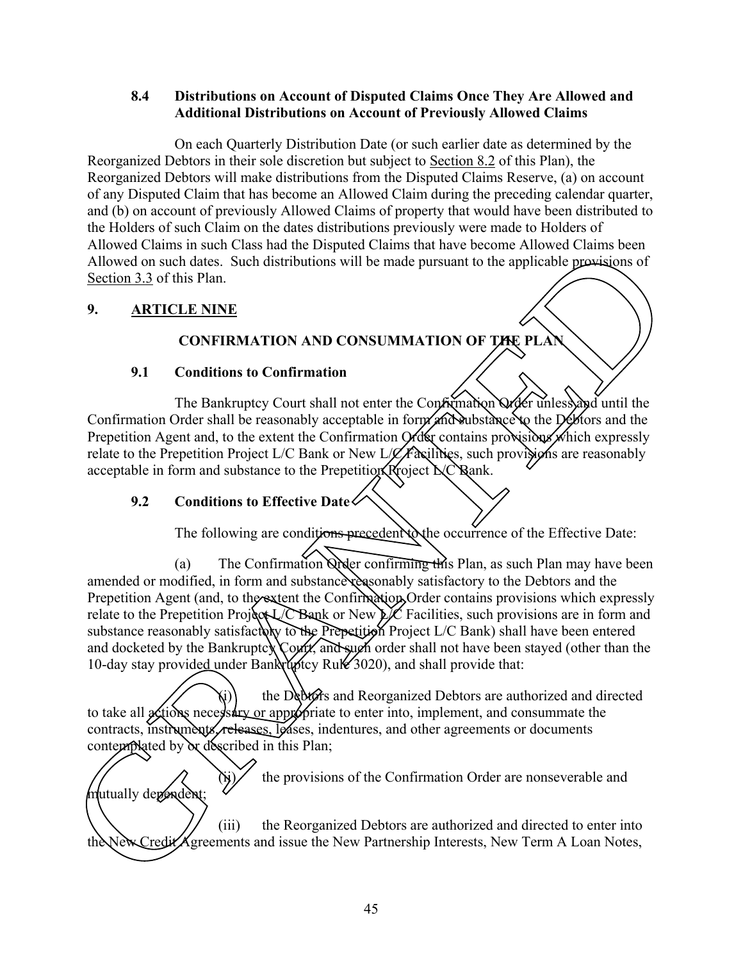### **8.4 Distributions on Account of Disputed Claims Once They Are Allowed and Additional Distributions on Account of Previously Allowed Claims**

On each Quarterly Distribution Date (or such earlier date as determined by the Reorganized Debtors in their sole discretion but subject to Section 8.2 of this Plan), the Reorganized Debtors will make distributions from the Disputed Claims Reserve, (a) on account of any Disputed Claim that has become an Allowed Claim during the preceding calendar quarter, and (b) on account of previously Allowed Claims of property that would have been distributed to the Holders of such Claim on the dates distributions previously were made to Holders of Allowed Claims in such Class had the Disputed Claims that have become Allowed Claims been Allowed on such dates. Such distributions will be made pursuant to the applicable provisions of Section 3.3 of this Plan.

### **9. ARTICLE NINE**

mutually dépendent;

### **CONFIRMATION AND CONSUMMATION OF THE PLAN**

### **9.1 Conditions to Confirmation**

The Bankruptcy Court shall not enter the Confirmation Order unless and until the Confirmation Order shall be reasonably acceptable in form and substance to the Debtors and the Prepetition Agent and, to the extent the Confirmation Order contains provisions which expressly relate to the Prepetition Project L/C Bank or New L/C Facilities, such provisions are reasonably acceptable in form and substance to the Prepetition Project  $C$  Rank.

### **9.2 Conditions to Effective Date**

The following are conditions precedent to the occurrence of the Effective Date:

(a) The Confirmation Order confirming this Plan, as such Plan may have been amended or modified, in form and substance reasonably satisfactory to the Debtors and the Prepetition Agent (and, to the extent the Confirmation Order contains provisions which expressly relate to the Prepetition Project L/C Bank or New L/C Facilities, such provisions are in form and substance reasonably satisfactory to the Prepetition Project L/C Bank) shall have been entered and docketed by the Bankruptcy Court, and such order shall not have been stayed (other than the 10-day stay provided under Bankruptcy Rule 3020), and shall provide that: The Construction Space of Alberta Constrainer and the Space of Space Compare and the space of the space of Alberta Constructions of the space of the space of the space of the space of the space of the space of the Boston o

the Debtors and Reorganized Debtors are authorized and directed to take all actions necessary or appropriate to enter into, implement, and consummate the contracts, instruments, releases, leases, indentures, and other agreements or documents contemplated by or described in this Plan; and docketed by the Bankruptcy Courty and sugh or<br>10-day stay provided under Bankruptcy Rule 3020)<br>the Debtors and Reor<br>to take all actions necessary or appropriate to enter<br>contemplated by or described in this Plan;<br>conte

the provisions of the Confirmation Order are nonseverable and

(iii) the Reorganized Debtors are authorized and directed to enter into the New Credit Agreements and issue the New Partnership Interests, New Term A Loan Notes,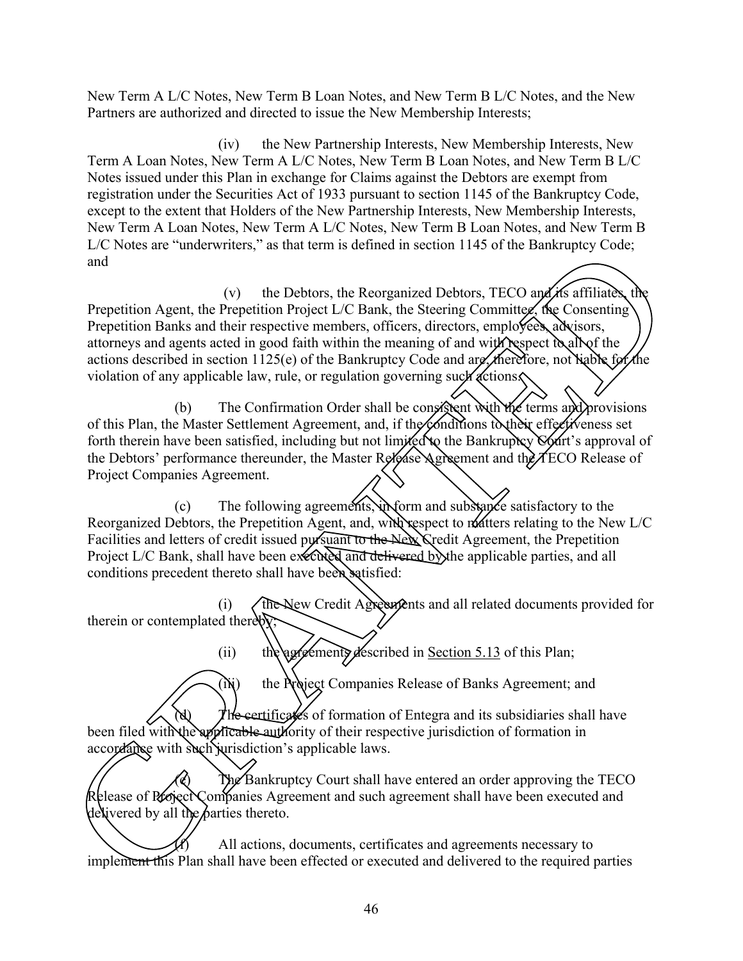New Term A L/C Notes, New Term B Loan Notes, and New Term B L/C Notes, and the New Partners are authorized and directed to issue the New Membership Interests;

(iv) the New Partnership Interests, New Membership Interests, New Term A Loan Notes, New Term A L/C Notes, New Term B Loan Notes, and New Term B L/C Notes issued under this Plan in exchange for Claims against the Debtors are exempt from registration under the Securities Act of 1933 pursuant to section 1145 of the Bankruptcy Code, except to the extent that Holders of the New Partnership Interests, New Membership Interests, New Term A Loan Notes, New Term A L/C Notes, New Term B Loan Notes, and New Term B L/C Notes are "underwriters," as that term is defined in section 1145 of the Bankruptcy Code; and

(v) the Debtors, the Reorganized Debtors, TECO and its affiliates, the Prepetition Agent, the Prepetition Project L/C Bank, the Steering Committee, the Consenting Prepetition Banks and their respective members, officers, directors, employees, advisors, attorneys and agents acted in good faith within the meaning of and with respect to all of the actions described in section 1125(e) of the Bankruptcy Code and are, therefore, not liable for the violation of any applicable law, rule, or regulation governing such actions. For the method of the Debters, the Records of the Benefit of the Section 1143 of the Starting Code;<br>
(v) the Debtors, the Recordsmitted Debtors, TFCO and the Starting Condition of the Construction Properties (The Construc

(b) The Confirmation Order shall be consistent with the terms and provisions of this Plan, the Master Settlement Agreement, and, if the conditions to their effectiveness set forth therein have been satisfied, including but not limited to the Bankruptcy Court's approval of the Debtors' performance thereunder, the Master Release Agreement and the TECO Release of Project Companies Agreement.

(c) The following agreements, in form and substance satisfactory to the Reorganized Debtors, the Prepetition Agent, and, with respect to matters relating to the New L/C Facilities and letters of credit issued pursuant to the New Credit Agreement, the Prepetition Project L/C Bank, shall have been executed and delivered by the applicable parties, and all conditions precedent thereto shall have been satisfied:

(i) The New Credit Agreements and all related documents provided for therein or contemplated thereby;

(ii) the agreements described in Section 5.13 of this Plan;

(Ni) the Project Companies Release of Banks Agreement; and

(d)  $\sqrt{\frac{m}{n}}$   $\sqrt{\frac{m}{n}}$  certificates of formation of Entegra and its subsidiaries shall have accordance with such jurisdiction's applicable laws.

been filed with the applicable authority of their respective jurisdiction of formation in accordance with such jurisdiction's applicable laws.<br>
The Bankruptcy Court shall have entered an order approving the Release of Proj The Bankruptcy Court shall have entered an order approving the TECO Release of Project Companies Agreement and such agreement shall have been executed and delivered by all the parties thereto.

All actions, documents, certificates and agreements necessary to implement this Plan shall have been effected or executed and delivered to the required parties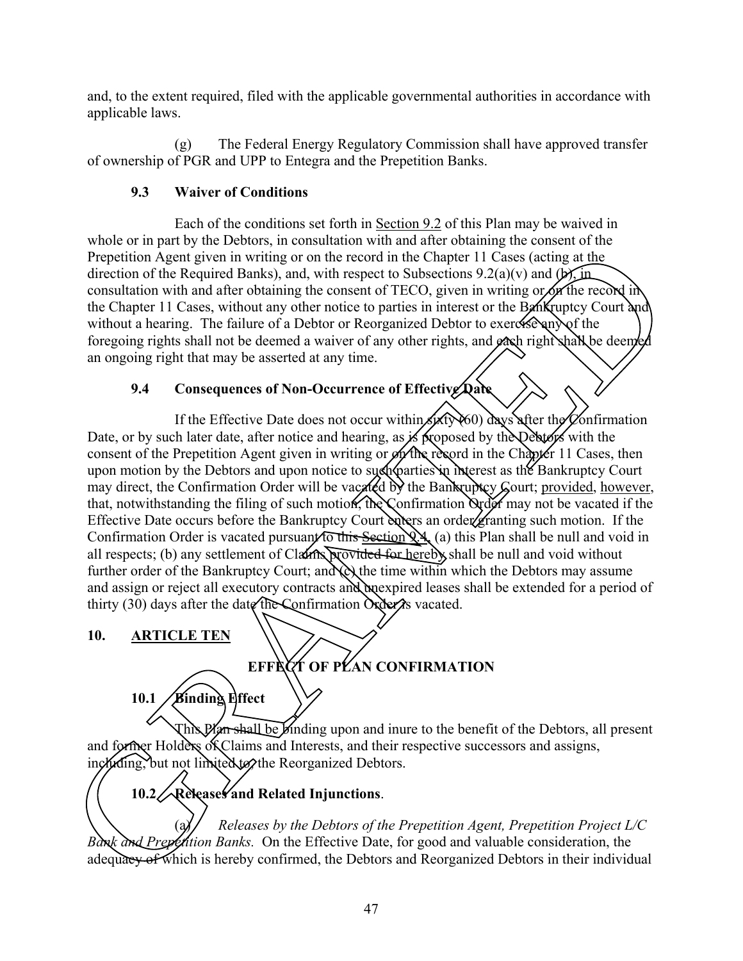and, to the extent required, filed with the applicable governmental authorities in accordance with applicable laws.

(g) The Federal Energy Regulatory Commission shall have approved transfer of ownership of PGR and UPP to Entegra and the Prepetition Banks.

## **9.3 Waiver of Conditions**

Each of the conditions set forth in Section 9.2 of this Plan may be waived in whole or in part by the Debtors, in consultation with and after obtaining the consent of the Prepetition Agent given in writing or on the record in the Chapter 11 Cases (acting at the direction of the Required Banks), and, with respect to Subsections  $9.2(a)(v)$  and  $(b)$ , in consultation with and after obtaining the consent of TECO, given in writing or on the record in the Chapter 11 Cases, without any other notice to parties in interest or the Bankruptcy Court and without a hearing. The failure of a Debtor or Reorganized Debtor to exeres severally of the foregoing rights shall not be deemed a waiver of any other rights, and each right shall be deemed an ongoing right that may be asserted at any time.

## **9.4 Consequences of Non-Occurrence of Effective Date**

If the Effective Date does not occur within  $\sin(60)$  days after the Confirmation Date, or by such later date, after notice and hearing, as is proposed by the Debtors with the consent of the Prepetition Agent given in writing or out the record in the Chapter 11 Cases, then upon motion by the Debtors and upon notice to such parties in interest as the Bankruptcy Court may direct, the Confirmation Order will be vacated by the Bankruptcy Gourt; provided, however, that, notwithstanding the filing of such motion, the Confirmation  $\alpha$  and  $\alpha$  may not be vacated if the Effective Date occurs before the Bankruptcy Court enters an order granting such motion. If the Confirmation Order is vacated pursuant to this Section  $\chi_{\mathcal{A}_{\alpha}}(a)$  this Plan shall be null and void in all respects; (b) any settlement of Claims provided for hereby shall be null and void without further order of the Bankruptcy Court; and (e) the time within which the Debtors may assume and assign or reject all executory contracts and unexpired leases shall be extended for a period of thirty (30) days after the date the Confirmation  $\alpha$  deeps vacated. Let the Required Banks), and, with respect to Subsections 9.2(a) y and  $\mu$  for the Required Banks), and with respect to Subsections 9.2(a) y and  $\mu$  for the Required Banks), and  $\mu$  for the Required Banks), and  $\mu$  fo

**10. ARTICLE TEN**



This Plan shall be binding upon and inure to the benefit of the Debtors, all present and former Holders of Claims and Interests, and their respective successors and assigns, ingluding, but not limited to the Reorganized Debtors.

# **10.2 Releases and Related Injunctions**.

Releases by the Debtors of the Prepetition Agent, Prepetition Project L/C *Bank and Prepetition Banks.* On the Effective Date, for good and valuable consideration, the This Plan shall be Binding upon and<br>and former Holders of Claims and Interests, and the<br>inetwing, but not limited to the Reorganized Debtor<br>Debtor Confirmed, the Debtors of the<br>Bank and Prepention Banks. On the Effective D adequacy of which is hereby confirmed, the Debtors and Reorganized Debtors in their individual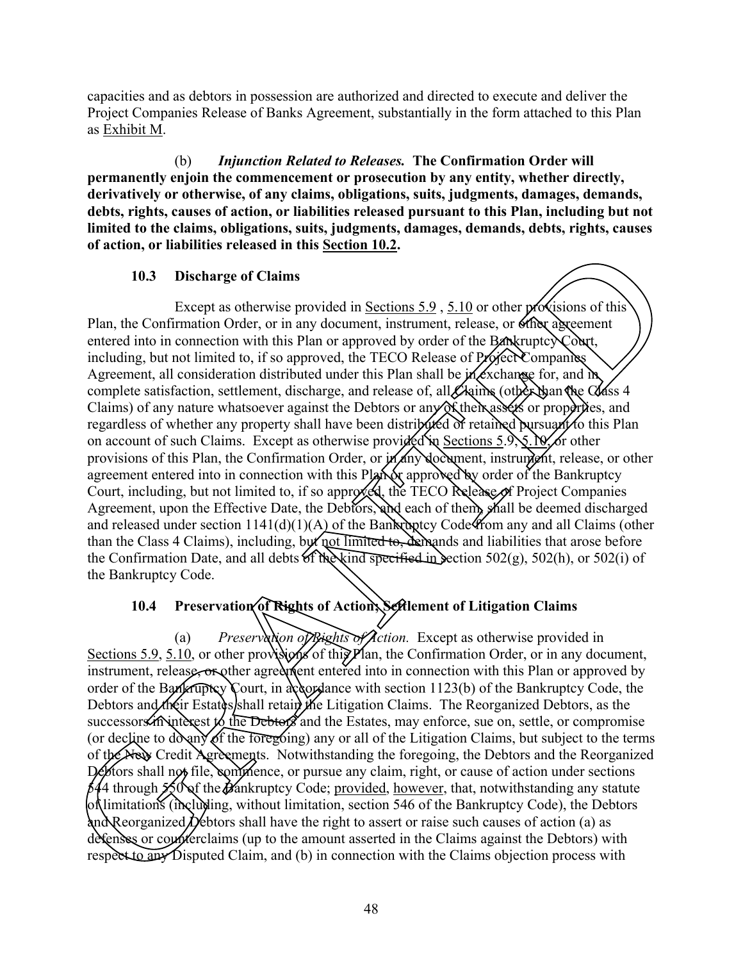capacities and as debtors in possession are authorized and directed to execute and deliver the Project Companies Release of Banks Agreement, substantially in the form attached to this Plan as Exhibit M.

(b) *Injunction Related to Releases.* **The Confirmation Order will permanently enjoin the commencement or prosecution by any entity, whether directly, derivatively or otherwise, of any claims, obligations, suits, judgments, damages, demands, debts, rights, causes of action, or liabilities released pursuant to this Plan, including but not limited to the claims, obligations, suits, judgments, damages, demands, debts, rights, causes of action, or liabilities released in this Section 10.2.** 

#### **10.3 Discharge of Claims**

Except as otherwise provided in Sections 5.9, 5.10 or other provisions of this Plan, the Confirmation Order, or in any document, instrument, release, or other agreement entered into in connection with this Plan or approved by order of the Bankruptcy Court, including, but not limited to, if so approved, the TECO Release of Project Companies Agreement, all consideration distributed under this Plan shall be  $m$  exchange for, and  $m$ complete satisfaction, settlement, discharge, and release of, all Claims (other than the Class 4 Claims) of any nature whatsoever against the Debtors or any of their assets or properties, and regardless of whether any property shall have been distributed of retained pursuant to this Plan on account of such Claims. Except as otherwise provided in Sections 5.9, 5.10, or other provisions of this Plan, the Confirmation Order, or  $\mathsf{M}\llarrows$  document, instrument, release, or other agreement entered into in connection with this Plan or approved by order of the Bankruptcy Court, including, but not limited to, if so approved, the TECO Release of Project Companies Agreement, upon the Effective Date, the Debtors, and each of them, shall be deemed discharged and released under section 1141(d)(1)(A) of the Bankruptcy Code from any and all Claims (other than the Class 4 Claims), including, but not limited to, demands and liabilities that arose before the Confirmation Date, and all debts of the kind specified in section 502(g), 502(h), or 502(i) of the Bankruptcy Code. **33** Discharge of Claims<br>
23 Discharge of Claims<br>
25 Confirmation Order, or in any document, instrument, release, or of the polycisions of this<br>
26 Except as otherwise provided in Sections 5.9, 5.10 or other provides on t

#### **10.4 Preservation of Rights of Action; Settlement of Litigation Claims**

(a) *Preservation of Rights of Action.* Except as otherwise provided in Sections 5.9, 5.10, or other provisions of this  $\hat{P}$ lan, the Confirmation Order, or in any document, instrument, release, or other agreement entered into in connection with this Plan or approved by order of the Bankruptcy Court, in accordance with section  $1123(b)$  of the Bankruptcy Code, the Debtors and their Estates shall retain the Litigation Claims. The Reorganized Debtors, as the successors in interest to the Debtors and the Estates, may enforce, sue on, settle, or compromise (or decline to do any of the foregoing) any or all of the Litigation Claims, but subject to the terms of the New Credit Agreements. Notwithstanding the foregoing, the Debtors and the Reorganized  $D$ <sup>6</sup>  $\epsilon$  behaviors shall not file, commence, or pursue any claim, right, or cause of action under sections  $644$  through 550 of the Bankruptcy Code; provided, however, that, notwithstanding any statute of limitations (including, without limitation, section 546 of the Bankruptcy Code), the Debtors and Reorganized Debtors shall have the right to assert or raise such causes of action (a) as defenses or counterclaims (up to the amount asserted in the Claims against the Debtors) with of the New Credit Agreements. Notwithsta<br>
(or degrine to do any of the foregoing) any<br>
of the New Credit Agreements. Notwithsta<br>
Debtors shall not file, commence, or pursue<br>
644 through 550 of the Bankruptcy Code;<br>
of the respect to  $\overline{a}$  Disputed Claim, and (b) in connection with the Claims objection process with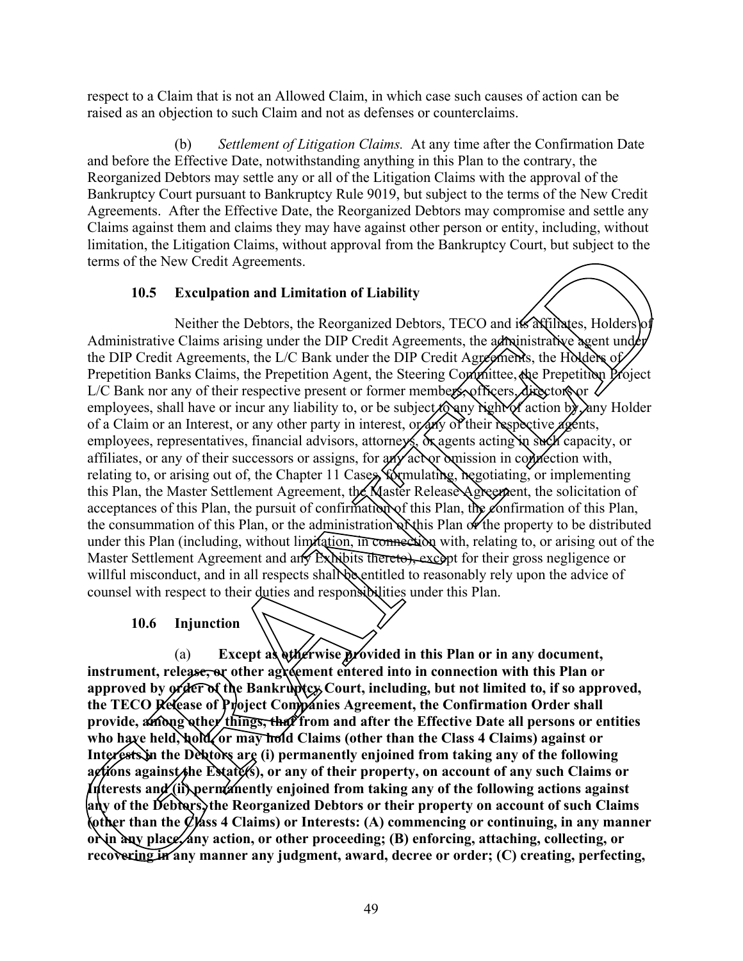respect to a Claim that is not an Allowed Claim, in which case such causes of action can be raised as an objection to such Claim and not as defenses or counterclaims.

(b) *Settlement of Litigation Claims.* At any time after the Confirmation Date and before the Effective Date, notwithstanding anything in this Plan to the contrary, the Reorganized Debtors may settle any or all of the Litigation Claims with the approval of the Bankruptcy Court pursuant to Bankruptcy Rule 9019, but subject to the terms of the New Credit Agreements. After the Effective Date, the Reorganized Debtors may compromise and settle any Claims against them and claims they may have against other person or entity, including, without limitation, the Litigation Claims, without approval from the Bankruptcy Court, but subject to the terms of the New Credit Agreements.

#### **10.5 Exculpation and Limitation of Liability**

Neither the Debtors, the Reorganized Debtors, TECO and its affiliates, Holders of Administrative Claims arising under the DIP Credit Agreements, the administrative agent under the DIP Credit Agreements, the L/C Bank under the DIP Credit Agreements, the Holders of Prepetition Banks Claims, the Prepetition Agent, the Steering Committee, the Prepetition Project  $L/C$  Bank nor any of their respective present or former members, officers, directors or  $\sqrt{2}$ employees, shall have or incur any liability to, or be subject  $\delta$  any right of action by, any Holder of a Claim or an Interest, or any other party in interest, or any of their respective agents, employees, representatives, financial advisors, attorneys, or agents acting in such capacity, or affiliates, or any of their successors or assigns, for any actor omission in connection with, relating to, or arising out of, the Chapter 11 Cases, formulating, regotiating, or implementing this Plan, the Master Settlement Agreement, the Master Release Agreement, the solicitation of acceptances of this Plan, the pursuit of confirmation of this Plan, the confirmation of this Plan, the consummation of this Plan, or the administration of this Plan of the property to be distributed under this Plan (including, without limitation, in connection with, relating to, or arising out of the Master Settlement Agreement and any Exhibits thereto), except for their gross negligence or willful misconduct, and in all respects shall be entitled to reasonably rely upon the advice of counsel with respect to their duties and responsibilities under this Plan. The Emgation Cummis, who multiple to the Basic Figure 1.1 The Constrainer (the New Credit Agenements.<br>
The New Credit Agenements.<br>
SEXulpation and Limitation of Liability<br>
Neither the Debtors, the Reorganized Debtors, TECO

#### **10.6 Injunction**

(a) **Except as otherwise provided in this Plan or in any document,** instrument, release, or other agreement entered into in connection with this Plan or approved by **order of the Bankruptcy Court, including, but not limited to, if so approved,** the TECO Release of Project Companies Agreement, the Confirmation Order shall provide, **among other things, that** from and after the Effective Date all persons or entities who have held, hold, or may hold Claims (other than the Class 4 Claims) against or Interests in the Debtors are (i) permanently enjoined from taking any of the following actions against the Estate(s), or any of their property, on account of any such Claims or **Interests and (ii) permanently enjoined from taking any of the following actions against any of the Debtors, the Reorganized Debtors or their property on account of such Claims (other than the Class 4 Claims) or Interests: (A) commencing or continuing, in any manner o** $\chi$ in any place, any action, or other proceeding; (B) enforcing, attaching, collecting, or who have held, bold, or may hold Claims (other interests in the Debtors are (i) permanently enjointly enjointly enjointly enjointly enjointly enjointly any of their prop interests and (ii) permanently enjoined from take an recovering in any manner any judgment, award, decree or order; (C) creating, perfecting,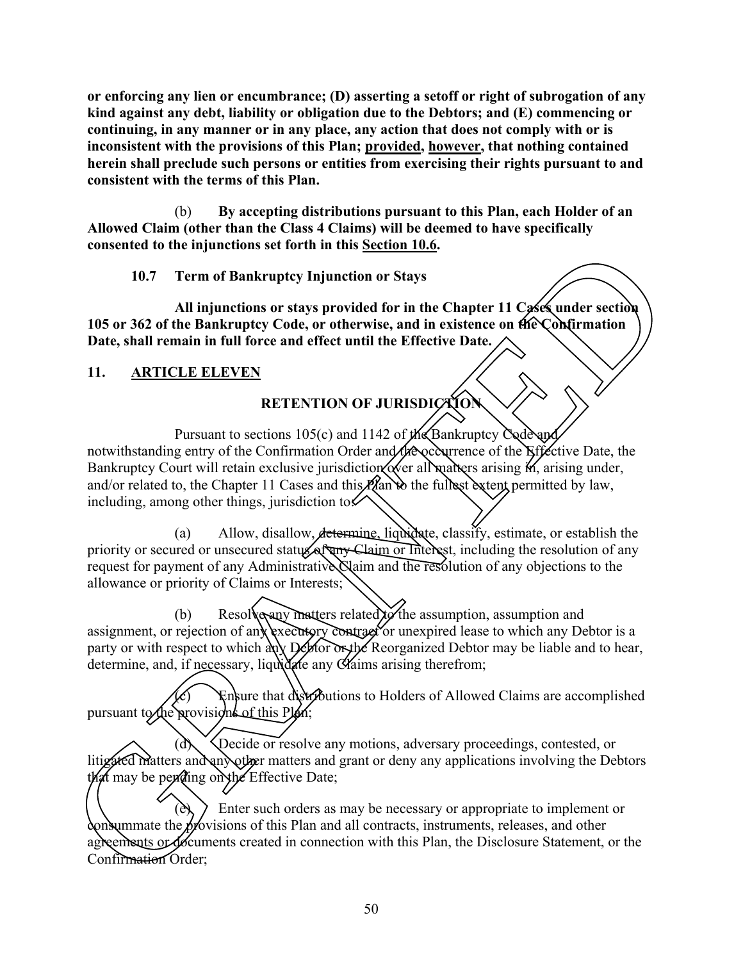**or enforcing any lien or encumbrance; (D) asserting a setoff or right of subrogation of any kind against any debt, liability or obligation due to the Debtors; and (E) commencing or continuing, in any manner or in any place, any action that does not comply with or is inconsistent with the provisions of this Plan; provided, however, that nothing contained herein shall preclude such persons or entities from exercising their rights pursuant to and consistent with the terms of this Plan.** 

(b) **By accepting distributions pursuant to this Plan, each Holder of an Allowed Claim (other than the Class 4 Claims) will be deemed to have specifically consented to the injunctions set forth in this Section 10.6.** 

**10.7 Term of Bankruptcy Injunction or Stays**

**All injunctions or stays provided for in the Chapter 11 Cases under section 105 or 362 of the Bankruptcy Code, or otherwise, and in existence on the Confirmation Date, shall remain in full force and effect until the Effective Date.** 

## **11. ARTICLE ELEVEN**

# **RETENTION OF JURISDICTION**

Pursuant to sections 105(c) and 1142 of the Bankruptcy Code and notwithstanding entry of the Confirmation Order and the occurrence of the Effective Date, the Bankruptcy Court will retain exclusive jurisdiction over all matters arising  $M$ , arising under, and/or related to, the Chapter 11 Cases and this  $P$ (an  $\mathbf b$  the fullest extent permitted by law, including, among other things, jurisdiction to  $\sim$ conserted to the Highestonics set vierturin this <u>securious</u><br>
10.7 Term of **Bankruptcy** Injunction or Staty provided for in the Chapter 11 CAK under section<br>
10.5 or 362 of the Bankruptcy Code, or otherwise, and in existe

(a) Allow, disallow, determine, liquidate, classify, estimate, or establish the priority or secured or unsecured status of any Claim or Interest, including the resolution of any request for payment of any Administrative Claim and the resolution of any objections to the allowance or priority of Claims or Interests;

(b) Resolve any matters related to the assumption, assumption and assignment, or rejection of any executory contract or unexpired lease to which any Debtor is a party or with respect to which any Deptor on the Reorganized Debtor may be liable and to hear, determine, and, if necessary, liquidate any Claims arising therefrom;

 $\circ$  Ensure that distributions to Holders of Allowed Claims are accomplished pursuant to the provisions of this Plan;

(d) Decide or resolve any motions, adversary proceedings, contested, or litigated matters and any other matters and grant or deny any applications involving the Debtors that may be pending on the Effective Date;

Enter such orders as may be necessary or appropriate to implement or consummate the provisions of this Plan and all contracts, instruments, releases, and other agreements or documents created in connection with this Plan, the Disclosure Statement, or the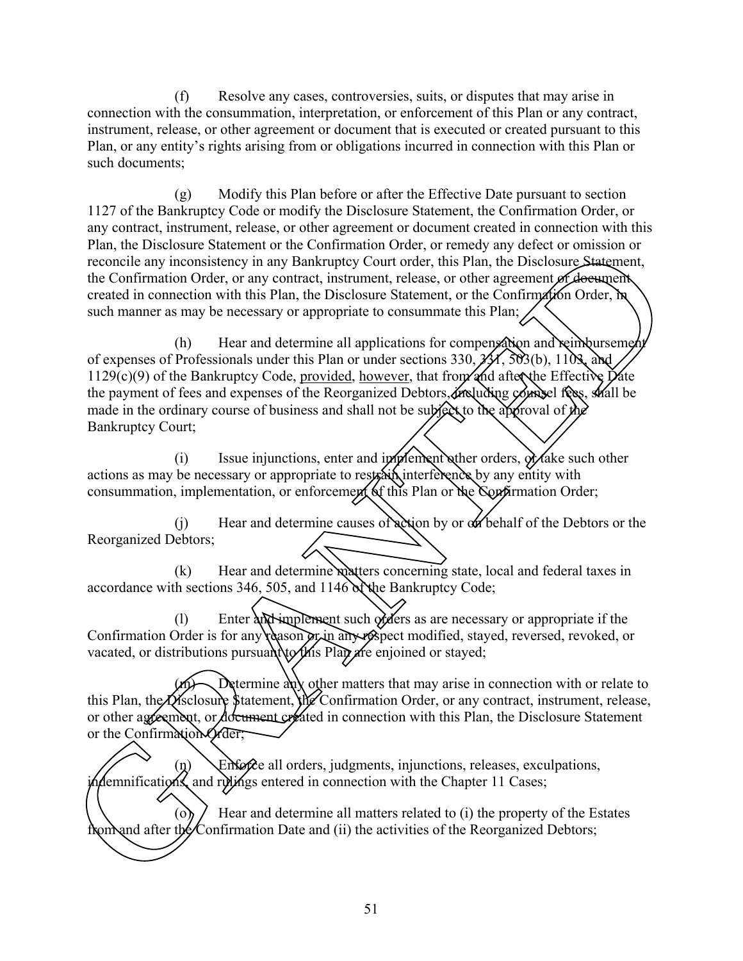(f) Resolve any cases, controversies, suits, or disputes that may arise in connection with the consummation, interpretation, or enforcement of this Plan or any contract, instrument, release, or other agreement or document that is executed or created pursuant to this Plan, or any entity's rights arising from or obligations incurred in connection with this Plan or such documents;

(g) Modify this Plan before or after the Effective Date pursuant to section 1127 of the Bankruptcy Code or modify the Disclosure Statement, the Confirmation Order, or any contract, instrument, release, or other agreement or document created in connection with this Plan, the Disclosure Statement or the Confirmation Order, or remedy any defect or omission or reconcile any inconsistency in any Bankruptcy Court order, this Plan, the Disclosure Statement, the Confirmation Order, or any contract, instrument, release, or other agreement or document created in connection with this Plan, the Disclosure Statement, or the Confirmation Order, in such manner as may be necessary or appropriate to consummate this Plan;

 $(h)$  Hear and determine all applications for compensation and reimbursement of expenses of Professionals under this Plan or under sections  $330, 221, 502(b), 1103,$  and  $1129(c)(9)$  of the Bankruptcy Code, provided, however, that from and after the Effective Date the payment of fees and expenses of the Reorganized Debtors, including  $\phi$  and fees, shall be made in the ordinary course of business and shall not be subject to the approval of the Bankruptcy Court; Etermine of the Confirmation order, or remealy any detect or omission or<br>tency in any Bankruptcy Court order, this Plan, the Disclosure Statement,<br>r.e., or any contract, instrument, release, or other agreement or desemponi

(i) Issue injunctions, enter and implement other orders,  $\partial$ r ake such other actions as may be necessary or appropriate to restrain interference by any entity with consummation, implementation, or enforcement of this Plan or the Confirmation Order;

 $(i)$  Hear and determine causes of action by or on behalf of the Debtors or the Reorganized Debtors;

(k) Hear and determine matters concerning state, local and federal taxes in accordance with sections 346, 505, and  $1146$  N the Bankruptcy Code;

(1) Enter and implement such  $\partial x$  ders as are necessary or appropriate if the Confirmation Order is for any reason or in any respect modified, stayed, reversed, revoked, or vacated, or distributions pursuant to this Plan are enjoined or stayed;

Determine any other matters that may arise in connection with or relate to this Plan, the Disclosure Statement, the Confirmation Order, or any contract, instrument, release, or other agreement, or document created in connection with this Plan, the Disclosure Statement or the Confirmation Order; vacated, or distributions pursuant to this Plan<br>this Plan, the Disclosure Statement, the Confirmation<br>or the Confirmation Order;<br>or the Confirmation Order;<br> $\binom{n}{k}$  Enforce all orders, judgement<br>incommutications, and ruli

 $(n)$  Enforce all orders, judgments, injunctions, releases, exculpations, indemnifications, and rulings entered in connection with the Chapter 11 Cases;

(o)  $\ell$  Hear and determine all matters related to (i) the property of the Estates from after the Confirmation Date and (ii) the activities of the Reorganized Debtors;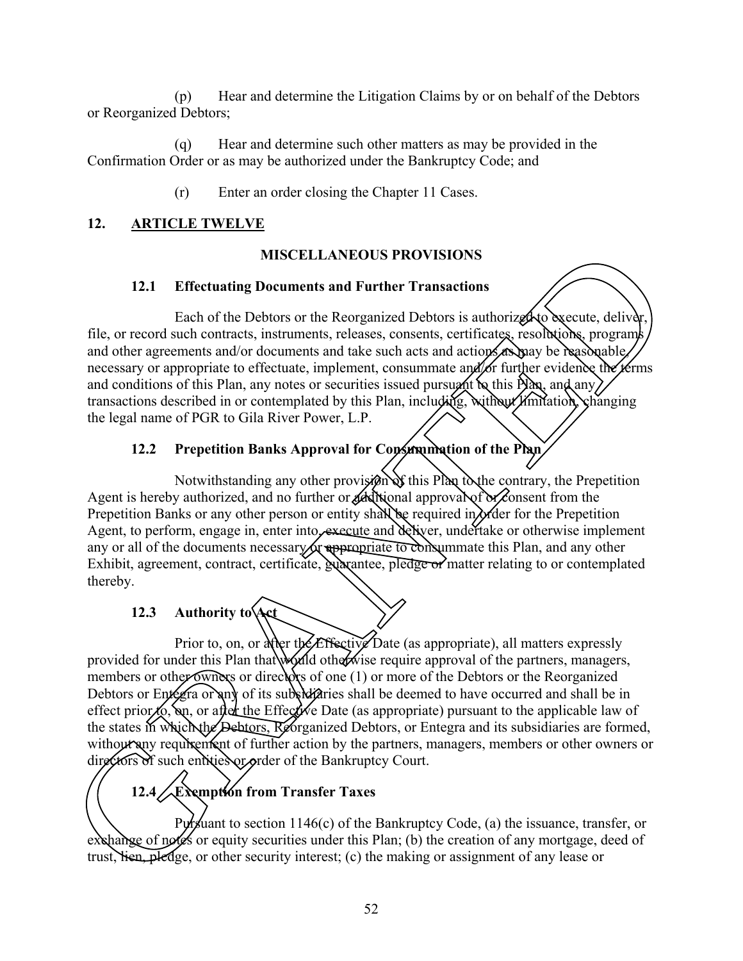(p) Hear and determine the Litigation Claims by or on behalf of the Debtors or Reorganized Debtors;

(q) Hear and determine such other matters as may be provided in the Confirmation Order or as may be authorized under the Bankruptcy Code; and

(r) Enter an order closing the Chapter 11 Cases.

## **12. ARTICLE TWELVE**

## **MISCELLANEOUS PROVISIONS**

## **12.1 Effectuating Documents and Further Transactions**

Each of the Debtors or the Reorganized Debtors is authorized to execute, deliver, file, or record such contracts, instruments, releases, consents, certificates, resolutions, programs and other agreements and/or documents and take such acts and actions as may be reasonable, necessary or appropriate to effectuate, implement, consummate and for further evidence the terms and conditions of this Plan, any notes or securities issued pursuant to this Plan, and any) transactions described in or contemplated by this Plan, including, without limitation, changing the legal name of PGR to Gila River Power, L.P.

## 12.2 Prepetition Banks Approval for Consummation of the Plan

Notwithstanding any other provision of this Plan to the contrary, the Prepetition Agent is hereby authorized, and no further or additional approval of or consent from the Prepetition Banks or any other person or entity shall be required in order for the Prepetition Agent, to perform, engage in, enter into, execute and deliver, undertake or otherwise implement any or all of the documents necessary or appropriate to consummate this Plan, and any other Exhibit, agreement, contract, certificate, guarantee, pledge or matter relating to or contemplated thereby.

# **12.3 Authority to Act**

Prior to, on, or alier the *E*ffective Date (as appropriate), all matters expressly provided for under this Plan that would otherwise require approval of the partners, managers, members or other owners or directors of one (1) or more of the Debtors or the Reorganized Debtors or Entegra or any of its subsidiaries shall be deemed to have occurred and shall be in effect prior to, on, or after the Effective Date (as appropriate) pursuant to the applicable law of the states in which the Debtors, Reorganized Debtors, or Entegra and its subsidiaries are formed, without any requirement of further action by the partners, managers, members or other owners or directors of such entities or order of the Bankruptcy Court. **IMSCELLANEOUS PROVISIONS**<br>
1. **Effectuating Documents and Further Transactions**<br>
Each of the Debtors or the Reorganized Debtors is authorized to execute, deliveral<br>
agreements and/or documents and take such acts and city

# **12.4 Exemption from Transfer Taxes**

Pursuant to section  $1146(c)$  of the Bankruptcy Code, (a) the issuance, transfer, or exchange of notes or equity securities under this Plan; (b) the creation of any mortgage, deed of the states in which the Debtors, Reorganiz<br>without any requirement of further action<br>directors of such entities or order of the Ba<br> $\begin{pmatrix} 12.4 \end{pmatrix}$  Examption from Transfer<br>Pursuant to section 1146(c)<br>exchange of notes o trust, lien, pledge, or other security interest; (c) the making or assignment of any lease or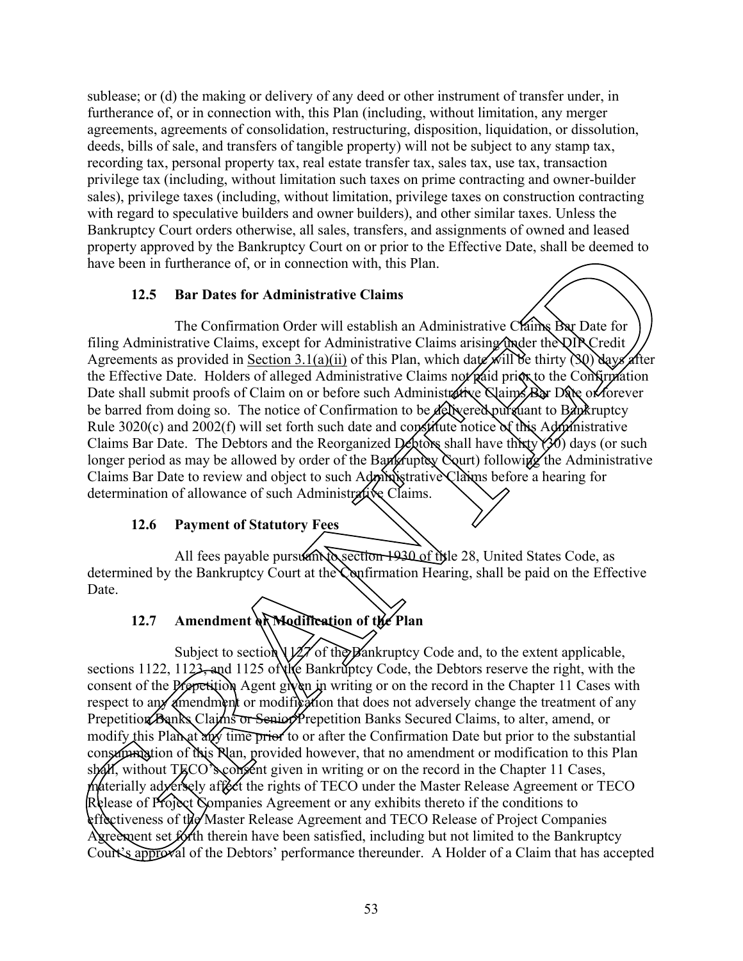sublease; or (d) the making or delivery of any deed or other instrument of transfer under, in furtherance of, or in connection with, this Plan (including, without limitation, any merger agreements, agreements of consolidation, restructuring, disposition, liquidation, or dissolution, deeds, bills of sale, and transfers of tangible property) will not be subject to any stamp tax, recording tax, personal property tax, real estate transfer tax, sales tax, use tax, transaction privilege tax (including, without limitation such taxes on prime contracting and owner-builder sales), privilege taxes (including, without limitation, privilege taxes on construction contracting with regard to speculative builders and owner builders), and other similar taxes. Unless the Bankruptcy Court orders otherwise, all sales, transfers, and assignments of owned and leased property approved by the Bankruptcy Court on or prior to the Effective Date, shall be deemed to have been in furtherance of, or in connection with, this Plan.

#### **12.5 Bar Dates for Administrative Claims**

The Confirmation Order will establish an Administrative Claims Bar Date for filing Administrative Claims, except for Administrative Claims arising under the DIR Credit Agreements as provided in Section 3.1(a)(ii) of this Plan, which date will be thirty (30) days after the Effective Date. Holders of alleged Administrative Claims not paid prior to the Confirmation Date shall submit proofs of Claim on or before such Administrative Claims Bar Date of forever be barred from doing so. The notice of Confirmation to be delivered pursuant to Bankruptcy Rule 3020(c) and 2002(f) will set forth such date and constitute notice of this Administrative Claims Bar Date. The Debtors and the Reorganized Debtors shall have thirty (30) days (or such longer period as may be allowed by order of the Bankruptcy Court) following the Administrative Claims Bar Date to review and object to such Administrative Claims before a hearing for determination of allowance of such Administrative Claims. proposed by the Hankruptcy Court on or proto to the Hecker Date, shall be decord to<br>
in furthermore of, or in connection with, this Plan.<br>
The Confirmation Order will establish an Administrative Chame<br>
The Confirmation Or

#### **12.6 Payment of Statutory Fees**

All fees payable pursually section 1930 of title 28, United States Code, as determined by the Bankruptcy Court at the Confirmation Hearing, shall be paid on the Effective Date.

## **12.7 Amendment or Modification of the Plan**

Subject to section  $\frac{1}{2}$  of the Bankruptcy Code and, to the extent applicable, sections 1122, 1123, and 1125 of the Bankruptcy Code, the Debtors reserve the right, with the consent of the Prepetition Agent given in writing or on the record in the Chapter 11 Cases with respect to any amendment or modification that does not adversely change the treatment of any Prepetition Banks Claims or Senior Prepetition Banks Secured Claims, to alter, amend, or modify this Plan at any time prior to or after the Confirmation Date but prior to the substantial consemunation of Nus Nan, provided however, that no amendment or modification to this Plan skall, without AECO s coment give consummation of this Plan, provided however, that no amendment or modification to this Plan  $s$  shall, without Teco's consent given in writing or on the record in the Chapter 11 Cases, materially *d*exersely aftect the rights of TECO under the Master Release Agreement or TECO Release of Project Companies Agreement or any exhibits thereto if the conditions to effectiveness of the Master Release Agreement and TECO Release of Project Companies Agreement set forth therein have been satisfied, including but not limited to the Bankruptcy Court's approval of the Debtors' performance thereunder. A Holder of a Claim that has accepted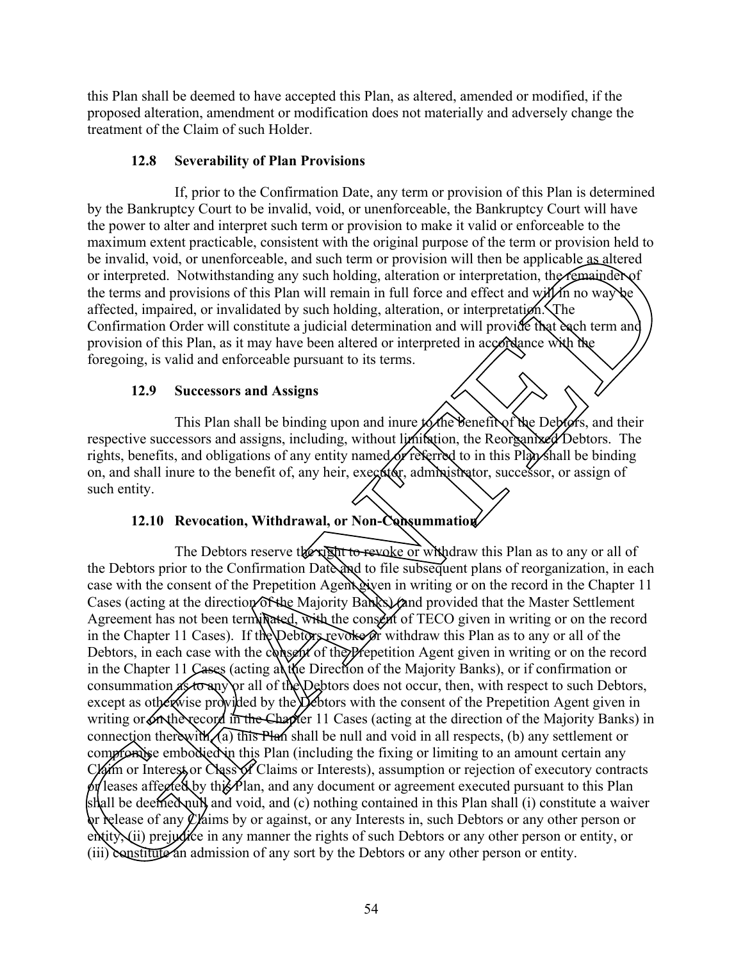this Plan shall be deemed to have accepted this Plan, as altered, amended or modified, if the proposed alteration, amendment or modification does not materially and adversely change the treatment of the Claim of such Holder.

#### **12.8 Severability of Plan Provisions**

If, prior to the Confirmation Date, any term or provision of this Plan is determined by the Bankruptcy Court to be invalid, void, or unenforceable, the Bankruptcy Court will have the power to alter and interpret such term or provision to make it valid or enforceable to the maximum extent practicable, consistent with the original purpose of the term or provision held to be invalid, void, or unenforceable, and such term or provision will then be applicable as altered or interpreted. Notwithstanding any such holding, alteration or interpretation, the remainder of the terms and provisions of this Plan will remain in full force and effect and will in no way be affected, impaired, or invalidated by such holding, alteration, or interpretation. The Confirmation Order will constitute a judicial determination and will provide that each term and provision of this Plan, as it may have been altered or interpreted in accordance with the foregoing, is valid and enforceable pursuant to its terms.

#### **12.9 Successors and Assigns**

This Plan shall be binding upon and inure to the benefit of the Debtors, and their respective successors and assigns, including, without limitation, the Reorganized Debtors. The rights, benefits, and obligations of any entity named or referred to in this Plan shall be binding on, and shall inure to the benefit of, any heir, executor, administrator, successor, or assign of such entity.

#### **12.10 Revocation, Withdrawal, or Non-Consummation**

The Debtors reserve the right to revoke or withdraw this Plan as to any or all of the Debtors prior to the Confirmation Date and to file subsequent plans of reorganization, in each case with the consent of the Prepetition Agent given in writing or on the record in the Chapter 11 Cases (acting at the direction of the Majority Banks) (and provided that the Master Settlement Agreement has not been terminated, with the consent of TECO given in writing or on the record in the Chapter 11 Cases). If the Debtors revoke or withdraw this Plan as to any or all of the Debtors, in each case with the consent of the Prepetition Agent given in writing or on the record in the Chapter 11 Cases (acting at the Direction of the Majority Banks), or if confirmation or consummation as to any or all of the Debtors does not occur, then, with respect to such Debtors, except as otherwise provided by the Debtors with the consent of the Prepetition Agent given in writing or on the record in the Chapter 11 Cases (acting at the direction of the Majority Banks) in connection therewith, (a) this Plan shall be null and void in all respects, (b) any settlement or compromise embodied in this Plan (including the fixing or limiting to an amount certain any Claim or Interest or Class of Claims or Interests), assumption or rejection of executory contracts  $\delta$  leases affected by this Plan, and any document or agreement executed pursuant to this Plan shall be deemed null and void, and (c) nothing contained in this Plan shall (i) constitute a waiver or release of any  $\ell$  / aims by or against, or any Interests in, such Debtors or any other person or entity, (ii) prejudice in any manner the rights of such Debtors or any other person or entity, or connection therewith  $(a)$  this Plan shall be comproming embodied in this Plan (including Varm or Interest or Class of Claims or Interest by the Plan, and any docshall be deemed pull and void, and (c) nother release of any (iii) constitute an admission of any sort by the Debtors or any other person or entity. Learn parameterize the wind in the origin purpose of the city of the complete the distance of Nowithstanding any such holding, alteration or interpretation, the fermel provision of this Plan, as it may have holding, alter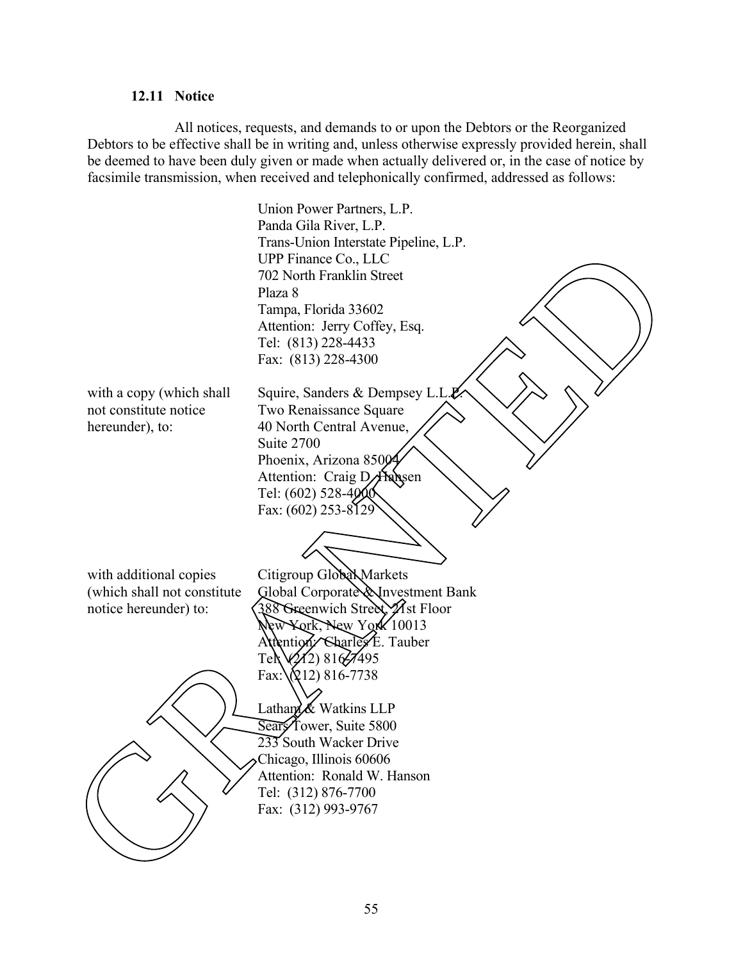#### **12.11 Notice**

All notices, requests, and demands to or upon the Debtors or the Reorganized Debtors to be effective shall be in writing and, unless otherwise expressly provided herein, shall be deemed to have been duly given or made when actually delivered or, in the case of notice by facsimile transmission, when received and telephonically confirmed, addressed as follows:

 Union Power Partners, L.P. Panda Gila River, L.P. Trans-Union Interstate Pipeline, L.P. UPP Finance Co., LLC 702 North Franklin Street Plaza 8 Tampa, Florida 33602 Attention: Jerry Coffey, Esq. Tel: (813) 228-4433 Fax: (813) 228-4300 with a copy (which shall not constitute notice hereunder), to: Squire, Sanders & Dempsey L.L. $\cancel{P}$ . Two Renaissance Square 40 North Central Avenue, Suite 2700 Phoenix, Arizona 85004 Attention: Craig D. Hansen Tel:  $(602)$  528-4000 Fax: (602) 253-8129 with additional copies (which shall not constitute notice hereunder) to: Citigroup Global Markets Global Corporate & Investment Bank 388 Greenwich Street, 21st Floor New York, New York 10013 Attention: Charles E. Tauber Tel $\sqrt{212}$ ) 816 $\frac{7495}{5}$  $Fax:\(212) 816-7738$ Latham & Watkins LLP Sears<sup>T</sup>ower, Suite 5800 233 South Wacker Drive Chicago, Illinois 60606 Attention: Ronald W. Hanson Tel: (312) 876-7700 Fax: (312) 993-9767 The particular contribution of the contribution of the contribution of the contribution of the contribution of the contribution of the contribution of the contribution of the contribution of the contribution of the contri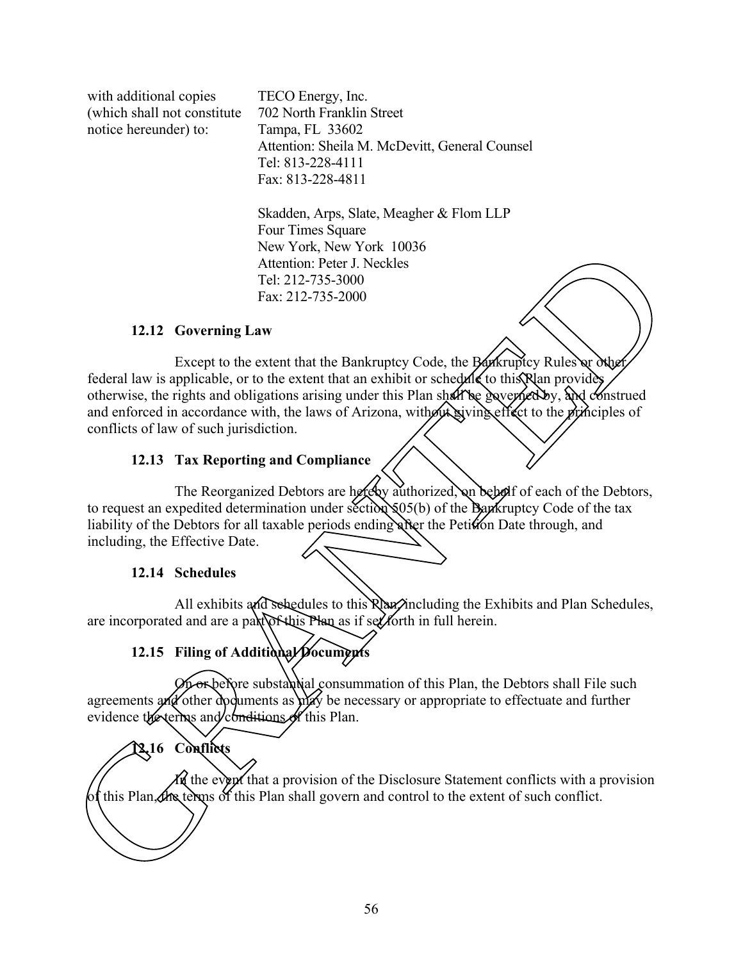with additional copies (which shall not constitute notice hereunder) to:

TECO Energy, Inc. 702 North Franklin Street Tampa, FL 33602 Attention: Sheila M. McDevitt, General Counsel Tel: 813-228-4111 Fax: 813-228-4811

Skadden, Arps, Slate, Meagher & Flom LLP Four Times Square New York, New York 10036 Attention: Peter J. Neckles Tel: 212-735-3000 Fax: 212-735-2000

#### **12.12 Governing Law**

Except to the extent that the Bankruptcy Code, the Bankruptcy Rules or other federal law is applicable, or to the extent that an exhibit or schedule to this  $\hat{P}$ lan provides otherwise, the rights and obligations arising under this Plan shall be governed by, and construed and enforced in accordance with, the laws of Arizona, without giving effect to the principles of conflicts of law of such jurisdiction. New York, New York, New York, New York, New York, New York, New York, New York, New York, The terms of the extent of the terms of the extent of the extent of the extent of the extent of the extent of such confliction.<br>
Th

#### **12.13 Tax Reporting and Compliance**

The Reorganized Debtors are hereby authorized, on behalf of each of the Debtors, to request an expedited determination under section  $\mathcal{S}^{05}(b)$  of the Bankruptcy Code of the tax liability of the Debtors for all taxable periods ending after the Petition Date through, and including, the Effective Date.

#### **12.14 Schedules**

All exhibits and schedules to this Rhan including the Exhibits and Plan Schedules, are incorporated and are a part of this Plan as if set forth in full herein.

# 12.15 Filing of Additional Documents

On or before substantial consummation of this Plan, the Debtors shall File such agreements and other documents as may be necessary or appropriate to effectuate and further evidence the terms and conditions of this Plan.

# **12.16 Conflicts**

In the event that a provision of the Disclosure Statement conflicts with a provision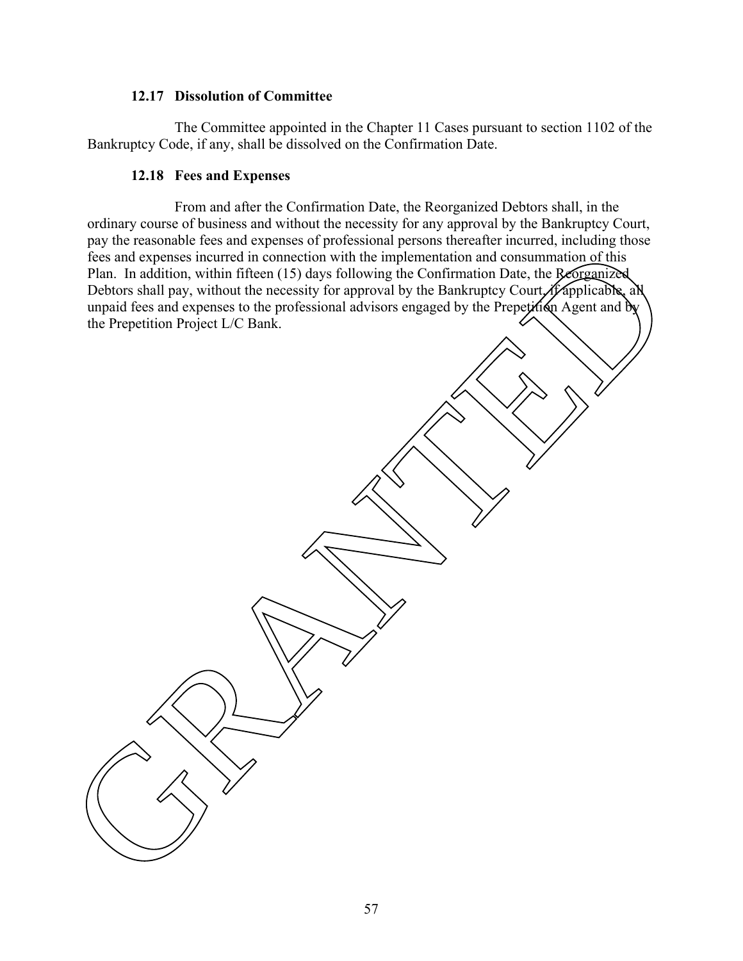#### **12.17 Dissolution of Committee**

The Committee appointed in the Chapter 11 Cases pursuant to section 1102 of the Bankruptcy Code, if any, shall be dissolved on the Confirmation Date.

#### **12.18 Fees and Expenses**

From and after the Confirmation Date, the Reorganized Debtors shall, in the ordinary course of business and without the necessity for any approval by the Bankruptcy Court, pay the reasonable fees and expenses of professional persons thereafter incurred, including those fees and expenses incurred in connection with the implementation and consummation of this Plan. In addition, within fifteen (15) days following the Confirmation Date, the Reorganized Debtors shall pay, without the necessity for approval by the Bankruptcy Court, if applicable, all unpaid fees and expenses to the professional advisors engaged by the Prepetition Agent and by the Prepetition Project L/C Bank. Form and express in nursula in commutation with the implementation and consummed from the state of the property of the property of the property of the property of the property of the property of the property of the propert